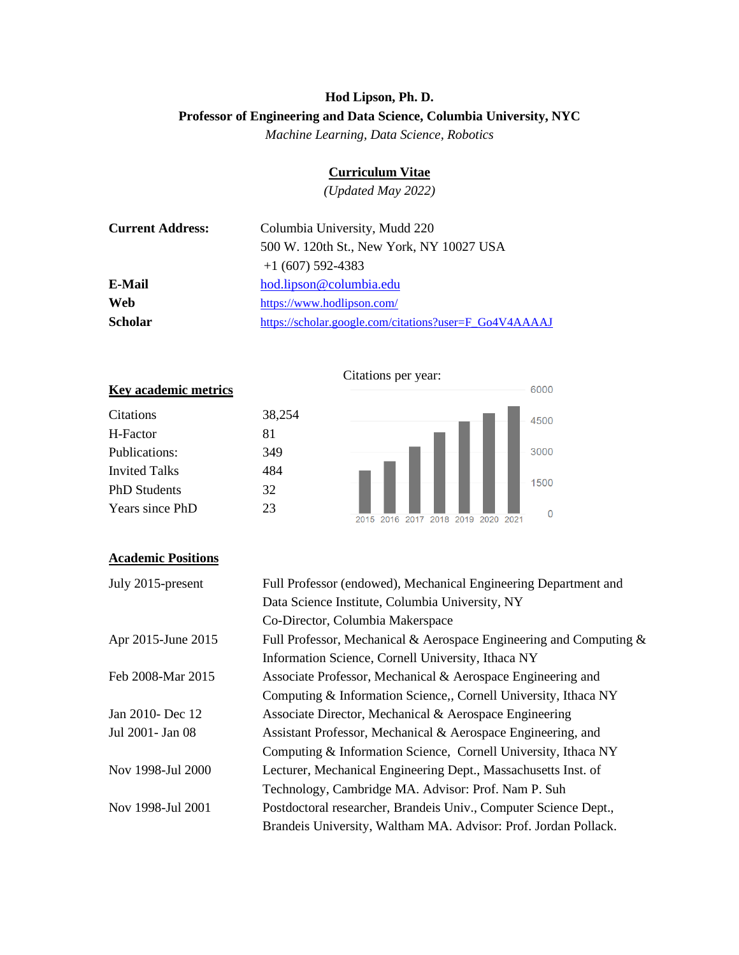# **Hod Lipson, Ph. D. Professor of Engineering and Data Science, Columbia University, NYC**

*Machine Learning, Data Science, Robotics*

# **Curriculum Vitae**

*(Updated May 2022)*

| <b>Current Address:</b> | Columbia University, Mudd 220                          |
|-------------------------|--------------------------------------------------------|
|                         | 500 W. 120th St., New York, NY 10027 USA               |
|                         | $+1(607)$ 592-4383                                     |
| E-Mail                  | hod.lipson@columbia.edu                                |
| Web                     | https://www.hodlipson.com/                             |
| <b>Scholar</b>          | https://scholar.google.com/citations?user=F_Go4V4AAAAJ |



# **Academic Positions**

| July 2015-present  | Full Professor (endowed), Mechanical Engineering Department and       |
|--------------------|-----------------------------------------------------------------------|
|                    | Data Science Institute, Columbia University, NY                       |
|                    | Co-Director, Columbia Makerspace                                      |
| Apr 2015-June 2015 | Full Professor, Mechanical & Aerospace Engineering and Computing $\&$ |
|                    | Information Science, Cornell University, Ithaca NY                    |
| Feb 2008-Mar 2015  | Associate Professor, Mechanical & Aerospace Engineering and           |
|                    | Computing & Information Science, Cornell University, Ithaca NY        |
| Jan 2010- Dec 12   | Associate Director, Mechanical & Aerospace Engineering                |
| Jul 2001- Jan 08   | Assistant Professor, Mechanical & Aerospace Engineering, and          |
|                    | Computing & Information Science, Cornell University, Ithaca NY        |
| Nov 1998-Jul 2000  | Lecturer, Mechanical Engineering Dept., Massachusetts Inst. of        |
|                    | Technology, Cambridge MA. Advisor: Prof. Nam P. Suh                   |
| Nov 1998-Jul 2001  | Postdoctoral researcher, Brandeis Univ., Computer Science Dept.,      |
|                    | Brandeis University, Waltham MA. Advisor: Prof. Jordan Pollack.       |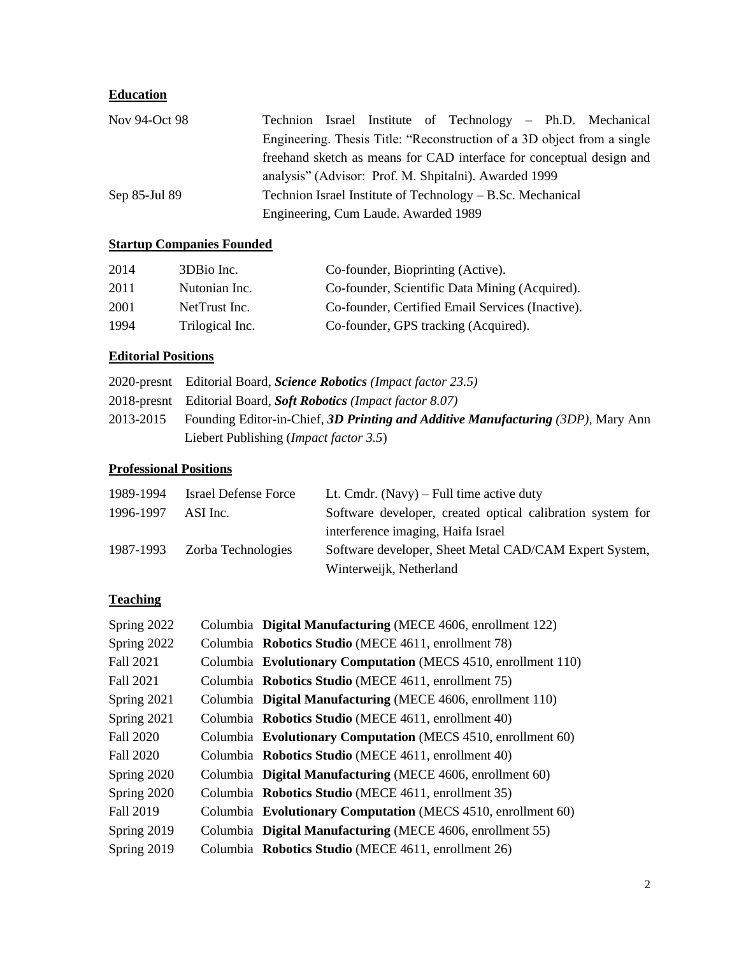# **Education**

| Nov 94-Oct 98 | Technion Israel Institute of Technology – Ph.D. Mechanical              |
|---------------|-------------------------------------------------------------------------|
|               | Engineering. Thesis Title: "Reconstruction of a 3D object from a single |
|               | freehand sketch as means for CAD interface for conceptual design and    |
|               | analysis" (Advisor: Prof. M. Shpitalni). Awarded 1999                   |
| Sep 85-Jul 89 | Technion Israel Institute of Technology – B.Sc. Mechanical              |
|               | Engineering, Cum Laude. Awarded 1989                                    |

# **Startup Companies Founded**

| 2014 | 3DBio Inc.      | Co-founder, Bioprinting (Active).                |
|------|-----------------|--------------------------------------------------|
| 2011 | Nutonian Inc.   | Co-founder, Scientific Data Mining (Acquired).   |
| 2001 | NetTrust Inc.   | Co-founder, Certified Email Services (Inactive). |
| 1994 | Trilogical Inc. | Co-founder, GPS tracking (Acquired).             |

# **Editorial Positions**

| 2020-presnt Editorial Board, Science Robotics (Impact factor 23.5)                         |
|--------------------------------------------------------------------------------------------|
| 2018-presnt Editorial Board, Soft Robotics (Impact factor 8.07)                            |
| 2013-2015 Founding Editor-in-Chief, 3D Printing and Additive Manufacturing (3DP), Mary Ann |
| Liebert Publishing ( <i>Impact factor 3.5</i> )                                            |

# **Professional Positions**

| 1989-1994 | <b>Israel Defense Force</b>  | Lt. Cmdr. (Navy) – Full time active duty                   |
|-----------|------------------------------|------------------------------------------------------------|
| 1996-1997 | ASI Inc.                     | Software developer, created optical calibration system for |
|           |                              | interference imaging, Haifa Israel                         |
|           | 1987-1993 Zorba Technologies | Software developer, Sheet Metal CAD/CAM Expert System,     |
|           |                              | Winterweijk, Netherland                                    |

# **Teaching**

| Spring 2022      | Columbia Digital Manufacturing (MECE 4606, enrollment 122)    |
|------------------|---------------------------------------------------------------|
| Spring 2022      | Columbia Robotics Studio (MECE 4611, enrollment 78)           |
| Fall 2021        | Columbia Evolutionary Computation (MECS 4510, enrollment 110) |
| Fall 2021        | Columbia Robotics Studio (MECE 4611, enrollment 75)           |
| Spring 2021      | Columbia Digital Manufacturing (MECE 4606, enrollment 110)    |
| Spring 2021      | Columbia Robotics Studio (MECE 4611, enrollment 40)           |
| Fall 2020        | Columbia Evolutionary Computation (MECS 4510, enrollment 60)  |
| Fall 2020        | Columbia Robotics Studio (MECE 4611, enrollment 40)           |
| Spring 2020      | Columbia Digital Manufacturing (MECE 4606, enrollment 60)     |
| Spring 2020      | Columbia Robotics Studio (MECE 4611, enrollment 35)           |
| <b>Fall 2019</b> | Columbia Evolutionary Computation (MECS 4510, enrollment 60)  |
| Spring 2019      | Columbia Digital Manufacturing (MECE 4606, enrollment 55)     |
| Spring 2019      | Columbia Robotics Studio (MECE 4611, enrollment 26)           |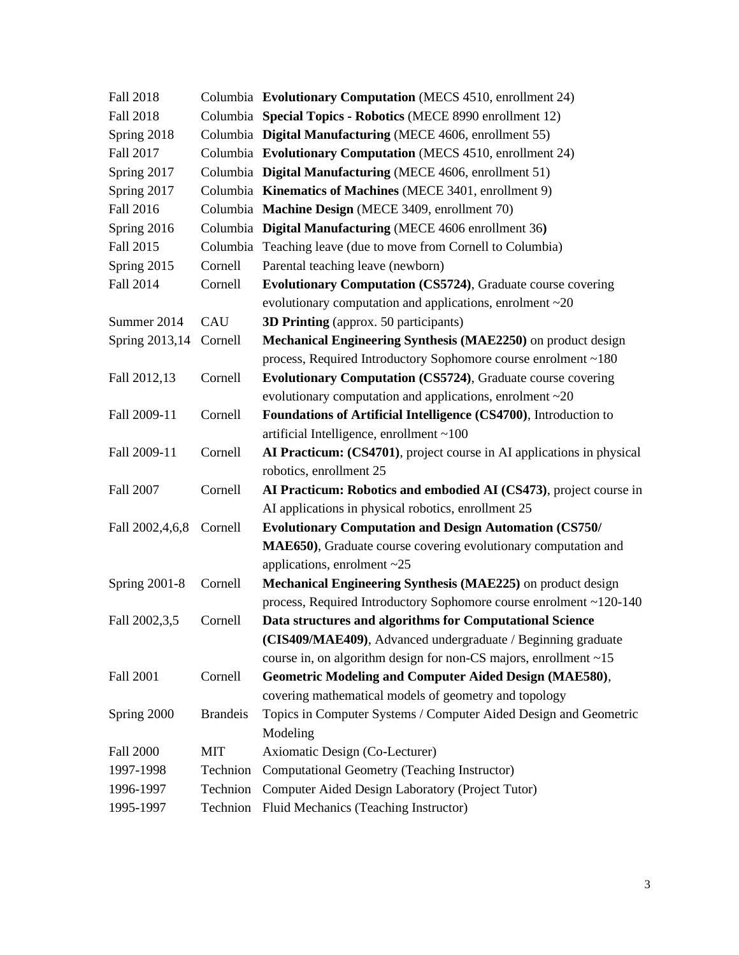| <b>Fall 2018</b>     |                 | Columbia Evolutionary Computation (MECS 4510, enrollment 24)           |
|----------------------|-----------------|------------------------------------------------------------------------|
| <b>Fall 2018</b>     |                 | Columbia Special Topics - Robotics (MECE 8990 enrollment 12)           |
| Spring 2018          |                 | Columbia Digital Manufacturing (MECE 4606, enrollment 55)              |
| Fall 2017            |                 | Columbia Evolutionary Computation (MECS 4510, enrollment 24)           |
| Spring 2017          |                 | Columbia Digital Manufacturing (MECE 4606, enrollment 51)              |
| Spring 2017          |                 | Columbia Kinematics of Machines (MECE 3401, enrollment 9)              |
| Fall 2016            |                 | Columbia Machine Design (MECE 3409, enrollment 70)                     |
| Spring 2016          |                 | Columbia Digital Manufacturing (MECE 4606 enrollment 36)               |
| Fall 2015            |                 | Columbia Teaching leave (due to move from Cornell to Columbia)         |
| Spring 2015          | Cornell         | Parental teaching leave (newborn)                                      |
| Fall 2014            | Cornell         | Evolutionary Computation (CS5724), Graduate course covering            |
|                      |                 | evolutionary computation and applications, enrolment $\sim 20$         |
| Summer 2014          | CAU             | 3D Printing (approx. 50 participants)                                  |
| Spring 2013,14       | Cornell         | Mechanical Engineering Synthesis (MAE2250) on product design           |
|                      |                 | process, Required Introductory Sophomore course enrolment ~180         |
| Fall 2012,13         | Cornell         | Evolutionary Computation (CS5724), Graduate course covering            |
|                      |                 | evolutionary computation and applications, enrolment $\sim 20$         |
| Fall 2009-11         | Cornell         | Foundations of Artificial Intelligence (CS4700), Introduction to       |
|                      |                 | artificial Intelligence, enrollment ~100                               |
| Fall 2009-11         | Cornell         | AI Practicum: (CS4701), project course in AI applications in physical  |
|                      |                 | robotics, enrollment 25                                                |
| Fall 2007            | Cornell         | AI Practicum: Robotics and embodied AI (CS473), project course in      |
|                      |                 | AI applications in physical robotics, enrollment 25                    |
| Fall 2002,4,6,8      | Cornell         | <b>Evolutionary Computation and Design Automation (CS750/</b>          |
|                      |                 | MAE650), Graduate course covering evolutionary computation and         |
|                      |                 | applications, enrolment $\sim$ 25                                      |
| <b>Spring 2001-8</b> | Cornell         | Mechanical Engineering Synthesis (MAE225) on product design            |
|                      |                 | process, Required Introductory Sophomore course enrolment ~120-140     |
| Fall 2002,3,5        | Cornell         | Data structures and algorithms for Computational Science               |
|                      |                 | (CIS409/MAE409), Advanced undergraduate / Beginning graduate           |
|                      |                 | course in, on algorithm design for non-CS majors, enrollment $\sim 15$ |
| <b>Fall 2001</b>     | Cornell         | <b>Geometric Modeling and Computer Aided Design (MAE580),</b>          |
|                      |                 | covering mathematical models of geometry and topology                  |
| Spring 2000          | <b>Brandeis</b> | Topics in Computer Systems / Computer Aided Design and Geometric       |
|                      |                 | Modeling                                                               |
| <b>Fall 2000</b>     | <b>MIT</b>      | Axiomatic Design (Co-Lecturer)                                         |
| 1997-1998            | Technion        | Computational Geometry (Teaching Instructor)                           |
| 1996-1997            | Technion        | Computer Aided Design Laboratory (Project Tutor)                       |
| 1995-1997            | Technion        | Fluid Mechanics (Teaching Instructor)                                  |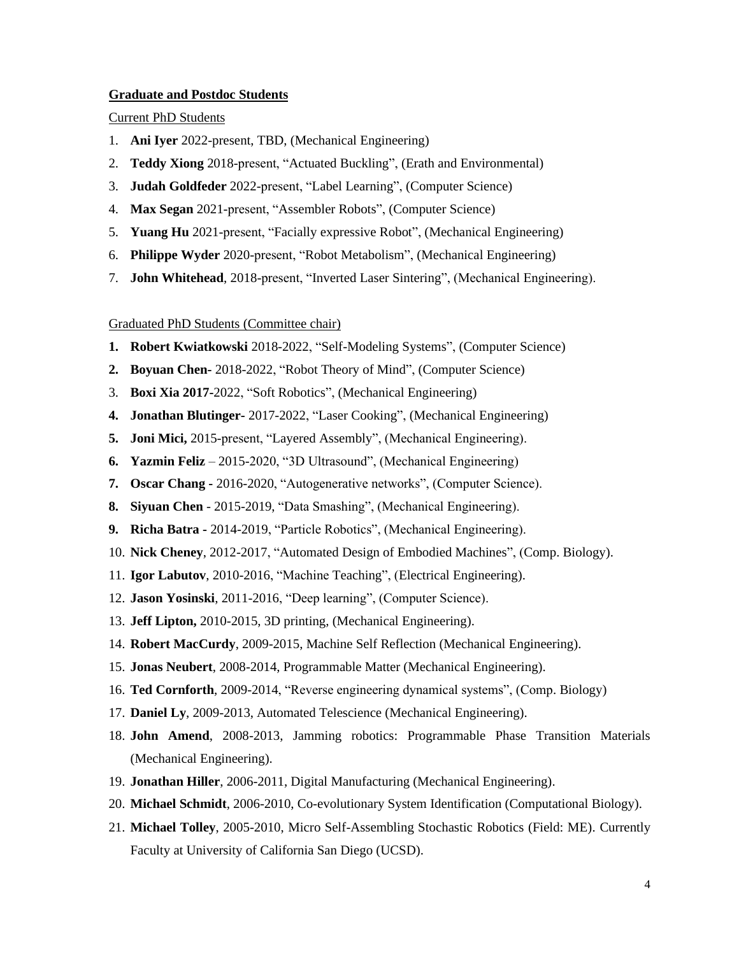### **Graduate and Postdoc Students**

### Current PhD Students

- 1. **Ani Iyer** 2022-present, TBD, (Mechanical Engineering)
- 2. **Teddy Xiong** 2018-present, "Actuated Buckling", (Erath and Environmental)
- 3. **Judah Goldfeder** 2022-present, "Label Learning", (Computer Science)
- 4. **Max Segan** 2021-present, "Assembler Robots", (Computer Science)
- 5. **Yuang Hu** 2021-present, "Facially expressive Robot", (Mechanical Engineering)
- 6. **Philippe Wyder** 2020-present, "Robot Metabolism", (Mechanical Engineering)
- 7. **John Whitehead**, 2018-present, "Inverted Laser Sintering", (Mechanical Engineering).

## Graduated PhD Students (Committee chair)

- **1. Robert Kwiatkowski** 2018-2022, "Self-Modeling Systems", (Computer Science)
- **2. Boyuan Chen-** 2018-2022, "Robot Theory of Mind", (Computer Science)
- 3. **Boxi Xia 2017-**2022, "Soft Robotics", (Mechanical Engineering)
- **4. Jonathan Blutinger-** 2017-2022, "Laser Cooking", (Mechanical Engineering)
- **5. Joni Mici,** 2015-present, "Layered Assembly", (Mechanical Engineering).
- **6. Yazmin Feliz** 2015-2020, "3D Ultrasound", (Mechanical Engineering)
- **7. Oscar Chang -** 2016-2020, "Autogenerative networks", (Computer Science).
- **8. Siyuan Chen** 2015-2019, "Data Smashing", (Mechanical Engineering).
- **9. Richa Batra -** 2014-2019, "Particle Robotics", (Mechanical Engineering).
- 10. **Nick Cheney**, 2012-2017, "Automated Design of Embodied Machines", (Comp. Biology).
- 11. **Igor Labutov**, 2010-2016, "Machine Teaching", (Electrical Engineering).
- 12. **Jason Yosinski**, 2011-2016, "Deep learning", (Computer Science).
- 13. **Jeff Lipton,** 2010-2015, 3D printing, (Mechanical Engineering).
- 14. **Robert MacCurdy**, 2009-2015, Machine Self Reflection (Mechanical Engineering).
- 15. **Jonas Neubert**, 2008-2014, Programmable Matter (Mechanical Engineering).
- 16. **Ted Cornforth**, 2009-2014, "Reverse engineering dynamical systems", (Comp. Biology)
- 17. **Daniel Ly**, 2009-2013, Automated Telescience (Mechanical Engineering).
- 18. **John Amend**, 2008-2013, Jamming robotics: Programmable Phase Transition Materials (Mechanical Engineering).
- 19. **Jonathan Hiller**, 2006-2011, Digital Manufacturing (Mechanical Engineering).
- 20. **Michael Schmidt**, 2006-2010, Co-evolutionary System Identification (Computational Biology).
- 21. **Michael Tolley**, 2005-2010, Micro Self-Assembling Stochastic Robotics (Field: ME). Currently Faculty at University of California San Diego (UCSD).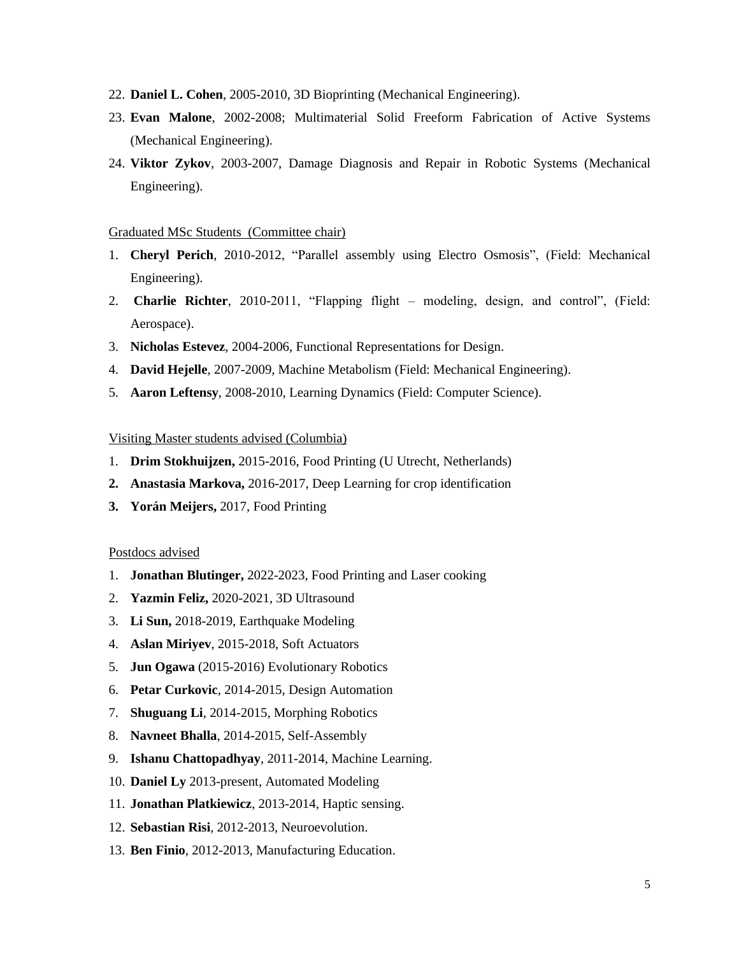- 22. **Daniel L. Cohen**, 2005-2010, 3D Bioprinting (Mechanical Engineering).
- 23. **Evan Malone**, 2002-2008; Multimaterial Solid Freeform Fabrication of Active Systems (Mechanical Engineering).
- 24. **Viktor Zykov**, 2003-2007, Damage Diagnosis and Repair in Robotic Systems (Mechanical Engineering).

### Graduated MSc Students (Committee chair)

- 1. **Cheryl Perich**, 2010-2012, "Parallel assembly using Electro Osmosis", (Field: Mechanical Engineering).
- 2. **Charlie Richter**, 2010-2011, "Flapping flight modeling, design, and control", (Field: Aerospace).
- 3. **Nicholas Estevez**, 2004-2006, Functional Representations for Design.
- 4. **David Hejelle**, 2007-2009, Machine Metabolism (Field: Mechanical Engineering).
- 5. **Aaron Leftensy**, 2008-2010, Learning Dynamics (Field: Computer Science).

# Visiting Master students advised (Columbia)

- 1. **Drim Stokhuijzen,** 2015-2016, Food Printing (U Utrecht, Netherlands)
- **2. Anastasia Markova,** 2016-2017, Deep Learning for crop identification
- **3. Yorán Meijers,** 2017, Food Printing

### Postdocs advised

- 1. **Jonathan Blutinger,** 2022-2023, Food Printing and Laser cooking
- 2. **Yazmin Feliz,** 2020-2021, 3D Ultrasound
- 3. **Li Sun,** 2018-2019, Earthquake Modeling
- 4. **Aslan Miriyev**, 2015-2018, Soft Actuators
- 5. **Jun Ogawa** (2015-2016) Evolutionary Robotics
- 6. **Petar Curkovic**, 2014-2015, Design Automation
- 7. **Shuguang Li**, 2014-2015, Morphing Robotics
- 8. **Navneet Bhalla**, 2014-2015, Self-Assembly
- 9. **Ishanu Chattopadhyay**, 2011-2014, Machine Learning.
- 10. **Daniel Ly** 2013-present, Automated Modeling
- 11. **Jonathan Platkiewicz**, 2013-2014, Haptic sensing.
- 12. **Sebastian Risi**, 2012-2013, Neuroevolution.
- 13. **Ben Finio**, 2012-2013, Manufacturing Education.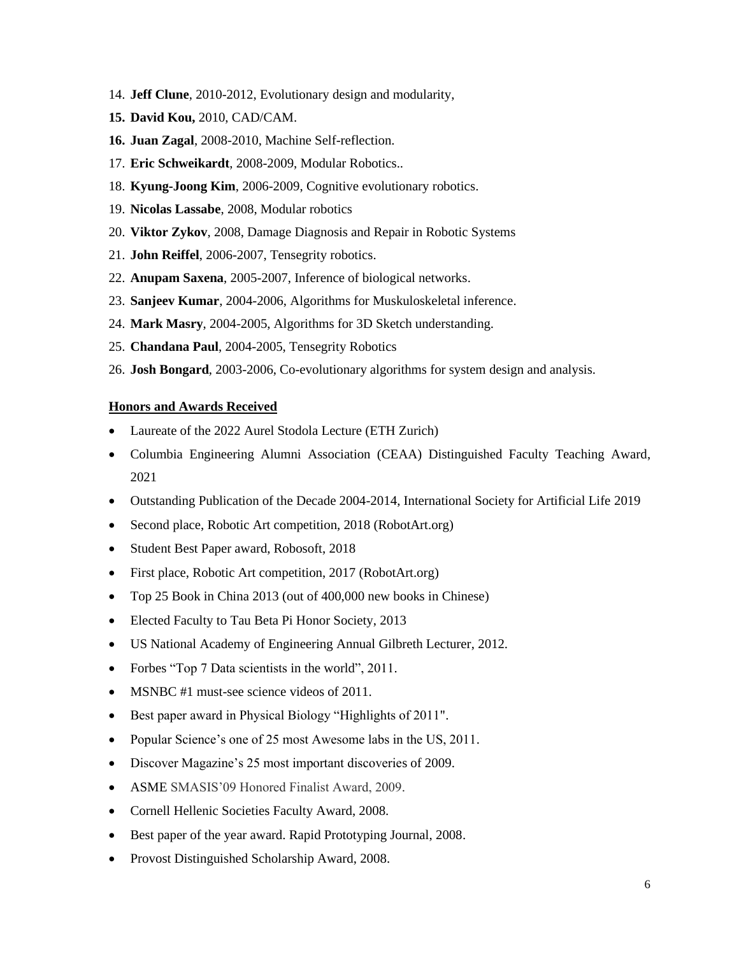- 14. **Jeff Clune**, 2010-2012, Evolutionary design and modularity,
- **15. David Kou,** 2010, CAD/CAM.
- **16. Juan Zagal**, 2008-2010, Machine Self-reflection.
- 17. **Eric Schweikardt**, 2008-2009, Modular Robotics..
- 18. **Kyung-Joong Kim**, 2006-2009, Cognitive evolutionary robotics.
- 19. **Nicolas Lassabe**, 2008, Modular robotics
- 20. **Viktor Zykov**, 2008, Damage Diagnosis and Repair in Robotic Systems
- 21. **John Reiffel**, 2006-2007, Tensegrity robotics.
- 22. **Anupam Saxena**, 2005-2007, Inference of biological networks.
- 23. **Sanjeev Kumar**, 2004-2006, Algorithms for Muskuloskeletal inference.
- 24. **Mark Masry**, 2004-2005, Algorithms for 3D Sketch understanding.
- 25. **Chandana Paul**, 2004-2005, Tensegrity Robotics
- 26. **Josh Bongard**, 2003-2006, Co-evolutionary algorithms for system design and analysis.

## **Honors and Awards Received**

- Laureate of the 2022 Aurel Stodola Lecture (ETH Zurich)
- Columbia Engineering Alumni Association (CEAA) Distinguished Faculty Teaching Award, 2021
- Outstanding Publication of the Decade 2004-2014, International Society for Artificial Life 2019
- Second place, Robotic Art competition, 2018 (RobotArt.org)
- Student Best Paper award, Robosoft, 2018
- First place, Robotic Art competition, 2017 (RobotArt.org)
- Top 25 Book in China 2013 (out of 400,000 new books in Chinese)
- Elected Faculty to Tau Beta Pi Honor Society, 2013
- US National Academy of Engineering Annual Gilbreth Lecturer, 2012.
- Forbes "Top 7 Data scientists in the world", 2011.
- MSNBC #1 must-see science videos of 2011.
- Best paper award in Physical Biology "Highlights of 2011".
- Popular Science's one of 25 most Awesome labs in the US, 2011.
- Discover Magazine's 25 most important discoveries of 2009.
- ASME SMASIS'09 Honored Finalist Award, 2009.
- Cornell Hellenic Societies Faculty Award, 2008.
- Best paper of the year award. Rapid Prototyping Journal, 2008.
- Provost Distinguished Scholarship Award, 2008.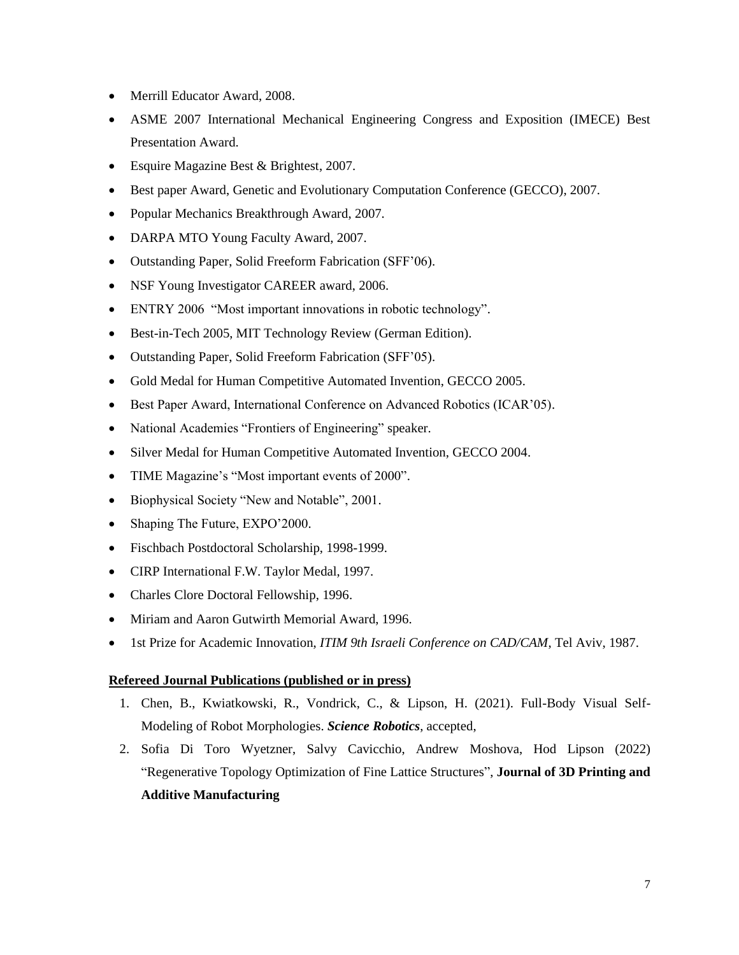- Merrill Educator Award, 2008.
- ASME 2007 International Mechanical Engineering Congress and Exposition (IMECE) Best Presentation Award.
- Esquire Magazine Best & Brightest, 2007.
- Best paper Award, Genetic and Evolutionary Computation Conference (GECCO), 2007.
- Popular Mechanics Breakthrough Award, 2007.
- DARPA MTO Young Faculty Award, 2007.
- Outstanding Paper, Solid Freeform Fabrication (SFF'06).
- NSF Young Investigator CAREER award, 2006.
- ENTRY 2006 "Most important innovations in robotic technology".
- Best-in-Tech 2005, MIT Technology Review (German Edition).
- Outstanding Paper, Solid Freeform Fabrication (SFF'05).
- Gold Medal for Human Competitive Automated Invention, GECCO 2005.
- Best Paper Award, International Conference on Advanced Robotics (ICAR'05).
- National Academies "Frontiers of Engineering" speaker.
- Silver Medal for Human Competitive Automated Invention, GECCO 2004.
- TIME Magazine's "Most important events of 2000".
- Biophysical Society "New and Notable", 2001.
- Shaping The Future, EXPO'2000.
- Fischbach Postdoctoral Scholarship, 1998-1999.
- CIRP International F.W. Taylor Medal, 1997.
- Charles Clore Doctoral Fellowship, 1996.
- Miriam and Aaron Gutwirth Memorial Award, 1996.
- 1st Prize for Academic Innovation, *ITIM 9th Israeli Conference on CAD/CAM*, Tel Aviv, 1987.

# **Refereed Journal Publications (published or in press)**

- 1. Chen, B., Kwiatkowski, R., Vondrick, C., & Lipson, H. (2021). Full-Body Visual Self-Modeling of Robot Morphologies. *Science Robotics*, accepted,
- 2. Sofia Di Toro Wyetzner, Salvy Cavicchio, Andrew Moshova, Hod Lipson (2022) "Regenerative Topology Optimization of Fine Lattice Structures", **Journal of 3D Printing and Additive Manufacturing**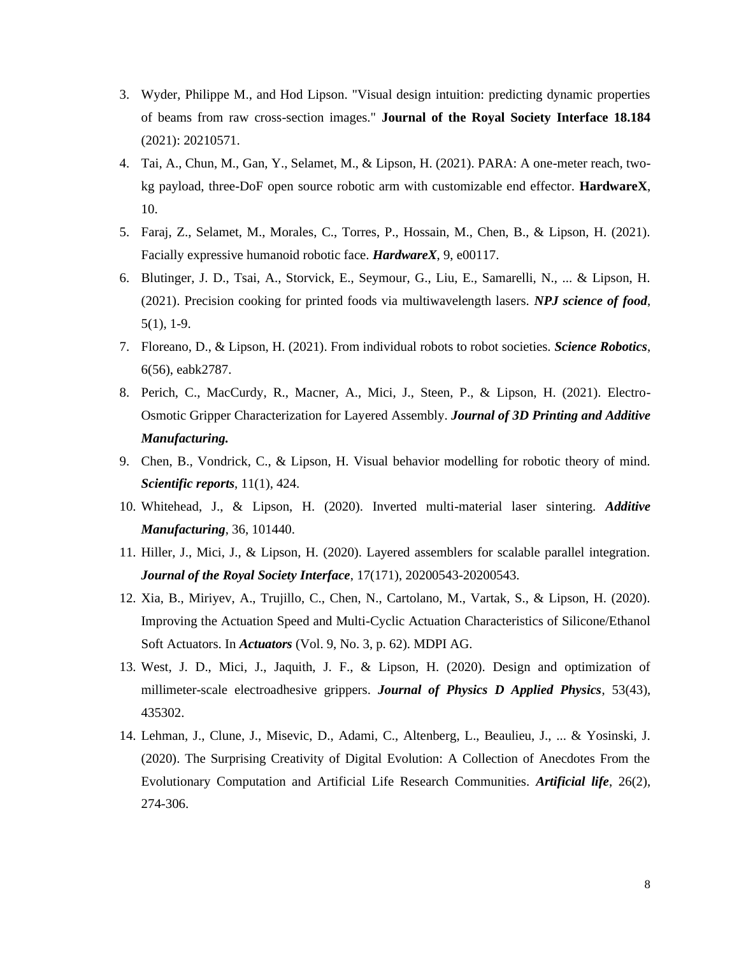- 3. Wyder, Philippe M., and Hod Lipson. "Visual design intuition: predicting dynamic properties of beams from raw cross-section images." **Journal of the Royal Society Interface 18.184** (2021): 20210571.
- 4. Tai, A., Chun, M., Gan, Y., Selamet, M., & Lipson, H. (2021). PARA: A one-meter reach, twokg payload, three-DoF open source robotic arm with customizable end effector. **HardwareX**, 10.
- 5. Faraj, Z., Selamet, M., Morales, C., Torres, P., Hossain, M., Chen, B., & Lipson, H. (2021). Facially expressive humanoid robotic face. *HardwareX*, 9, e00117.
- 6. Blutinger, J. D., Tsai, A., Storvick, E., Seymour, G., Liu, E., Samarelli, N., ... & Lipson, H. (2021). Precision cooking for printed foods via multiwavelength lasers. *NPJ science of food*, 5(1), 1-9.
- 7. Floreano, D., & Lipson, H. (2021). From individual robots to robot societies. *Science Robotics*, 6(56), eabk2787.
- 8. Perich, C., MacCurdy, R., Macner, A., Mici, J., Steen, P., & Lipson, H. (2021). Electro-Osmotic Gripper Characterization for Layered Assembly. *Journal of 3D Printing and Additive Manufacturing.*
- 9. Chen, B., Vondrick, C., & Lipson, H. Visual behavior modelling for robotic theory of mind. *Scientific reports*, 11(1), 424.
- 10. Whitehead, J., & Lipson, H. (2020). Inverted multi-material laser sintering. *Additive Manufacturing*, 36, 101440.
- 11. Hiller, J., Mici, J., & Lipson, H. (2020). Layered assemblers for scalable parallel integration. *Journal of the Royal Society Interface*, 17(171), 20200543-20200543.
- 12. Xia, B., Miriyev, A., Trujillo, C., Chen, N., Cartolano, M., Vartak, S., & Lipson, H. (2020). Improving the Actuation Speed and Multi-Cyclic Actuation Characteristics of Silicone/Ethanol Soft Actuators. In *Actuators* (Vol. 9, No. 3, p. 62). MDPI AG.
- 13. West, J. D., Mici, J., Jaquith, J. F., & Lipson, H. (2020). Design and optimization of millimeter-scale electroadhesive grippers. *Journal of Physics D Applied Physics*, 53(43), 435302.
- 14. Lehman, J., Clune, J., Misevic, D., Adami, C., Altenberg, L., Beaulieu, J., ... & Yosinski, J. (2020). The Surprising Creativity of Digital Evolution: A Collection of Anecdotes From the Evolutionary Computation and Artificial Life Research Communities. *Artificial life*, 26(2), 274-306.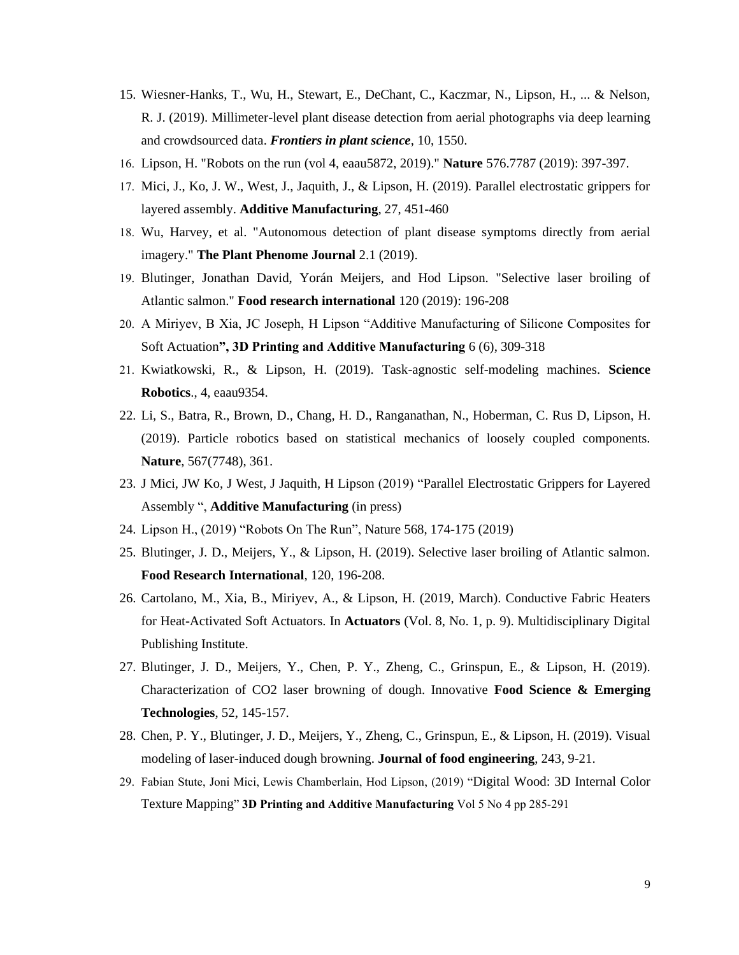- 15. Wiesner-Hanks, T., Wu, H., Stewart, E., DeChant, C., Kaczmar, N., Lipson, H., ... & Nelson, R. J. (2019). Millimeter-level plant disease detection from aerial photographs via deep learning and crowdsourced data. *Frontiers in plant science*, 10, 1550.
- 16. Lipson, H. "Robots on the run (vol 4, eaau5872, 2019)." **Nature** 576.7787 (2019): 397-397.
- 17. Mici, J., Ko, J. W., West, J., Jaquith, J., & Lipson, H. (2019). Parallel electrostatic grippers for layered assembly. **Additive Manufacturing**, 27, 451-460
- 18. Wu, Harvey, et al. "Autonomous detection of plant disease symptoms directly from aerial imagery." **The Plant Phenome Journal** 2.1 (2019).
- 19. Blutinger, Jonathan David, Yorán Meijers, and Hod Lipson. "Selective laser broiling of Atlantic salmon." **Food research international** 120 (2019): 196-208
- 20. A Miriyev, B Xia, JC Joseph, H Lipson "Additive Manufacturing of Silicone Composites for Soft Actuation**", 3D Printing and Additive Manufacturing** 6 (6), 309-318
- 21. Kwiatkowski, R., & Lipson, H. (2019). Task-agnostic self-modeling machines. **Science Robotics**., 4, eaau9354.
- 22. Li, S., Batra, R., Brown, D., Chang, H. D., Ranganathan, N., Hoberman, C. Rus D, Lipson, H. (2019). Particle robotics based on statistical mechanics of loosely coupled components. **Nature**, 567(7748), 361.
- 23. J Mici, JW Ko, J West, J Jaquith, H Lipson (2019) "Parallel Electrostatic Grippers for Layered Assembly ", **Additive Manufacturing** (in press)
- 24. Lipson H., (2019) "Robots On The Run", Nature 568, 174-175 (2019)
- 25. Blutinger, J. D., Meijers, Y., & Lipson, H. (2019). Selective laser broiling of Atlantic salmon. **Food Research International**, 120, 196-208.
- 26. Cartolano, M., Xia, B., Miriyev, A., & Lipson, H. (2019, March). Conductive Fabric Heaters for Heat-Activated Soft Actuators. In **Actuators** (Vol. 8, No. 1, p. 9). Multidisciplinary Digital Publishing Institute.
- 27. Blutinger, J. D., Meijers, Y., Chen, P. Y., Zheng, C., Grinspun, E., & Lipson, H. (2019). Characterization of CO2 laser browning of dough. Innovative **Food Science & Emerging Technologies**, 52, 145-157.
- 28. Chen, P. Y., Blutinger, J. D., Meijers, Y., Zheng, C., Grinspun, E., & Lipson, H. (2019). Visual modeling of laser-induced dough browning. **Journal of food engineering**, 243, 9-21.
- 29. Fabian Stute, Joni Mici, Lewis Chamberlain, Hod Lipson, (2019) "Digital Wood: 3D Internal Color Texture Mapping" **3D Printing and Additive Manufacturing** Vol 5 No 4 pp 285-291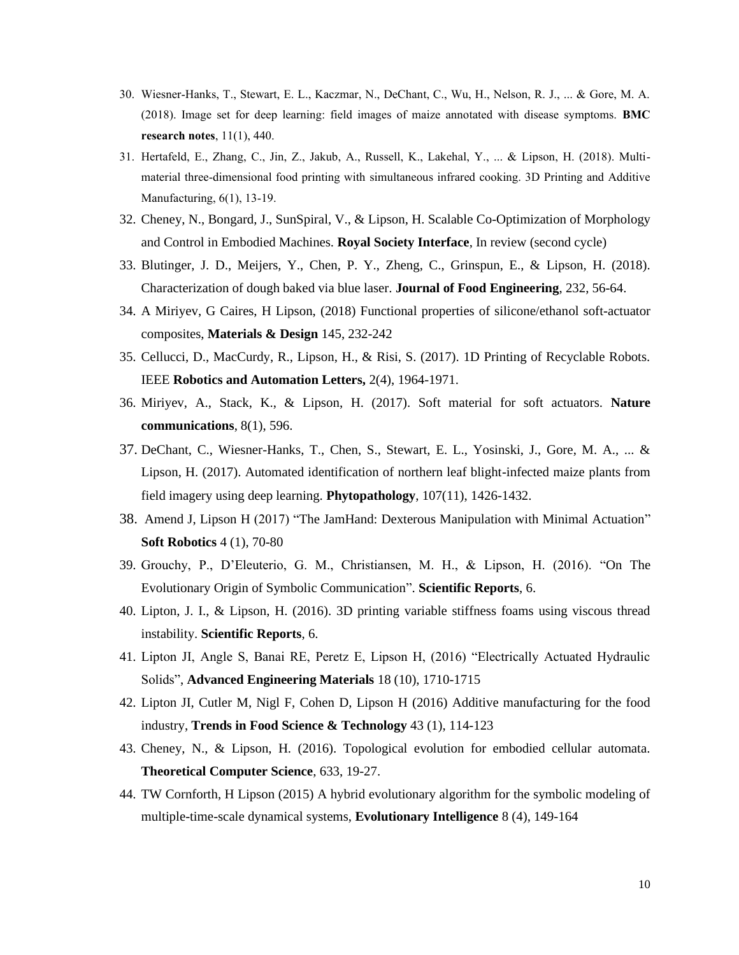- 30. Wiesner-Hanks, T., Stewart, E. L., Kaczmar, N., DeChant, C., Wu, H., Nelson, R. J., ... & Gore, M. A. (2018). Image set for deep learning: field images of maize annotated with disease symptoms. **BMC research notes**, 11(1), 440.
- 31. Hertafeld, E., Zhang, C., Jin, Z., Jakub, A., Russell, K., Lakehal, Y., ... & Lipson, H. (2018). Multimaterial three-dimensional food printing with simultaneous infrared cooking. 3D Printing and Additive Manufacturing, 6(1), 13-19.
- 32. Cheney, N., Bongard, J., SunSpiral, V., & Lipson, H. Scalable Co-Optimization of Morphology and Control in Embodied Machines. **Royal Society Interface**, In review (second cycle)
- 33. Blutinger, J. D., Meijers, Y., Chen, P. Y., Zheng, C., Grinspun, E., & Lipson, H. (2018). Characterization of dough baked via blue laser. **Journal of Food Engineering**, 232, 56-64.
- 34. A Miriyev, G Caires, H Lipson, (2018) Functional properties of silicone/ethanol soft-actuator composites, **Materials & Design** 145, 232-242
- 35. Cellucci, D., MacCurdy, R., Lipson, H., & Risi, S. (2017). 1D Printing of Recyclable Robots. IEEE **Robotics and Automation Letters,** 2(4), 1964-1971.
- 36. Miriyev, A., Stack, K., & Lipson, H. (2017). Soft material for soft actuators. **Nature communications**, 8(1), 596.
- 37. DeChant, C., Wiesner-Hanks, T., Chen, S., Stewart, E. L., Yosinski, J., Gore, M. A., ... & Lipson, H. (2017). Automated identification of northern leaf blight-infected maize plants from field imagery using deep learning. **Phytopathology**, 107(11), 1426-1432.
- 38. Amend J, Lipson H (2017) "The JamHand: Dexterous Manipulation with Minimal Actuation" **Soft Robotics** 4 (1), 70-80
- 39. Grouchy, P., D'Eleuterio, G. M., Christiansen, M. H., & Lipson, H. (2016). "On The Evolutionary Origin of Symbolic Communication". **Scientific Reports**, 6.
- 40. Lipton, J. I., & Lipson, H. (2016). 3D printing variable stiffness foams using viscous thread instability. **Scientific Reports**, 6.
- 41. Lipton JI, Angle S, Banai RE, Peretz E, Lipson H, (2016) "Electrically Actuated Hydraulic Solids", **Advanced Engineering Materials** 18 (10), 1710-1715
- 42. Lipton JI, Cutler M, Nigl F, Cohen D, Lipson H (2016) Additive manufacturing for the food industry, **Trends in Food Science & Technology** 43 (1), 114-123
- 43. Cheney, N., & Lipson, H. (2016). Topological evolution for embodied cellular automata. **Theoretical Computer Science**, 633, 19-27.
- 44. TW Cornforth, H Lipson (2015) A hybrid evolutionary algorithm for the symbolic modeling of multiple-time-scale dynamical systems, **Evolutionary Intelligence** 8 (4), 149-164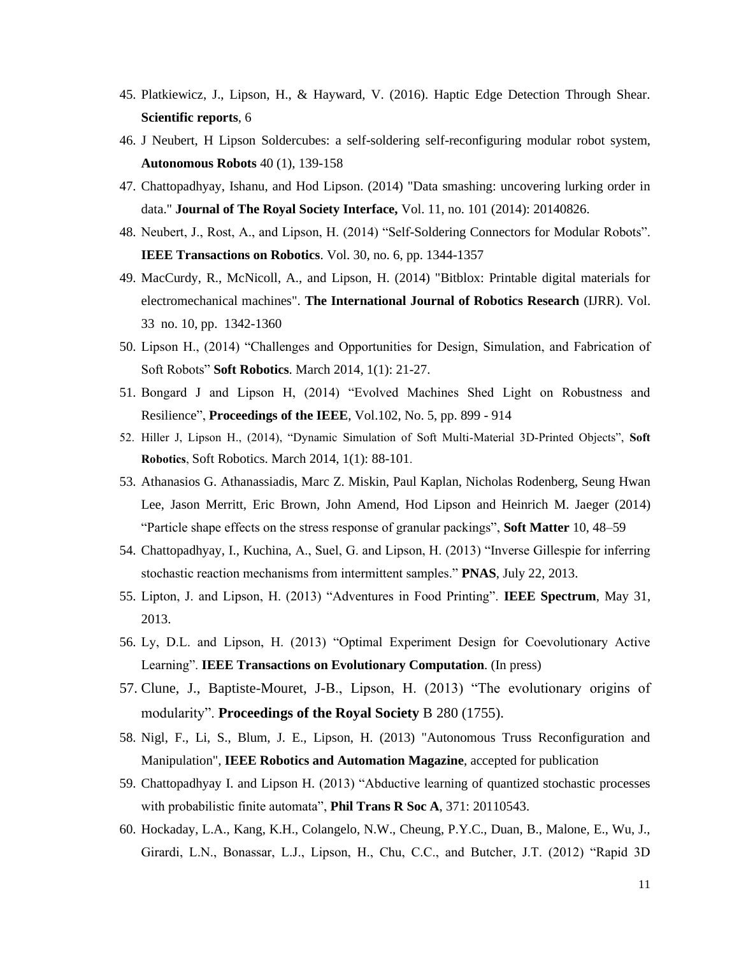- 45. Platkiewicz, J., Lipson, H., & Hayward, V. (2016). Haptic Edge Detection Through Shear. **Scientific reports**, 6
- 46. J Neubert, H Lipson Soldercubes: a self-soldering self-reconfiguring modular robot system, **Autonomous Robots** 40 (1), 139-158
- 47. Chattopadhyay, Ishanu, and Hod Lipson. (2014) "Data smashing: uncovering lurking order in data." **Journal of The Royal Society Interface,** Vol. 11, no. 101 (2014): 20140826.
- 48. Neubert, J., Rost, A., and Lipson, H. (2014) "Self-Soldering Connectors for Modular Robots". **IEEE Transactions on Robotics**. Vol. 30, no. 6, pp. 1344-1357
- 49. MacCurdy, R., McNicoll, A., and Lipson, H. (2014) "Bitblox: Printable digital materials for electromechanical machines". **The International Journal of Robotics Research** (IJRR). Vol. 33 no. 10, pp. 1342-1360
- 50. Lipson H., (2014) "Challenges and Opportunities for Design, Simulation, and Fabrication of Soft Robots" **Soft Robotics**. March 2014, 1(1): 21-27.
- 51. Bongard J and Lipson H, (2014) "Evolved Machines Shed Light on Robustness and Resilience", **Proceedings of the IEEE**, Vol.102, No. 5, pp. 899 - 914
- 52. Hiller J, Lipson H., (2014), "Dynamic Simulation of Soft Multi-Material 3D-Printed Objects", **Soft Robotics**, Soft Robotics. March 2014, 1(1): 88-101.
- 53. Athanasios G. Athanassiadis, Marc Z. Miskin, Paul Kaplan, Nicholas Rodenberg, Seung Hwan Lee, Jason Merritt, Eric Brown, John Amend, Hod Lipson and Heinrich M. Jaeger (2014) "Particle shape effects on the stress response of granular packings", **Soft Matter** 10, 48–59
- 54. Chattopadhyay, I., Kuchina, A., Suel, G. and Lipson, H. (2013) "Inverse Gillespie for inferring stochastic reaction mechanisms from intermittent samples." **PNAS**, July 22, 2013.
- 55. Lipton, J. and Lipson, H. (2013) "Adventures in Food Printing". **IEEE Spectrum**, May 31, 2013.
- 56. Ly, D.L. and Lipson, H. (2013) "Optimal Experiment Design for Coevolutionary Active Learning". **IEEE Transactions on Evolutionary Computation**. (In press)
- 57. Clune, J., Baptiste-Mouret, J-B., Lipson, H. (2013) "The evolutionary origins of modularity". **Proceedings of the Royal Society** B 280 (1755).
- 58. Nigl, F., Li, S., Blum, J. E., Lipson, H. (2013) "Autonomous Truss Reconfiguration and Manipulation", **IEEE Robotics and Automation Magazine**, accepted for publication
- 59. Chattopadhyay I. and Lipson H. (2013) "Abductive learning of quantized stochastic processes with probabilistic finite automata", **Phil Trans R Soc A**, 371: 20110543.
- 60. Hockaday, L.A., Kang, K.H., Colangelo, N.W., Cheung, P.Y.C., Duan, B., Malone, E., Wu, J., Girardi, L.N., Bonassar, L.J., Lipson, H., Chu, C.C., and Butcher, J.T. (2012) "Rapid 3D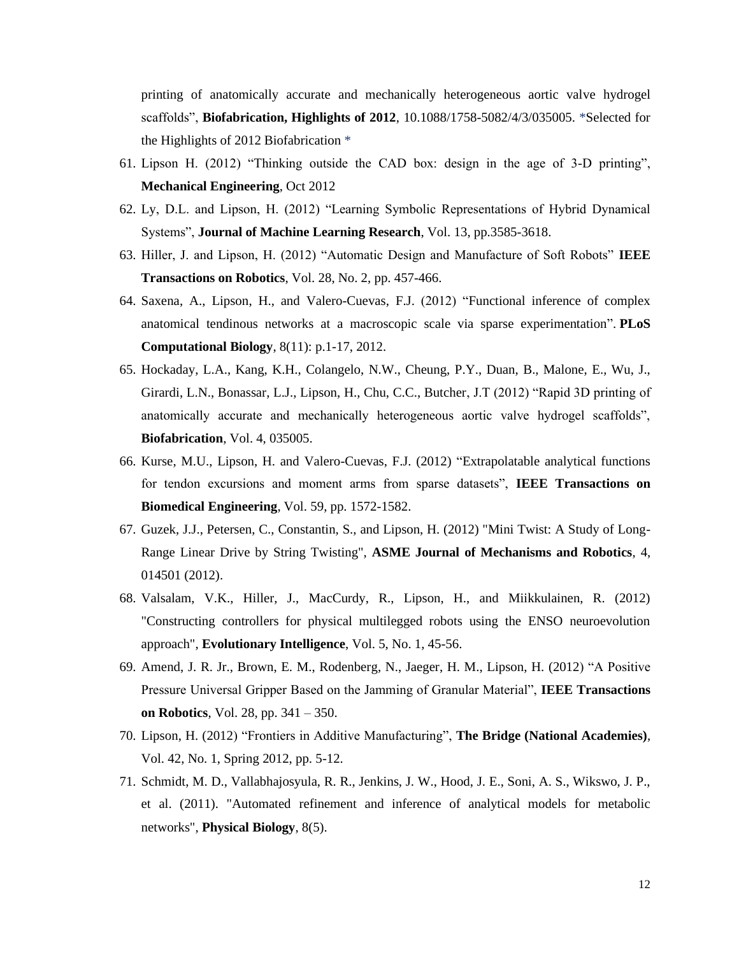printing of anatomically accurate and mechanically heterogeneous aortic valve hydrogel scaffolds", **Biofabrication, Highlights of 2012**, 10.1088/1758-5082/4/3/035005. \*Selected for the Highlights of 2012 Biofabrication \*

- 61. Lipson H. (2012) "Thinking outside the CAD box: design in the age of 3-D printing", **Mechanical Engineering**, Oct 2012
- 62. Ly, D.L. and Lipson, H. (2012) "Learning Symbolic Representations of Hybrid Dynamical Systems", **Journal of Machine Learning Research**, Vol. 13, pp.3585-3618.
- 63. Hiller, J. and Lipson, H. (2012) "Automatic Design and Manufacture of Soft Robots" **IEEE Transactions on Robotics**, Vol. 28, No. 2, pp. 457-466.
- 64. Saxena, A., Lipson, H., and Valero-Cuevas, F.J. (2012) "Functional inference of complex anatomical tendinous networks at a macroscopic scale via sparse experimentation". **PLoS Computational Biology**, 8(11): p.1-17, 2012.
- 65. Hockaday, L.A., Kang, K.H., Colangelo, N.W., Cheung, P.Y., Duan, B., Malone, E., Wu, J., Girardi, L.N., Bonassar, L.J., Lipson, H., Chu, C.C., Butcher, J.T (2012) "Rapid 3D printing of anatomically accurate and mechanically heterogeneous aortic valve hydrogel scaffolds", **Biofabrication**, Vol. 4, 035005.
- 66. Kurse, M.U., Lipson, H. and Valero-Cuevas, F.J. (2012) "Extrapolatable analytical functions for tendon excursions and moment arms from sparse datasets", **IEEE Transactions on Biomedical Engineering**, Vol. 59, pp. 1572-1582.
- 67. Guzek, J.J., Petersen, C., Constantin, S., and Lipson, H. (2012) "Mini Twist: A Study of Long-Range Linear Drive by String Twisting", **ASME Journal of Mechanisms and Robotics**, 4, 014501 (2012).
- 68. Valsalam, V.K., Hiller, J., MacCurdy, R., Lipson, H., and Miikkulainen, R. (2012) "Constructing controllers for physical multilegged robots using the ENSO neuroevolution approach", **Evolutionary Intelligence**, Vol. 5, No. 1, 45-56.
- 69. Amend, J. R. Jr., Brown, E. M., Rodenberg, N., Jaeger, H. M., Lipson, H. (2012) "A Positive Pressure Universal Gripper Based on the Jamming of Granular Material", **IEEE Transactions on Robotics**, Vol. 28, pp. 341 – 350.
- 70. Lipson, H. (2012) "Frontiers in Additive Manufacturing", **The Bridge (National Academies)**, Vol. 42, No. 1, Spring 2012, pp. 5-12.
- 71. Schmidt, M. D., Vallabhajosyula, R. R., Jenkins, J. W., Hood, J. E., Soni, A. S., Wikswo, J. P., et al. (2011). "Automated refinement and inference of analytical models for metabolic networks", **Physical Biology**, 8(5).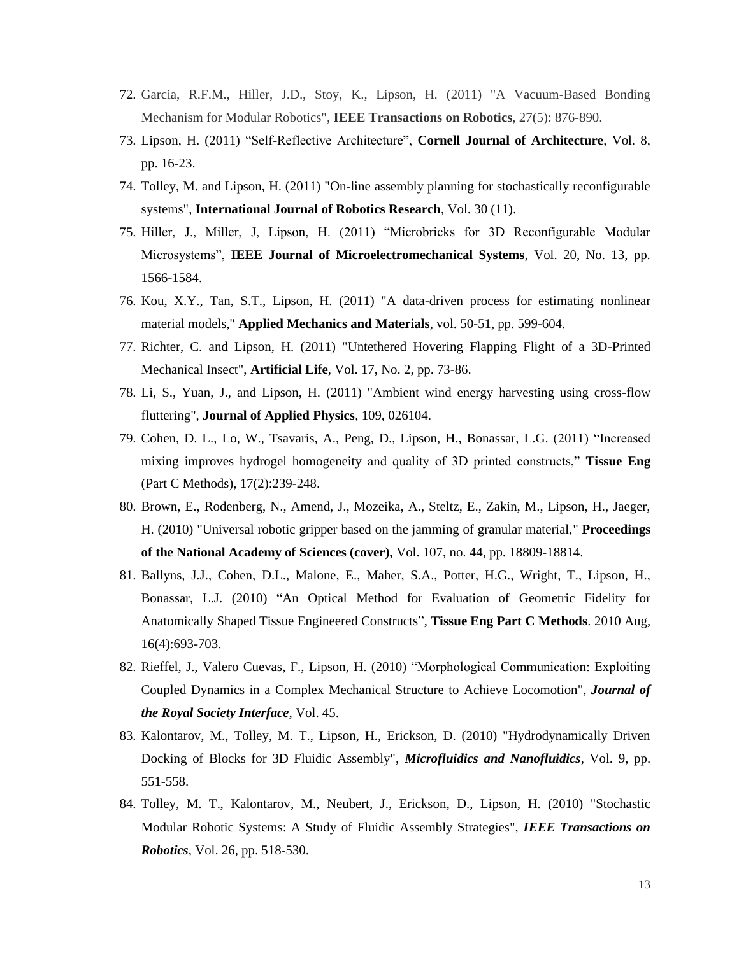- 72. Garcia, R.F.M., Hiller, J.D., Stoy, K., Lipson, H. (2011) "A Vacuum-Based Bonding Mechanism for Modular Robotics", **IEEE Transactions on Robotics**, 27(5): 876-890.
- 73. Lipson, H. (2011) "Self-Reflective Architecture", **Cornell Journal of Architecture**, Vol. 8, pp. 16-23.
- 74. Tolley, M. and Lipson, H. (2011) "On-line assembly planning for stochastically reconfigurable systems", **International Journal of Robotics Research**, Vol. 30 (11).
- 75. Hiller, J., Miller, J, Lipson, H. (2011) "Microbricks for 3D Reconfigurable Modular Microsystems", **IEEE Journal of Microelectromechanical Systems**, Vol. 20, No. 13, pp. 1566-1584.
- 76. Kou, X.Y., Tan, S.T., Lipson, H. (2011) "A data-driven process for estimating nonlinear material models," **Applied Mechanics and Materials**, vol. 50-51, pp. 599-604.
- 77. Richter, C. and Lipson, H. (2011) "Untethered Hovering Flapping Flight of a 3D-Printed Mechanical Insect", **Artificial Life**, Vol. 17, No. 2, pp. 73-86.
- 78. Li, S., Yuan, J., and Lipson, H. (2011) "Ambient wind energy harvesting using cross-flow fluttering", **Journal of Applied Physics**, 109, 026104.
- 79. Cohen, D. L., Lo, W., Tsavaris, A., Peng, D., Lipson, H., Bonassar, L.G. (2011) "Increased mixing improves hydrogel homogeneity and quality of 3D printed constructs," **Tissue Eng**  (Part C Methods), 17(2):239-248.
- 80. Brown, E., Rodenberg, N., Amend, J., Mozeika, A., Steltz, E., Zakin, M., Lipson, H., Jaeger, H. (2010) "Universal robotic gripper based on the jamming of granular material," **Proceedings of the National Academy of Sciences (cover),** Vol. 107, no. 44, pp. 18809-18814.
- 81. Ballyns, J.J., Cohen, D.L., Malone, E., Maher, S.A., Potter, H.G., Wright, T., Lipson, H., Bonassar, L.J. (2010) "An Optical Method for Evaluation of Geometric Fidelity for Anatomically Shaped Tissue Engineered Constructs", **Tissue Eng Part C Methods**. 2010 Aug, 16(4):693-703.
- 82. Rieffel, J., Valero Cuevas, F., Lipson, H. (2010) "Morphological Communication: Exploiting Coupled Dynamics in a Complex Mechanical Structure to Achieve Locomotion", *Journal of the Royal Society Interface*, Vol. 45.
- 83. Kalontarov, M., Tolley, M. T., Lipson, H., Erickson, D. (2010) "Hydrodynamically Driven Docking of Blocks for 3D Fluidic Assembly", *Microfluidics and Nanofluidics*, Vol. 9, pp. 551-558.
- 84. Tolley, M. T., Kalontarov, M., Neubert, J., Erickson, D., Lipson, H. (2010) "Stochastic Modular Robotic Systems: A Study of Fluidic Assembly Strategies", *IEEE Transactions on Robotics*, Vol. 26, pp. 518-530.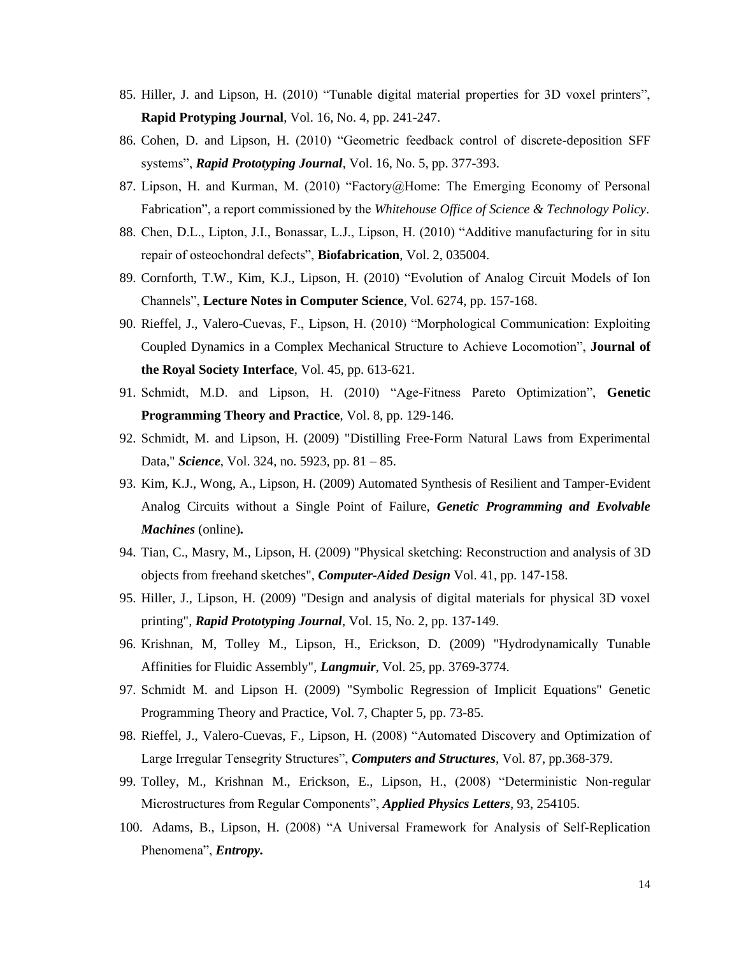- 85. Hiller, J. and Lipson, H. (2010) "Tunable digital material properties for 3D voxel printers", **Rapid Protyping Journal**, Vol. 16, No. 4, pp. 241-247.
- 86. Cohen, D. and Lipson, H. (2010) "Geometric feedback control of discrete-deposition SFF systems", *Rapid Prototyping Journal*, Vol. 16, No. 5, pp. 377-393.
- 87. Lipson, H. and Kurman, M. (2010) "Factory@Home: The Emerging Economy of Personal Fabrication", a report commissioned by the *Whitehouse Office of Science & Technology Policy*.
- 88. Chen, D.L., Lipton, J.I., Bonassar, L.J., Lipson, H. (2010) "Additive manufacturing for in situ repair of osteochondral defects", **Biofabrication**, Vol. 2, 035004.
- 89. Cornforth, T.W., Kim, K.J., Lipson, H. (2010) "Evolution of Analog Circuit Models of Ion Channels", **Lecture Notes in Computer Science**, Vol. 6274, pp. 157-168.
- 90. Rieffel, J., Valero-Cuevas, F., Lipson, H. (2010) "Morphological Communication: Exploiting Coupled Dynamics in a Complex Mechanical Structure to Achieve Locomotion", **Journal of the Royal Society Interface**, Vol. 45, pp. 613-621.
- 91. Schmidt, M.D. and Lipson, H. (2010) "Age-Fitness Pareto Optimization", **Genetic Programming Theory and Practice**, Vol. 8, pp. 129-146.
- 92. Schmidt, M. and Lipson, H. (2009) "Distilling Free-Form Natural Laws from Experimental Data," *Science*, Vol. 324, no. 5923, pp. 81 – 85.
- 93. Kim, K.J., Wong, A., Lipson, H. (2009) Automated Synthesis of Resilient and Tamper-Evident Analog Circuits without a Single Point of Failure, *Genetic Programming and Evolvable Machines* (online)*.*
- 94. Tian, C., Masry, M., Lipson, H. (2009) "Physical sketching: Reconstruction and analysis of 3D objects from freehand sketches", *Computer-Aided Design* Vol. 41, pp. 147-158.
- 95. Hiller, J., Lipson, H. (2009) "Design and analysis of digital materials for physical 3D voxel printing", *Rapid Prototyping Journal*, Vol. 15, No. 2, pp. 137-149.
- 96. Krishnan, M, Tolley M., Lipson, H., Erickson, D. (2009) "Hydrodynamically Tunable Affinities for Fluidic Assembly", *Langmuir*, Vol. 25, pp. 3769-3774.
- 97. Schmidt M. and Lipson H. (2009) "Symbolic Regression of Implicit Equations" Genetic Programming Theory and Practice, Vol. 7, Chapter 5, pp. 73-85.
- 98. Rieffel, J., Valero-Cuevas, F., Lipson, H. (2008) "Automated Discovery and Optimization of Large Irregular Tensegrity Structures", *Computers and Structures*, Vol. 87, pp.368-379.
- 99. Tolley, M., Krishnan M., Erickson, E., Lipson, H., (2008) "Deterministic Non-regular Microstructures from Regular Components", *Applied Physics Letters*, 93, 254105.
- 100. Adams, B., Lipson, H. (2008) "A Universal Framework for Analysis of Self-Replication Phenomena", *Entropy.*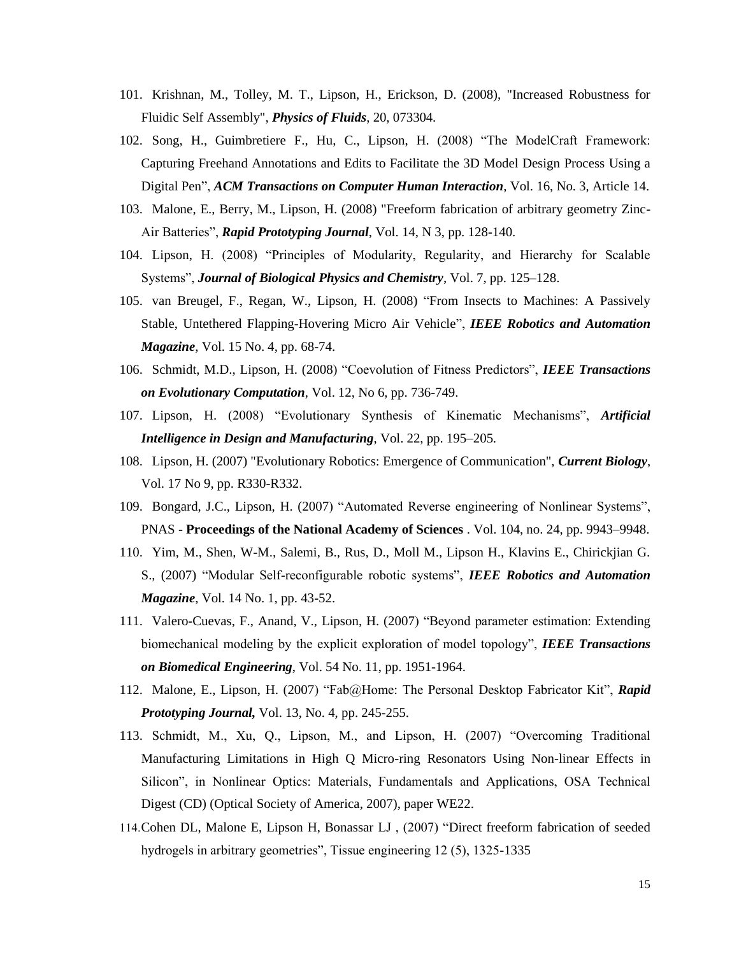- 101. Krishnan, M., Tolley, M. T., Lipson, H., Erickson, D. (2008), "Increased Robustness for Fluidic Self Assembly", *Physics of Fluids*, 20, 073304.
- 102. Song, H., Guimbretiere F., Hu, C., Lipson, H. (2008) "The ModelCraft Framework: Capturing Freehand Annotations and Edits to Facilitate the 3D Model Design Process Using a Digital Pen", *ACM Transactions on Computer Human Interaction*, Vol. 16, No. 3, Article 14.
- 103. Malone, E., Berry, M., Lipson, H. (2008) "Freeform fabrication of arbitrary geometry Zinc-Air Batteries", *Rapid Prototyping Journal*, Vol. 14, N 3, pp. 128-140.
- 104. Lipson, H. (2008) "Principles of Modularity, Regularity, and Hierarchy for Scalable Systems", *Journal of Biological Physics and Chemistry*, Vol. 7, pp. 125–128.
- 105. van Breugel, F., Regan, W., Lipson, H. (2008) "From Insects to Machines: A Passively Stable, Untethered Flapping-Hovering Micro Air Vehicle", *IEEE Robotics and Automation Magazine*, Vol. 15 No. 4, pp. 68-74.
- 106. Schmidt, M.D., Lipson, H. (2008) "Coevolution of Fitness Predictors", *IEEE Transactions on Evolutionary Computation*, Vol. 12, No 6, pp. 736-749.
- 107. Lipson, H. (2008) "Evolutionary Synthesis of Kinematic Mechanisms", *Artificial Intelligence in Design and Manufacturing*, Vol. 22, pp. 195–205.
- 108. Lipson, H. (2007) "Evolutionary Robotics: Emergence of Communication", *Current Biology*, Vol. 17 No 9, pp. R330-R332.
- 109. Bongard, J.C., Lipson, H. (2007) "Automated Reverse engineering of Nonlinear Systems", PNAS - **Proceedings of the National Academy of Sciences** . Vol. 104, no. 24, pp. 9943–9948.
- 110. Yim, M., Shen, W-M., Salemi, B., Rus, D., Moll M., Lipson H., Klavins E., Chirickjian G. S., (2007) "Modular Self-reconfigurable robotic systems", *IEEE Robotics and Automation Magazine*, Vol. 14 No. 1, pp. 43-52.
- 111. Valero-Cuevas, F., Anand, V., Lipson, H. (2007) "Beyond parameter estimation: Extending biomechanical modeling by the explicit exploration of model topology", *IEEE Transactions on Biomedical Engineering*, Vol. 54 No. 11, pp. 1951-1964.
- 112. Malone, E., Lipson, H. (2007) "Fab@Home: The Personal Desktop Fabricator Kit", *Rapid Prototyping Journal,* Vol. 13, No. 4, pp. 245-255.
- 113. Schmidt, M., Xu, Q., Lipson, M., and Lipson, H. (2007) "Overcoming Traditional Manufacturing Limitations in High Q Micro-ring Resonators Using Non-linear Effects in Silicon", in Nonlinear Optics: Materials, Fundamentals and Applications, OSA Technical Digest (CD) (Optical Society of America, 2007), paper WE22.
- 114.Cohen DL, Malone E, Lipson H, Bonassar LJ , (2007) "Direct freeform fabrication of seeded hydrogels in arbitrary geometries", Tissue engineering 12 (5), 1325-1335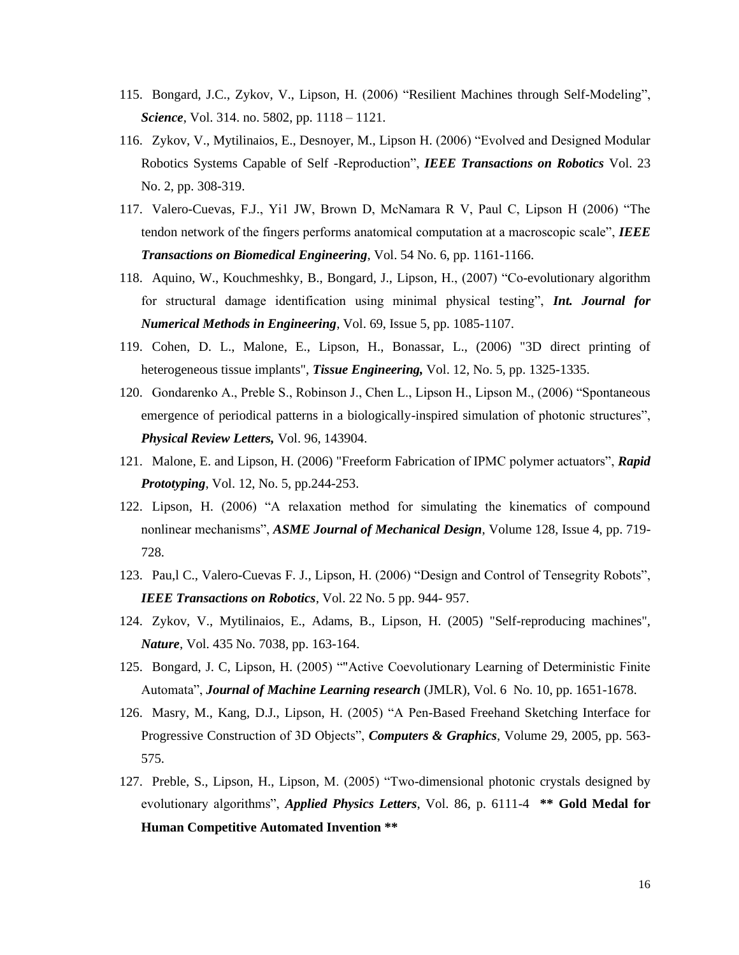- 115. Bongard, J.C., Zykov, V., Lipson, H. (2006) "Resilient Machines through Self-Modeling", *Science*, Vol. 314. no. 5802, pp. 1118 – 1121.
- 116. Zykov, V., Mytilinaios, E., Desnoyer, M., Lipson H. (2006) "Evolved and Designed Modular Robotics Systems Capable of Self -Reproduction", *IEEE Transactions on Robotics* Vol. 23 No. 2, pp. 308-319.
- 117. Valero-Cuevas, F.J., Yi1 JW, Brown D, McNamara R V, Paul C, Lipson H (2006) "The tendon network of the fingers performs anatomical computation at a macroscopic scale", *IEEE Transactions on Biomedical Engineering*, Vol. 54 No. 6, pp. 1161-1166.
- 118. Aquino, W., Kouchmeshky, B., Bongard, J., Lipson, H., (2007) "Co-evolutionary algorithm for structural damage identification using minimal physical testing", *Int. Journal for Numerical Methods in Engineering*, Vol. 69, Issue 5, pp. 1085-1107.
- 119. Cohen, D. L., Malone, E., Lipson, H., Bonassar, L., (2006) "3D direct printing of heterogeneous tissue implants", *Tissue Engineering,* Vol. 12, No. 5, pp. 1325-1335.
- 120. Gondarenko A., Preble S., Robinson J., Chen L., Lipson H., Lipson M., (2006) "Spontaneous emergence of periodical patterns in a biologically-inspired simulation of photonic structures", *Physical Review Letters,* Vol. 96, 143904.
- 121. Malone, E. and Lipson, H. (2006) "Freeform Fabrication of IPMC polymer actuators", *Rapid Prototyping*, Vol. 12, No. 5, pp.244-253.
- 122. Lipson, H. (2006) "A relaxation method for simulating the kinematics of compound nonlinear mechanisms", *ASME Journal of Mechanical Design*, Volume 128, Issue 4, pp. 719- 728.
- 123. Pau,l C., Valero-Cuevas F. J., Lipson, H. (2006) "Design and Control of Tensegrity Robots", *IEEE Transactions on Robotics*, Vol. 22 No. 5 pp. 944- 957.
- 124. Zykov, V., Mytilinaios, E., Adams, B., Lipson, H. (2005) "Self-reproducing machines", *Nature*, Vol. 435 No. 7038, pp. 163-164.
- 125. Bongard, J. C, Lipson, H. (2005) ""Active Coevolutionary Learning of Deterministic Finite Automata", *Journal of Machine Learning research* (JMLR), Vol. 6 No. 10, pp. 1651-1678.
- 126. Masry, M., Kang, D.J., Lipson, H. (2005) "A Pen-Based Freehand Sketching Interface for Progressive Construction of 3D Objects", *Computers & Graphics*, Volume 29, 2005, pp. 563- 575.
- 127. Preble, S., Lipson, H., Lipson, M. (2005) "Two-dimensional photonic crystals designed by evolutionary algorithms", *Applied Physics Letters*, Vol. 86, p. 6111-4 **\*\* Gold Medal for Human Competitive Automated Invention \*\***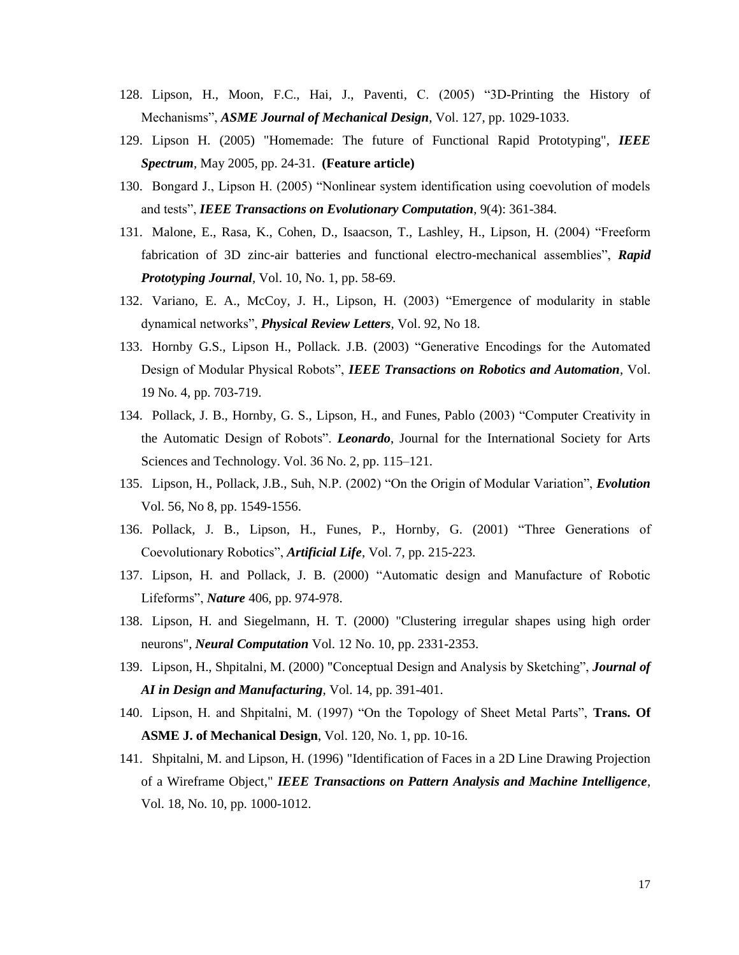- 128. Lipson, H., Moon, F.C., Hai, J., Paventi, C. (2005) "3D-Printing the History of Mechanisms", *ASME Journal of Mechanical Design*, Vol. 127, pp. 1029-1033.
- 129. Lipson H. (2005) "Homemade: The future of Functional Rapid Prototyping", *IEEE Spectrum*, May 2005, pp. 24-31. **(Feature article)**
- 130. Bongard J., Lipson H. (2005) "Nonlinear system identification using coevolution of models and tests", *IEEE Transactions on Evolutionary Computation*, 9(4): 361-384.
- 131. Malone, E., Rasa, K., Cohen, D., Isaacson, T., Lashley, H., Lipson, H. (2004) "Freeform fabrication of 3D zinc-air batteries and functional electro-mechanical assemblies", *Rapid Prototyping Journal*, Vol. 10, No. 1, pp. 58-69.
- 132. Variano, E. A., McCoy, J. H., Lipson, H. (2003) "Emergence of modularity in stable dynamical networks", *Physical Review Letters,* Vol. 92, No 18.
- 133. Hornby G.S., Lipson H., Pollack. J.B. (2003) "Generative Encodings for the Automated Design of Modular Physical Robots", *IEEE Transactions on Robotics and Automation*, Vol. 19 No. 4, pp. 703-719.
- 134. Pollack, J. B., Hornby, G. S., Lipson, H., and Funes, Pablo (2003) "Computer Creativity in the Automatic Design of Robots". *Leonardo*, Journal for the International Society for Arts Sciences and Technology. Vol. 36 No. 2, pp. 115–121.
- 135. Lipson, H., Pollack, J.B., Suh, N.P. (2002) "On the Origin of Modular Variation", *Evolution* Vol. 56, No 8, pp. 1549-1556.
- 136. Pollack, J. B., Lipson, H., Funes, P., Hornby, G. (2001) "Three Generations of Coevolutionary Robotics", *Artificial Life*, Vol. 7, pp. 215-223.
- 137. Lipson, H. and Pollack, J. B. (2000) "Automatic design and Manufacture of Robotic Lifeforms", *Nature* 406, pp. 974-978.
- 138. Lipson, H. and Siegelmann, H. T. (2000) "Clustering irregular shapes using high order neurons", *Neural Computation* Vol. 12 No. 10, pp. 2331-2353.
- 139. Lipson, H., Shpitalni, M. (2000) "Conceptual Design and Analysis by Sketching", *Journal of AI in Design and Manufacturing*, Vol. 14, pp. 391-401.
- 140. Lipson, H. and Shpitalni, M. (1997) "On the Topology of Sheet Metal Parts", **Trans. Of ASME J. of Mechanical Design**, Vol. 120, No. 1, pp. 10-16.
- 141. Shpitalni, M. and Lipson, H. (1996) "Identification of Faces in a 2D Line Drawing Projection of a Wireframe Object," *IEEE Transactions on Pattern Analysis and Machine Intelligence*, Vol. 18, No. 10, pp. 1000-1012.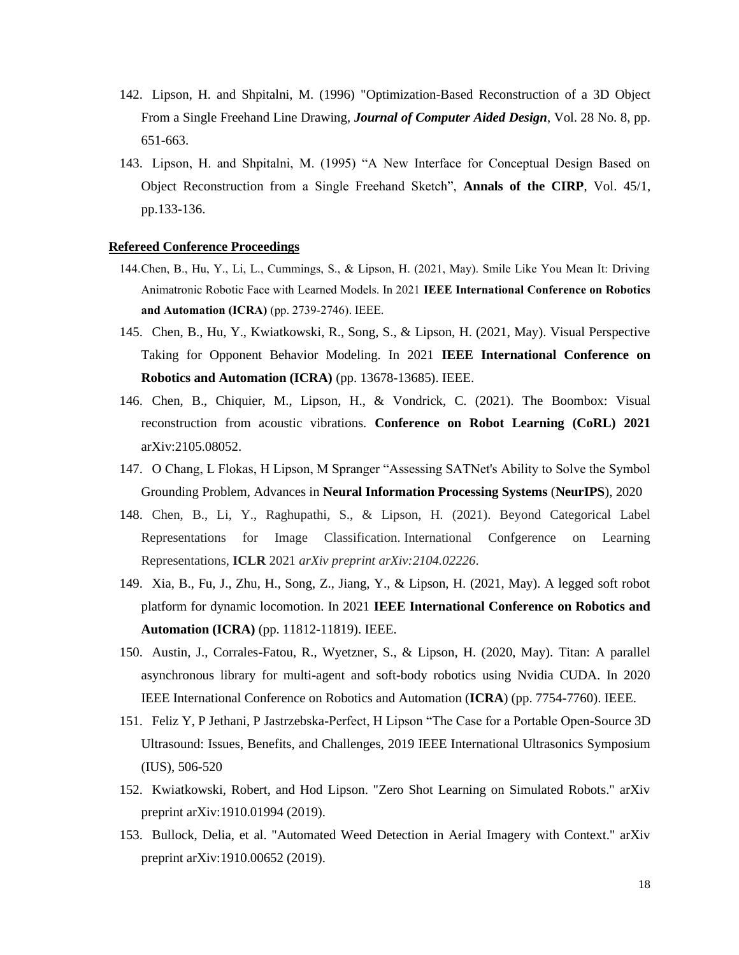- 142. Lipson, H. and Shpitalni, M. (1996) "Optimization-Based Reconstruction of a 3D Object From a Single Freehand Line Drawing, *Journal of Computer Aided Design*, Vol. 28 No. 8, pp. 651-663.
- 143. Lipson, H. and Shpitalni, M. (1995) "A New Interface for Conceptual Design Based on Object Reconstruction from a Single Freehand Sketch", **Annals of the CIRP**, Vol. 45/1, pp.133-136.

### **Refereed Conference Proceedings**

- 144.Chen, B., Hu, Y., Li, L., Cummings, S., & Lipson, H. (2021, May). Smile Like You Mean It: Driving Animatronic Robotic Face with Learned Models. In 2021 **IEEE International Conference on Robotics and Automation (ICRA)** (pp. 2739-2746). IEEE.
- 145. Chen, B., Hu, Y., Kwiatkowski, R., Song, S., & Lipson, H. (2021, May). Visual Perspective Taking for Opponent Behavior Modeling. In 2021 **IEEE International Conference on Robotics and Automation (ICRA)** (pp. 13678-13685). IEEE.
- 146. Chen, B., Chiquier, M., Lipson, H., & Vondrick, C. (2021). The Boombox: Visual reconstruction from acoustic vibrations. **Conference on Robot Learning (CoRL) 2021**  arXiv:2105.08052.
- 147. O Chang, L Flokas, H Lipson, M Spranger "Assessing SATNet's Ability to Solve the Symbol Grounding Problem, Advances in **Neural Information Processing Systems** (**NeurIPS**), 2020
- 148. Chen, B., Li, Y., Raghupathi, S., & Lipson, H. (2021). Beyond Categorical Label Representations for Image Classification. International Confgerence on Learning Representations, **ICLR** 2021 *arXiv preprint arXiv:2104.02226*.
- 149. Xia, B., Fu, J., Zhu, H., Song, Z., Jiang, Y., & Lipson, H. (2021, May). A legged soft robot platform for dynamic locomotion. In 2021 **IEEE International Conference on Robotics and Automation (ICRA)** (pp. 11812-11819). IEEE.
- 150. Austin, J., Corrales-Fatou, R., Wyetzner, S., & Lipson, H. (2020, May). Titan: A parallel asynchronous library for multi-agent and soft-body robotics using Nvidia CUDA. In 2020 IEEE International Conference on Robotics and Automation (**ICRA**) (pp. 7754-7760). IEEE.
- 151. Feliz Y, P Jethani, P Jastrzebska-Perfect, H Lipson "The Case for a Portable Open-Source 3D Ultrasound: Issues, Benefits, and Challenges, 2019 IEEE International Ultrasonics Symposium (IUS), 506-520
- 152. Kwiatkowski, Robert, and Hod Lipson. "Zero Shot Learning on Simulated Robots." arXiv preprint arXiv:1910.01994 (2019).
- 153. Bullock, Delia, et al. "Automated Weed Detection in Aerial Imagery with Context." arXiv preprint arXiv:1910.00652 (2019).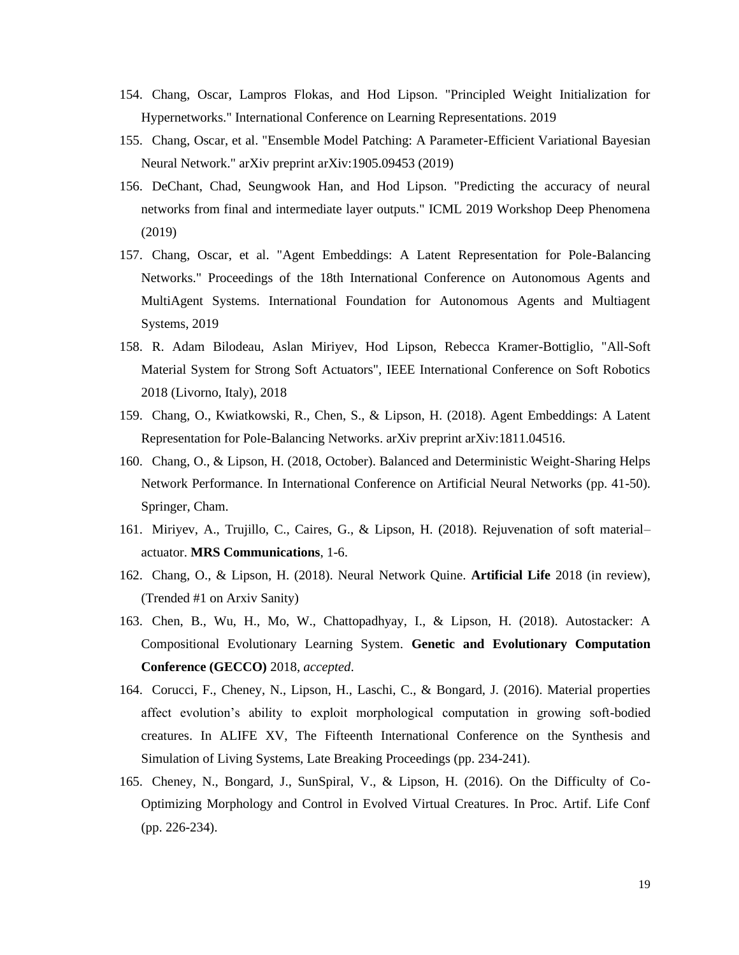- 154. Chang, Oscar, Lampros Flokas, and Hod Lipson. "Principled Weight Initialization for Hypernetworks." International Conference on Learning Representations. 2019
- 155. Chang, Oscar, et al. "Ensemble Model Patching: A Parameter-Efficient Variational Bayesian Neural Network." arXiv preprint arXiv:1905.09453 (2019)
- 156. DeChant, Chad, Seungwook Han, and Hod Lipson. "Predicting the accuracy of neural networks from final and intermediate layer outputs." ICML 2019 Workshop Deep Phenomena (2019)
- 157. Chang, Oscar, et al. "Agent Embeddings: A Latent Representation for Pole-Balancing Networks." Proceedings of the 18th International Conference on Autonomous Agents and MultiAgent Systems. International Foundation for Autonomous Agents and Multiagent Systems, 2019
- 158. R. Adam Bilodeau, Aslan Miriyev, Hod Lipson, Rebecca Kramer-Bottiglio, "All-Soft Material System for Strong Soft Actuators", IEEE International Conference on Soft Robotics 2018 (Livorno, Italy), 2018
- 159. Chang, O., Kwiatkowski, R., Chen, S., & Lipson, H. (2018). Agent Embeddings: A Latent Representation for Pole-Balancing Networks. arXiv preprint arXiv:1811.04516.
- 160. Chang, O., & Lipson, H. (2018, October). Balanced and Deterministic Weight-Sharing Helps Network Performance. In International Conference on Artificial Neural Networks (pp. 41-50). Springer, Cham.
- 161. Miriyev, A., Trujillo, C., Caires, G., & Lipson, H. (2018). Rejuvenation of soft material– actuator. **MRS Communications**, 1-6.
- 162. Chang, O., & Lipson, H. (2018). Neural Network Quine. **Artificial Life** 2018 (in review), (Trended #1 on Arxiv Sanity)
- 163. Chen, B., Wu, H., Mo, W., Chattopadhyay, I., & Lipson, H. (2018). Autostacker: A Compositional Evolutionary Learning System. **Genetic and Evolutionary Computation Conference (GECCO)** 2018, *accepted*.
- 164. Corucci, F., Cheney, N., Lipson, H., Laschi, C., & Bongard, J. (2016). Material properties affect evolution's ability to exploit morphological computation in growing soft-bodied creatures. In ALIFE XV, The Fifteenth International Conference on the Synthesis and Simulation of Living Systems, Late Breaking Proceedings (pp. 234-241).
- 165. Cheney, N., Bongard, J., SunSpiral, V., & Lipson, H. (2016). On the Difficulty of Co-Optimizing Morphology and Control in Evolved Virtual Creatures. In Proc. Artif. Life Conf (pp. 226-234).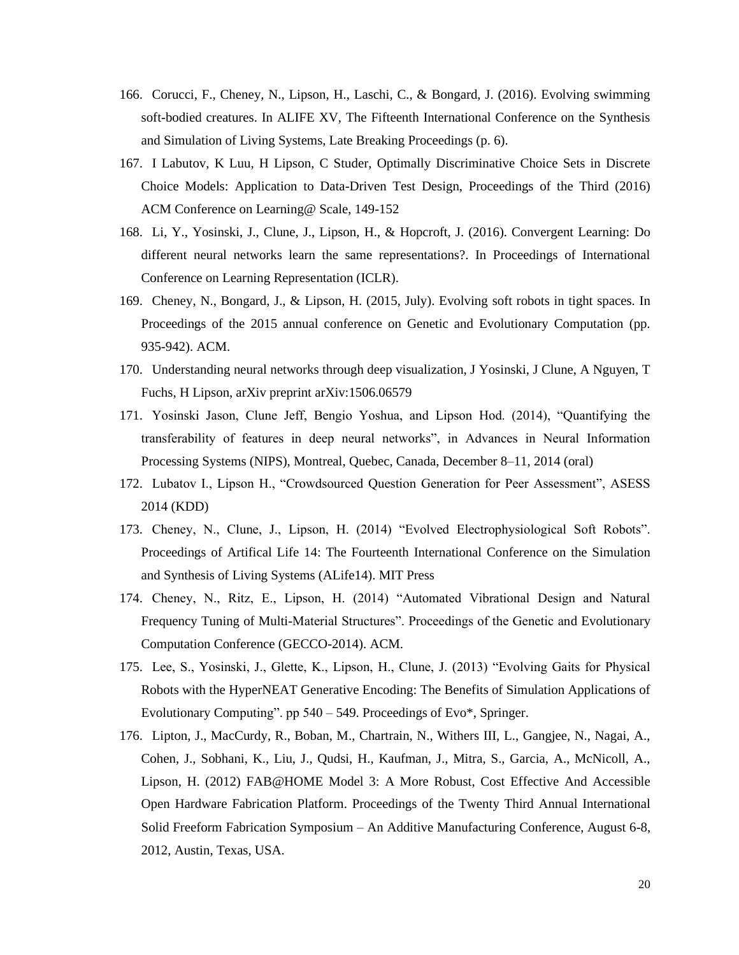- 166. Corucci, F., Cheney, N., Lipson, H., Laschi, C., & Bongard, J. (2016). Evolving swimming soft-bodied creatures. In ALIFE XV, The Fifteenth International Conference on the Synthesis and Simulation of Living Systems, Late Breaking Proceedings (p. 6).
- 167. I Labutov, K Luu, H Lipson, C Studer, Optimally Discriminative Choice Sets in Discrete Choice Models: Application to Data-Driven Test Design, Proceedings of the Third (2016) ACM Conference on Learning@ Scale, 149-152
- 168. Li, Y., Yosinski, J., Clune, J., Lipson, H., & Hopcroft, J. (2016). Convergent Learning: Do different neural networks learn the same representations?. In Proceedings of International Conference on Learning Representation (ICLR).
- 169. Cheney, N., Bongard, J., & Lipson, H. (2015, July). Evolving soft robots in tight spaces. In Proceedings of the 2015 annual conference on Genetic and Evolutionary Computation (pp. 935-942). ACM.
- 170. Understanding neural networks through deep visualization, J Yosinski, J Clune, A Nguyen, T Fuchs, H Lipson, arXiv preprint arXiv:1506.06579
- 171. Yosinski Jason, Clune Jeff, Bengio Yoshua, and Lipson Hod. (2014), "Quantifying the transferability of features in deep neural networks", in Advances in Neural Information Processing Systems (NIPS), Montreal, Quebec, Canada, December 8–11, 2014 (oral)
- 172. Lubatov I., Lipson H., "Crowdsourced Question Generation for Peer Assessment", ASESS 2014 (KDD)
- 173. Cheney, N., Clune, J., Lipson, H. (2014) "Evolved Electrophysiological Soft Robots". Proceedings of Artifical Life 14: The Fourteenth International Conference on the Simulation and Synthesis of Living Systems (ALife14). MIT Press
- 174. Cheney, N., Ritz, E., Lipson, H. (2014) "Automated Vibrational Design and Natural Frequency Tuning of Multi-Material Structures". Proceedings of the Genetic and Evolutionary Computation Conference (GECCO-2014). ACM.
- 175. Lee, S., Yosinski, J., Glette, K., Lipson, H., Clune, J. (2013) "Evolving Gaits for Physical Robots with the HyperNEAT Generative Encoding: The Benefits of Simulation Applications of Evolutionary Computing". pp 540 – 549. Proceedings of Evo\*, Springer.
- 176. Lipton, J., MacCurdy, R., Boban, M., Chartrain, N., Withers III, L., Gangjee, N., Nagai, A., Cohen, J., Sobhani, K., Liu, J., Qudsi, H., Kaufman, J., Mitra, S., Garcia, A., McNicoll, A., Lipson, H. (2012) FAB@HOME Model 3: A More Robust, Cost Effective And Accessible Open Hardware Fabrication Platform. Proceedings of the Twenty Third Annual International Solid Freeform Fabrication Symposium – An Additive Manufacturing Conference, August 6-8, 2012, Austin, Texas, USA.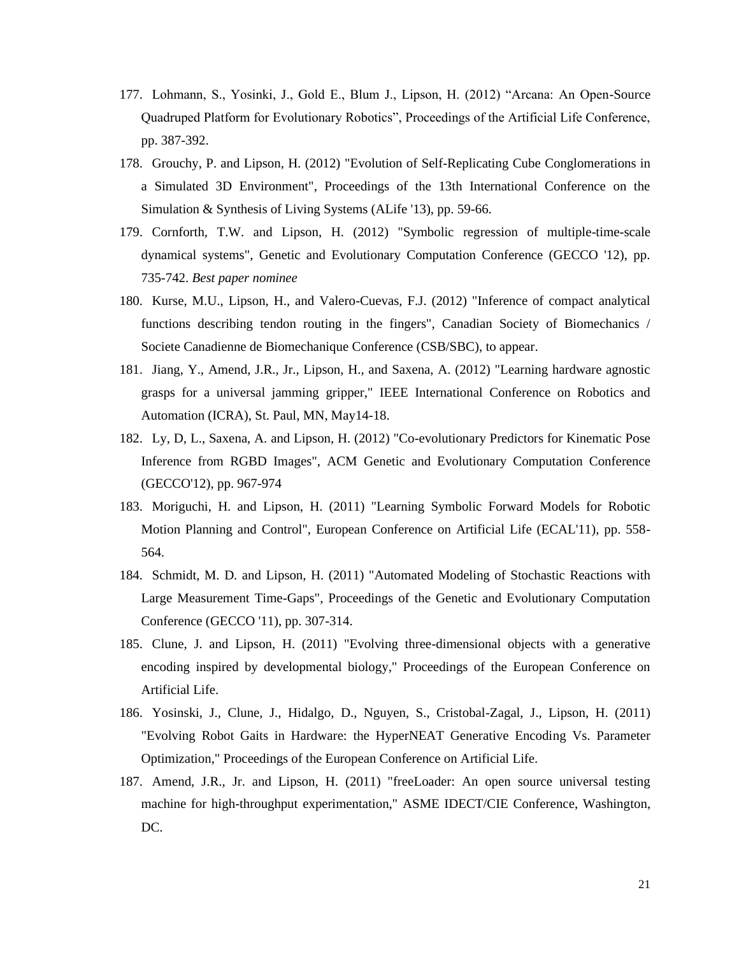- 177. Lohmann, S., Yosinki, J., Gold E., Blum J., Lipson, H. (2012) "Arcana: An Open-Source Quadruped Platform for Evolutionary Robotics", Proceedings of the Artificial Life Conference, pp. 387-392.
- 178. Grouchy, P. and Lipson, H. (2012) "Evolution of Self-Replicating Cube Conglomerations in a Simulated 3D Environment", Proceedings of the 13th International Conference on the Simulation & Synthesis of Living Systems (ALife '13), pp. 59-66.
- 179. Cornforth, T.W. and Lipson, H. (2012) "Symbolic regression of multiple-time-scale dynamical systems", Genetic and Evolutionary Computation Conference (GECCO '12), pp. 735-742. *Best paper nominee*
- 180. Kurse, M.U., Lipson, H., and Valero-Cuevas, F.J. (2012) "Inference of compact analytical functions describing tendon routing in the fingers", Canadian Society of Biomechanics / Societe Canadienne de Biomechanique Conference (CSB/SBC), to appear.
- 181. Jiang, Y., Amend, J.R., Jr., Lipson, H., and Saxena, A. (2012) "Learning hardware agnostic grasps for a universal jamming gripper," IEEE International Conference on Robotics and Automation (ICRA), St. Paul, MN, May14-18.
- 182. Ly, D, L., Saxena, A. and Lipson, H. (2012) "Co-evolutionary Predictors for Kinematic Pose Inference from RGBD Images", ACM Genetic and Evolutionary Computation Conference (GECCO'12), pp. 967-974
- 183. Moriguchi, H. and Lipson, H. (2011) "Learning Symbolic Forward Models for Robotic Motion Planning and Control", European Conference on Artificial Life (ECAL'11), pp. 558- 564.
- 184. Schmidt, M. D. and Lipson, H. (2011) "Automated Modeling of Stochastic Reactions with Large Measurement Time-Gaps", Proceedings of the Genetic and Evolutionary Computation Conference (GECCO '11), pp. 307-314.
- 185. Clune, J. and Lipson, H. (2011) "Evolving three-dimensional objects with a generative encoding inspired by developmental biology," Proceedings of the European Conference on Artificial Life.
- 186. Yosinski, J., Clune, J., Hidalgo, D., Nguyen, S., Cristobal-Zagal, J., Lipson, H. (2011) "Evolving Robot Gaits in Hardware: the HyperNEAT Generative Encoding Vs. Parameter Optimization," Proceedings of the European Conference on Artificial Life.
- 187. Amend, J.R., Jr. and Lipson, H. (2011) "freeLoader: An open source universal testing machine for high-throughput experimentation," ASME IDECT/CIE Conference, Washington, DC.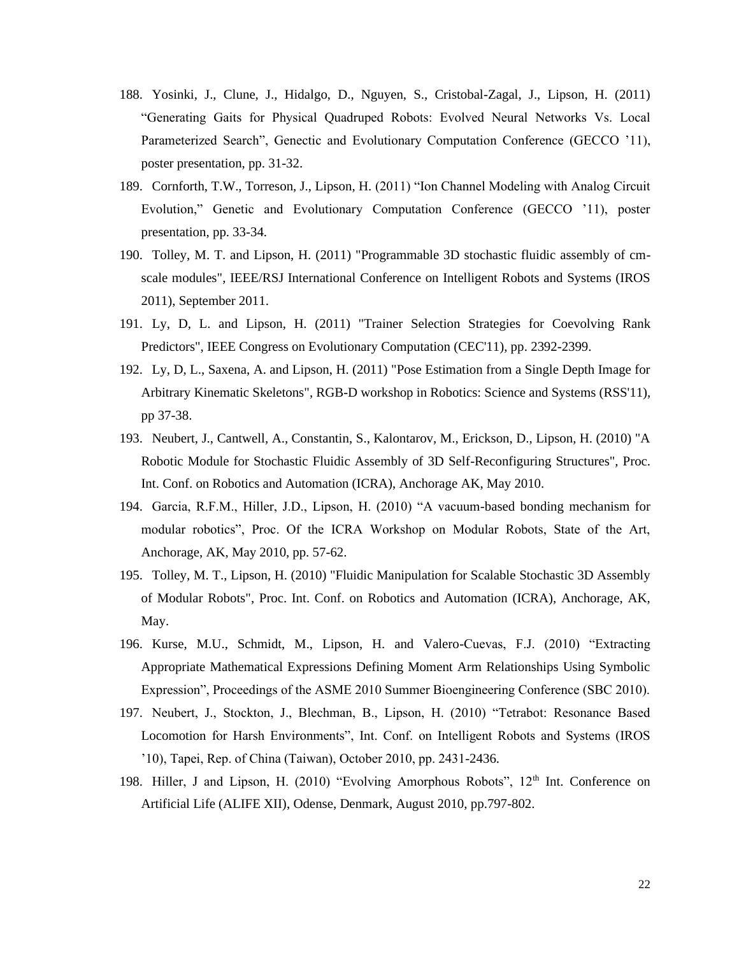- 188. Yosinki, J., Clune, J., Hidalgo, D., Nguyen, S., Cristobal-Zagal, J., Lipson, H. (2011) "Generating Gaits for Physical Quadruped Robots: Evolved Neural Networks Vs. Local Parameterized Search", Genectic and Evolutionary Computation Conference (GECCO '11), poster presentation, pp. 31-32.
- 189. Cornforth, T.W., Torreson, J., Lipson, H. (2011) "Ion Channel Modeling with Analog Circuit Evolution," Genetic and Evolutionary Computation Conference (GECCO '11), poster presentation, pp. 33-34.
- 190. Tolley, M. T. and Lipson, H. (2011) "Programmable 3D stochastic fluidic assembly of cmscale modules", IEEE/RSJ International Conference on Intelligent Robots and Systems (IROS 2011), September 2011.
- 191. Ly, D, L. and Lipson, H. (2011) "Trainer Selection Strategies for Coevolving Rank Predictors", IEEE Congress on Evolutionary Computation (CEC'11), pp. 2392-2399.
- 192. Ly, D, L., Saxena, A. and Lipson, H. (2011) "Pose Estimation from a Single Depth Image for Arbitrary Kinematic Skeletons", RGB-D workshop in Robotics: Science and Systems (RSS'11), pp 37-38.
- 193. Neubert, J., Cantwell, A., Constantin, S., Kalontarov, M., Erickson, D., Lipson, H. (2010) "A Robotic Module for Stochastic Fluidic Assembly of 3D Self-Reconfiguring Structures", Proc. Int. Conf. on Robotics and Automation (ICRA), Anchorage AK, May 2010.
- 194. Garcia, R.F.M., Hiller, J.D., Lipson, H. (2010) "A vacuum-based bonding mechanism for modular robotics", Proc. Of the ICRA Workshop on Modular Robots, State of the Art, Anchorage, AK, May 2010, pp. 57-62.
- 195. Tolley, M. T., Lipson, H. (2010) "Fluidic Manipulation for Scalable Stochastic 3D Assembly of Modular Robots", Proc. Int. Conf. on Robotics and Automation (ICRA), Anchorage, AK, May.
- 196. Kurse, M.U., Schmidt, M., Lipson, H. and Valero-Cuevas, F.J. (2010) "Extracting Appropriate Mathematical Expressions Defining Moment Arm Relationships Using Symbolic Expression", Proceedings of the ASME 2010 Summer Bioengineering Conference (SBC 2010).
- 197. Neubert, J., Stockton, J., Blechman, B., Lipson, H. (2010) "Tetrabot: Resonance Based Locomotion for Harsh Environments", Int. Conf. on Intelligent Robots and Systems (IROS '10), Tapei, Rep. of China (Taiwan), October 2010, pp. 2431-2436.
- 198. Hiller, J and Lipson, H. (2010) "Evolving Amorphous Robots", 12<sup>th</sup> Int. Conference on Artificial Life (ALIFE XII), Odense, Denmark, August 2010, pp.797-802.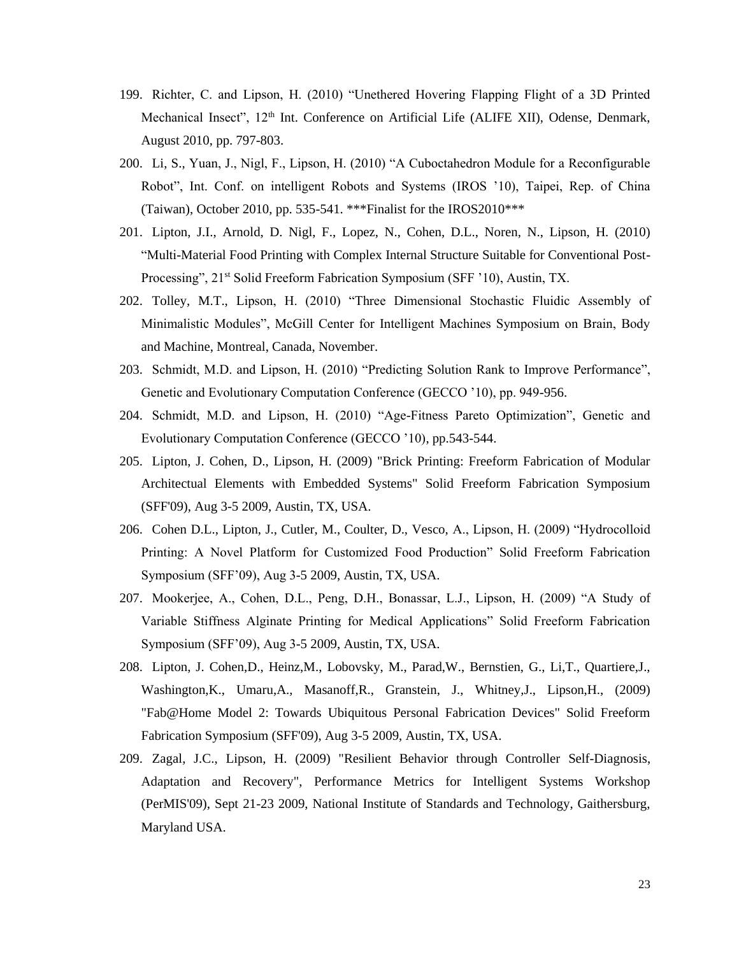- 199. Richter, C. and Lipson, H. (2010) "Unethered Hovering Flapping Flight of a 3D Printed Mechanical Insect", 12<sup>th</sup> Int. Conference on Artificial Life (ALIFE XII), Odense, Denmark, August 2010, pp. 797-803.
- 200. Li, S., Yuan, J., Nigl, F., Lipson, H. (2010) "A Cuboctahedron Module for a Reconfigurable Robot", Int. Conf. on intelligent Robots and Systems (IROS '10), Taipei, Rep. of China (Taiwan), October 2010, pp. 535-541. \*\*\*Finalist for the IROS2010\*\*\*
- 201. Lipton, J.I., Arnold, D. Nigl, F., Lopez, N., Cohen, D.L., Noren, N., Lipson, H. (2010) "Multi-Material Food Printing with Complex Internal Structure Suitable for Conventional Post-Processing", 21<sup>st</sup> Solid Freeform Fabrication Symposium (SFF '10), Austin, TX.
- 202. Tolley, M.T., Lipson, H. (2010) "Three Dimensional Stochastic Fluidic Assembly of Minimalistic Modules", McGill Center for Intelligent Machines Symposium on Brain, Body and Machine, Montreal, Canada, November.
- 203. Schmidt, M.D. and Lipson, H. (2010) "Predicting Solution Rank to Improve Performance", Genetic and Evolutionary Computation Conference (GECCO '10), pp. 949-956.
- 204. Schmidt, M.D. and Lipson, H. (2010) "Age-Fitness Pareto Optimization", Genetic and Evolutionary Computation Conference (GECCO '10), pp.543-544.
- 205. Lipton, J. Cohen, D., Lipson, H. (2009) "Brick Printing: Freeform Fabrication of Modular Architectual Elements with Embedded Systems" Solid Freeform Fabrication Symposium (SFF'09), Aug 3-5 2009, Austin, TX, USA.
- 206. Cohen D.L., Lipton, J., Cutler, M., Coulter, D., Vesco, A., Lipson, H. (2009) "Hydrocolloid Printing: A Novel Platform for Customized Food Production" Solid Freeform Fabrication Symposium (SFF'09), Aug 3-5 2009, Austin, TX, USA.
- 207. Mookerjee, A., Cohen, D.L., Peng, D.H., Bonassar, L.J., Lipson, H. (2009) "A Study of Variable Stiffness Alginate Printing for Medical Applications" Solid Freeform Fabrication Symposium (SFF'09), Aug 3-5 2009, Austin, TX, USA.
- 208. Lipton, J. Cohen,D., Heinz,M., Lobovsky, M., Parad,W., Bernstien, G., Li,T., Quartiere,J., Washington,K., Umaru,A., Masanoff,R., Granstein, J., Whitney,J., Lipson,H., (2009) "Fab@Home Model 2: Towards Ubiquitous Personal Fabrication Devices" Solid Freeform Fabrication Symposium (SFF'09), Aug 3-5 2009, Austin, TX, USA.
- 209. Zagal, J.C., Lipson, H. (2009) "Resilient Behavior through Controller Self-Diagnosis, Adaptation and Recovery", Performance Metrics for Intelligent Systems Workshop (PerMIS'09), Sept 21-23 2009, National Institute of Standards and Technology, Gaithersburg, Maryland USA.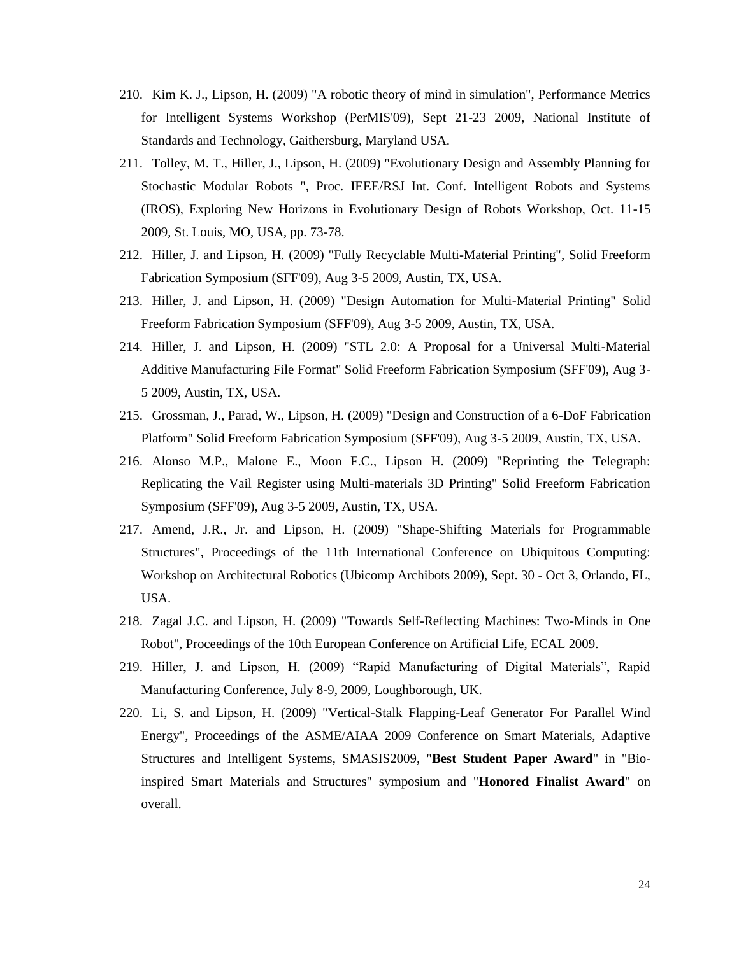- 210. Kim K. J., Lipson, H. (2009) "A robotic theory of mind in simulation", Performance Metrics for Intelligent Systems Workshop (PerMIS'09), Sept 21-23 2009, National Institute of Standards and Technology, Gaithersburg, Maryland USA.
- 211. Tolley, M. T., Hiller, J., Lipson, H. (2009) "Evolutionary Design and Assembly Planning for Stochastic Modular Robots ", Proc. IEEE/RSJ Int. Conf. Intelligent Robots and Systems (IROS), Exploring New Horizons in Evolutionary Design of Robots Workshop, Oct. 11-15 2009, St. Louis, MO, USA, pp. 73-78.
- 212. Hiller, J. and Lipson, H. (2009) "Fully Recyclable Multi-Material Printing", Solid Freeform Fabrication Symposium (SFF'09), Aug 3-5 2009, Austin, TX, USA.
- 213. Hiller, J. and Lipson, H. (2009) "Design Automation for Multi-Material Printing" Solid Freeform Fabrication Symposium (SFF'09), Aug 3-5 2009, Austin, TX, USA.
- 214. Hiller, J. and Lipson, H. (2009) "STL 2.0: A Proposal for a Universal Multi-Material Additive Manufacturing File Format" Solid Freeform Fabrication Symposium (SFF'09), Aug 3- 5 2009, Austin, TX, USA.
- 215. Grossman, J., Parad, W., Lipson, H. (2009) "Design and Construction of a 6-DoF Fabrication Platform" Solid Freeform Fabrication Symposium (SFF'09), Aug 3-5 2009, Austin, TX, USA.
- 216. Alonso M.P., Malone E., Moon F.C., Lipson H. (2009) "Reprinting the Telegraph: Replicating the Vail Register using Multi-materials 3D Printing" Solid Freeform Fabrication Symposium (SFF'09), Aug 3-5 2009, Austin, TX, USA.
- 217. Amend, J.R., Jr. and Lipson, H. (2009) "Shape-Shifting Materials for Programmable Structures", Proceedings of the 11th International Conference on Ubiquitous Computing: Workshop on Architectural Robotics (Ubicomp Archibots 2009), Sept. 30 - Oct 3, Orlando, FL, USA.
- 218. Zagal J.C. and Lipson, H. (2009) "Towards Self-Reflecting Machines: Two-Minds in One Robot", Proceedings of the 10th European Conference on Artificial Life, ECAL 2009.
- 219. Hiller, J. and Lipson, H. (2009) "Rapid Manufacturing of Digital Materials", Rapid Manufacturing Conference, July 8-9, 2009, Loughborough, UK.
- 220. Li, S. and Lipson, H. (2009) "Vertical-Stalk Flapping-Leaf Generator For Parallel Wind Energy", Proceedings of the ASME/AIAA 2009 Conference on Smart Materials, Adaptive Structures and Intelligent Systems, SMASIS2009, "**Best Student Paper Award**" in "Bioinspired Smart Materials and Structures" symposium and "**Honored Finalist Award**" on overall.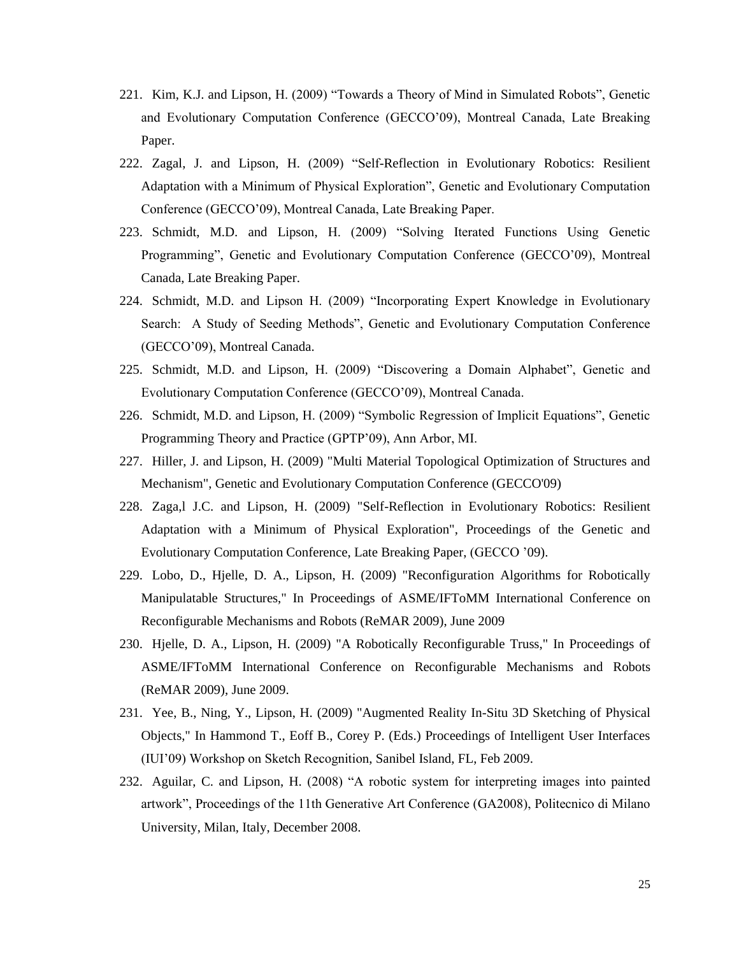- 221. Kim, K.J. and Lipson, H. (2009) "Towards a Theory of Mind in Simulated Robots", Genetic and Evolutionary Computation Conference (GECCO'09), Montreal Canada, Late Breaking Paper.
- 222. Zagal, J. and Lipson, H. (2009) "Self-Reflection in Evolutionary Robotics: Resilient Adaptation with a Minimum of Physical Exploration", Genetic and Evolutionary Computation Conference (GECCO'09), Montreal Canada, Late Breaking Paper.
- 223. Schmidt, M.D. and Lipson, H. (2009) "Solving Iterated Functions Using Genetic Programming", Genetic and Evolutionary Computation Conference (GECCO'09), Montreal Canada, Late Breaking Paper.
- 224. Schmidt, M.D. and Lipson H. (2009) "Incorporating Expert Knowledge in Evolutionary Search: A Study of Seeding Methods", Genetic and Evolutionary Computation Conference (GECCO'09), Montreal Canada.
- 225. Schmidt, M.D. and Lipson, H. (2009) "Discovering a Domain Alphabet", Genetic and Evolutionary Computation Conference (GECCO'09), Montreal Canada.
- 226. Schmidt, M.D. and Lipson, H. (2009) "Symbolic Regression of Implicit Equations", Genetic Programming Theory and Practice (GPTP'09), Ann Arbor, MI.
- 227. Hiller, J. and Lipson, H. (2009) "Multi Material Topological Optimization of Structures and Mechanism", Genetic and Evolutionary Computation Conference (GECCO'09)
- 228. Zaga,l J.C. and Lipson, H. (2009) "Self-Reflection in Evolutionary Robotics: Resilient Adaptation with a Minimum of Physical Exploration", Proceedings of the Genetic and Evolutionary Computation Conference, Late Breaking Paper, (GECCO '09).
- 229. Lobo, D., Hjelle, D. A., Lipson, H. (2009) "Reconfiguration Algorithms for Robotically Manipulatable Structures," In Proceedings of ASME/IFToMM International Conference on Reconfigurable Mechanisms and Robots (ReMAR 2009), June 2009
- 230. Hjelle, D. A., Lipson, H. (2009) "A Robotically Reconfigurable Truss," In Proceedings of ASME/IFToMM International Conference on Reconfigurable Mechanisms and Robots (ReMAR 2009), June 2009.
- 231. Yee, B., Ning, Y., Lipson, H. (2009) "Augmented Reality In-Situ 3D Sketching of Physical Objects," In Hammond T., Eoff B., Corey P. (Eds.) Proceedings of Intelligent User Interfaces (IUI'09) Workshop on Sketch Recognition, Sanibel Island, FL, Feb 2009.
- 232. Aguilar, C. and Lipson, H. (2008) "A robotic system for interpreting images into painted artwork", Proceedings of the 11th Generative Art Conference (GA2008), Politecnico di Milano University, Milan, Italy, December 2008.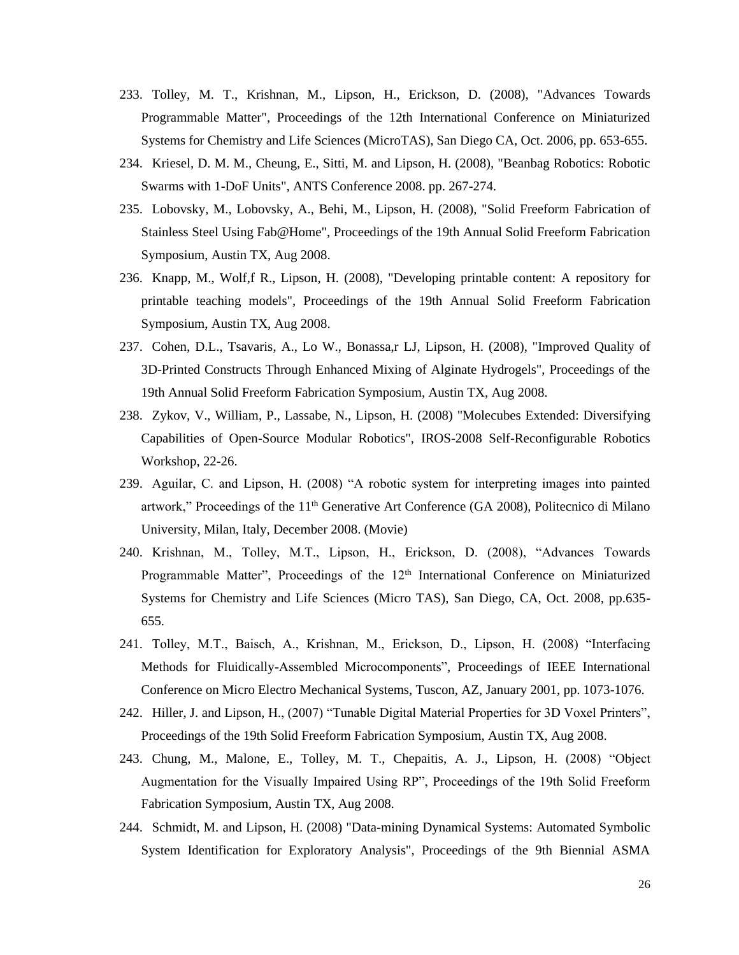- 233. Tolley, M. T., Krishnan, M., Lipson, H., Erickson, D. (2008), "Advances Towards Programmable Matter", Proceedings of the 12th International Conference on Miniaturized Systems for Chemistry and Life Sciences (MicroTAS), San Diego CA, Oct. 2006, pp. 653-655.
- 234. Kriesel, D. M. M., Cheung, E., Sitti, M. and Lipson, H. (2008), "Beanbag Robotics: Robotic Swarms with 1-DoF Units", ANTS Conference 2008. pp. 267-274.
- 235. Lobovsky, M., Lobovsky, A., Behi, M., Lipson, H. (2008), "Solid Freeform Fabrication of Stainless Steel Using Fab@Home", Proceedings of the 19th Annual Solid Freeform Fabrication Symposium, Austin TX, Aug 2008.
- 236. Knapp, M., Wolf,f R., Lipson, H. (2008), "Developing printable content: A repository for printable teaching models", Proceedings of the 19th Annual Solid Freeform Fabrication Symposium, Austin TX, Aug 2008.
- 237. Cohen, D.L., Tsavaris, A., Lo W., Bonassa,r LJ, Lipson, H. (2008), "Improved Quality of 3D-Printed Constructs Through Enhanced Mixing of Alginate Hydrogels", Proceedings of the 19th Annual Solid Freeform Fabrication Symposium, Austin TX, Aug 2008.
- 238. Zykov, V., William, P., Lassabe, N., Lipson, H. (2008) "Molecubes Extended: Diversifying Capabilities of Open-Source Modular Robotics", IROS-2008 Self-Reconfigurable Robotics Workshop, 22-26.
- 239. Aguilar, C. and Lipson, H. (2008) "A robotic system for interpreting images into painted artwork," Proceedings of the  $11<sup>th</sup>$  Generative Art Conference (GA 2008), Politecnico di Milano University, Milan, Italy, December 2008. (Movie)
- 240. Krishnan, M., Tolley, M.T., Lipson, H., Erickson, D. (2008), "Advances Towards Programmable Matter", Proceedings of the 12<sup>th</sup> International Conference on Miniaturized Systems for Chemistry and Life Sciences (Micro TAS), San Diego, CA, Oct. 2008, pp.635- 655.
- 241. Tolley, M.T., Baisch, A., Krishnan, M., Erickson, D., Lipson, H. (2008) "Interfacing Methods for Fluidically-Assembled Microcomponents", Proceedings of IEEE International Conference on Micro Electro Mechanical Systems, Tuscon, AZ, January 2001, pp. 1073-1076.
- 242. Hiller, J. and Lipson, H., (2007) "Tunable Digital Material Properties for 3D Voxel Printers", Proceedings of the 19th Solid Freeform Fabrication Symposium, Austin TX, Aug 2008.
- 243. Chung, M., Malone, E., Tolley, M. T., Chepaitis, A. J., Lipson, H. (2008) "Object Augmentation for the Visually Impaired Using RP", Proceedings of the 19th Solid Freeform Fabrication Symposium, Austin TX, Aug 2008.
- 244. Schmidt, M. and Lipson, H. (2008) "Data-mining Dynamical Systems: Automated Symbolic System Identification for Exploratory Analysis", Proceedings of the 9th Biennial ASMA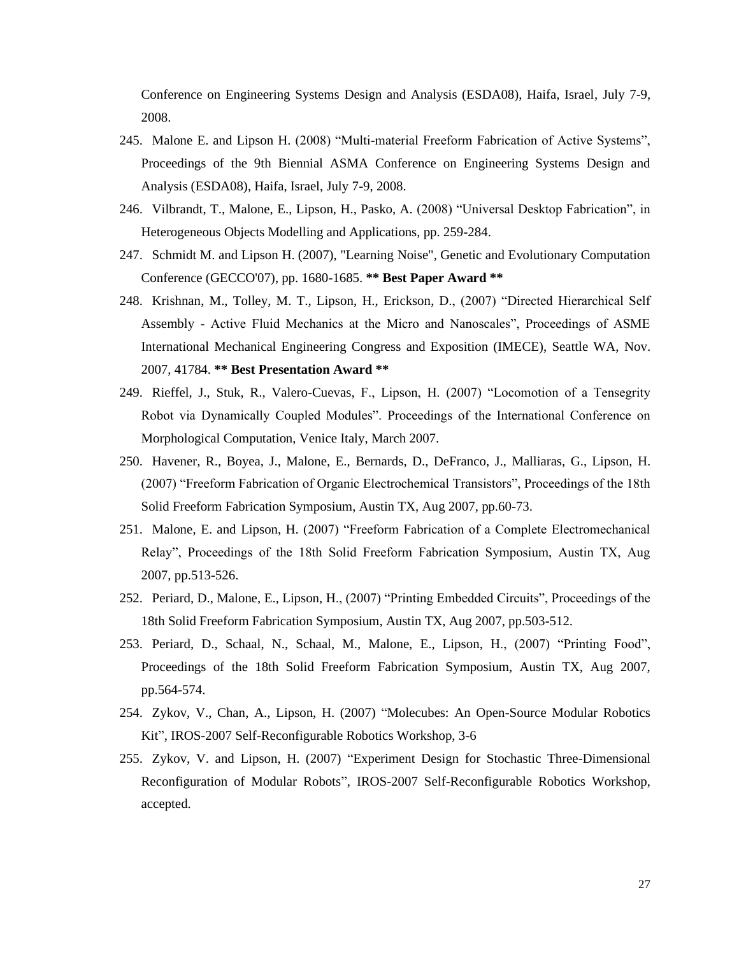Conference on Engineering Systems Design and Analysis (ESDA08), Haifa, Israel, July 7-9, 2008.

- 245. Malone E. and Lipson H. (2008) "Multi-material Freeform Fabrication of Active Systems", Proceedings of the 9th Biennial ASMA Conference on Engineering Systems Design and Analysis (ESDA08), Haifa, Israel, July 7-9, 2008.
- 246. Vilbrandt, T., Malone, E., Lipson, H., Pasko, A. (2008) "Universal Desktop Fabrication", in Heterogeneous Objects Modelling and Applications, pp. 259-284.
- 247. Schmidt M. and Lipson H. (2007), "Learning Noise", Genetic and Evolutionary Computation Conference (GECCO'07), pp. 1680-1685. **\*\* Best Paper Award \*\***
- 248. Krishnan, M., Tolley, M. T., Lipson, H., Erickson, D., (2007) "Directed Hierarchical Self Assembly - Active Fluid Mechanics at the Micro and Nanoscales", Proceedings of ASME International Mechanical Engineering Congress and Exposition (IMECE), Seattle WA, Nov. 2007, 41784. **\*\* Best Presentation Award \*\***
- 249. Rieffel, J., Stuk, R., Valero-Cuevas, F., Lipson, H. (2007) "Locomotion of a Tensegrity Robot via Dynamically Coupled Modules". Proceedings of the International Conference on Morphological Computation, Venice Italy, March 2007.
- 250. Havener, R., Boyea, J., Malone, E., Bernards, D., DeFranco, J., Malliaras, G., Lipson, H. (2007) "Freeform Fabrication of Organic Electrochemical Transistors", Proceedings of the 18th Solid Freeform Fabrication Symposium, Austin TX, Aug 2007, pp.60-73.
- 251. Malone, E. and Lipson, H. (2007) "Freeform Fabrication of a Complete Electromechanical Relay", Proceedings of the 18th Solid Freeform Fabrication Symposium, Austin TX, Aug 2007, pp.513-526.
- 252. Periard, D., Malone, E., Lipson, H., (2007) "Printing Embedded Circuits", Proceedings of the 18th Solid Freeform Fabrication Symposium, Austin TX, Aug 2007, pp.503-512.
- 253. Periard, D., Schaal, N., Schaal, M., Malone, E., Lipson, H., (2007) "Printing Food", Proceedings of the 18th Solid Freeform Fabrication Symposium, Austin TX, Aug 2007, pp.564-574.
- 254. Zykov, V., Chan, A., Lipson, H. (2007) "Molecubes: An Open-Source Modular Robotics Kit", IROS-2007 Self-Reconfigurable Robotics Workshop, 3-6
- 255. Zykov, V. and Lipson, H. (2007) "Experiment Design for Stochastic Three-Dimensional Reconfiguration of Modular Robots", IROS-2007 Self-Reconfigurable Robotics Workshop, accepted.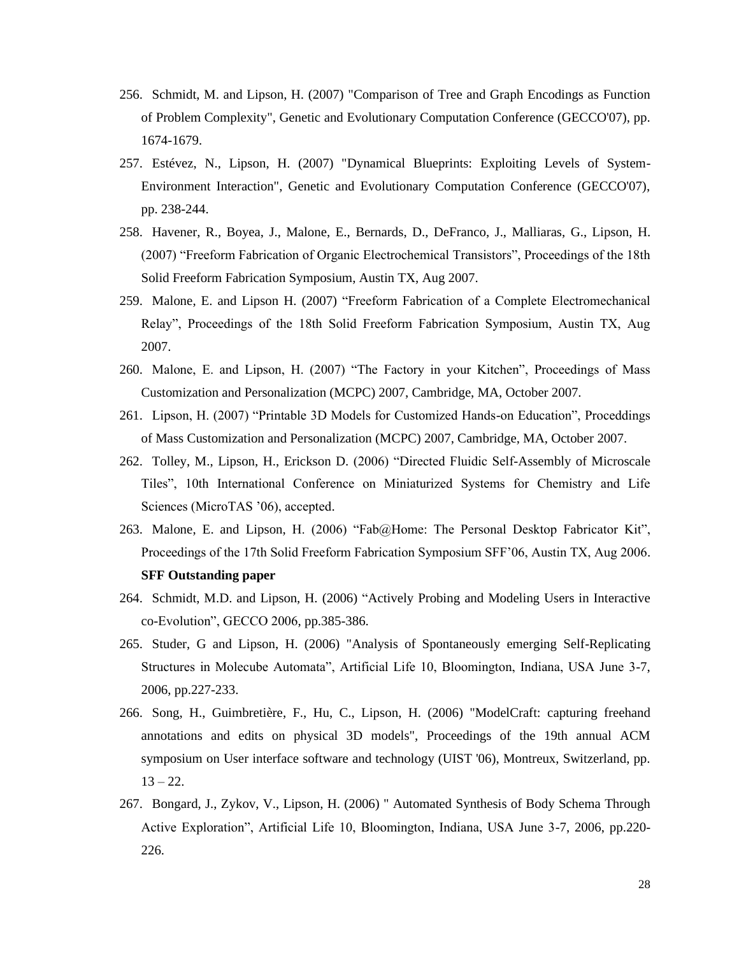- 256. Schmidt, M. and Lipson, H. (2007) "Comparison of Tree and Graph Encodings as Function of Problem Complexity", Genetic and Evolutionary Computation Conference (GECCO'07), pp. 1674-1679.
- 257. Estévez, N., Lipson, H. (2007) "Dynamical Blueprints: Exploiting Levels of System-Environment Interaction", Genetic and Evolutionary Computation Conference (GECCO'07), pp. 238-244.
- 258. Havener, R., Boyea, J., Malone, E., Bernards, D., DeFranco, J., Malliaras, G., Lipson, H. (2007) "Freeform Fabrication of Organic Electrochemical Transistors", Proceedings of the 18th Solid Freeform Fabrication Symposium, Austin TX, Aug 2007.
- 259. Malone, E. and Lipson H. (2007) "Freeform Fabrication of a Complete Electromechanical Relay", Proceedings of the 18th Solid Freeform Fabrication Symposium, Austin TX, Aug 2007.
- 260. Malone, E. and Lipson, H. (2007) "The Factory in your Kitchen", Proceedings of Mass Customization and Personalization (MCPC) 2007, Cambridge, MA, October 2007.
- 261. Lipson, H. (2007) "Printable 3D Models for Customized Hands-on Education", Proceddings of Mass Customization and Personalization (MCPC) 2007, Cambridge, MA, October 2007.
- 262. Tolley, M., Lipson, H., Erickson D. (2006) "Directed Fluidic Self-Assembly of Microscale Tiles", 10th International Conference on Miniaturized Systems for Chemistry and Life Sciences (MicroTAS '06), accepted.
- 263. Malone, E. and Lipson, H. (2006) "Fab@Home: The Personal Desktop Fabricator Kit", Proceedings of the 17th Solid Freeform Fabrication Symposium SFF'06, Austin TX, Aug 2006. **SFF Outstanding paper**
- 264. Schmidt, M.D. and Lipson, H. (2006) "Actively Probing and Modeling Users in Interactive co-Evolution", GECCO 2006, pp.385-386.
- 265. Studer, G and Lipson, H. (2006) "Analysis of Spontaneously emerging Self-Replicating Structures in Molecube Automata", Artificial Life 10, Bloomington, Indiana, USA June 3-7, 2006, pp.227-233.
- 266. Song, H., Guimbretière, F., Hu, C., Lipson, H. (2006) "ModelCraft: capturing freehand annotations and edits on physical 3D models", Proceedings of the 19th annual ACM symposium on User interface software and technology (UIST '06), Montreux, Switzerland, pp.  $13 - 22.$
- 267. Bongard, J., Zykov, V., Lipson, H. (2006) " Automated Synthesis of Body Schema Through Active Exploration", Artificial Life 10, Bloomington, Indiana, USA June 3-7, 2006, pp.220- 226.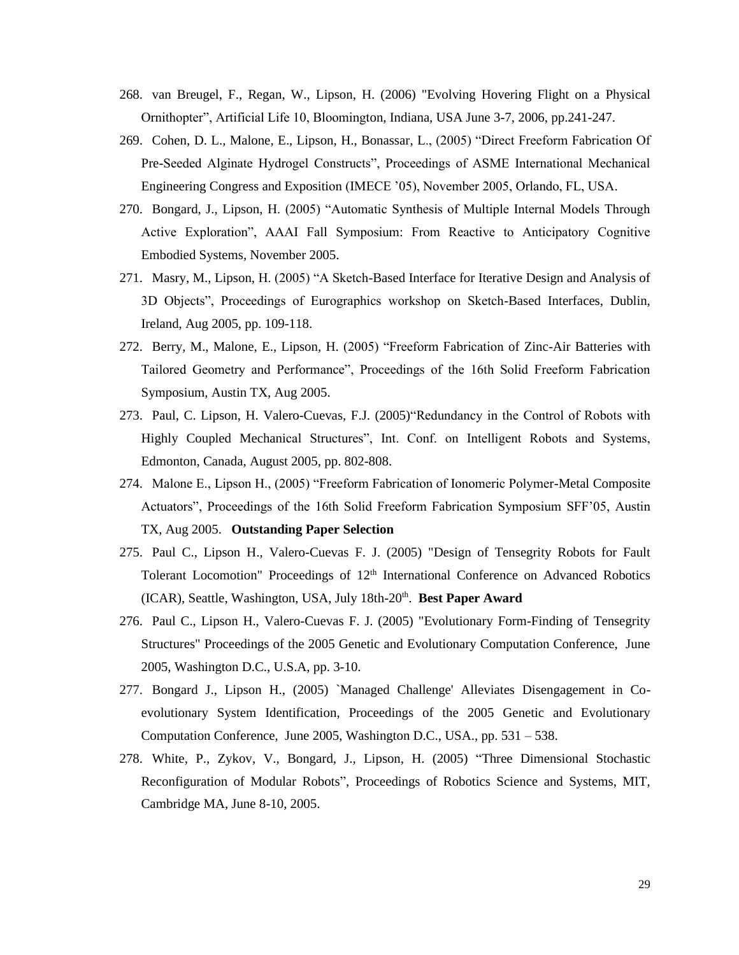- 268. van Breugel, F., Regan, W., Lipson, H. (2006) "Evolving Hovering Flight on a Physical Ornithopter", Artificial Life 10, Bloomington, Indiana, USA June 3-7, 2006, pp.241-247.
- 269. Cohen, D. L., Malone, E., Lipson, H., Bonassar, L., (2005) "Direct Freeform Fabrication Of Pre-Seeded Alginate Hydrogel Constructs", Proceedings of ASME International Mechanical Engineering Congress and Exposition (IMECE '05), November 2005, Orlando, FL, USA.
- 270. Bongard, J., Lipson, H. (2005) "Automatic Synthesis of Multiple Internal Models Through Active Exploration", AAAI Fall Symposium: From Reactive to Anticipatory Cognitive Embodied Systems, November 2005.
- 271. Masry, M., Lipson, H. (2005) "A Sketch-Based Interface for Iterative Design and Analysis of 3D Objects", Proceedings of Eurographics workshop on Sketch-Based Interfaces, Dublin, Ireland, Aug 2005, pp. 109-118.
- 272. Berry, M., Malone, E., Lipson, H. (2005) "Freeform Fabrication of Zinc-Air Batteries with Tailored Geometry and Performance", Proceedings of the 16th Solid Freeform Fabrication Symposium, Austin TX, Aug 2005.
- 273. Paul, C. Lipson, H. Valero-Cuevas, F.J. (2005)"Redundancy in the Control of Robots with Highly Coupled Mechanical Structures", Int. Conf. on Intelligent Robots and Systems, Edmonton, Canada, August 2005, pp. 802-808.
- 274. Malone E., Lipson H., (2005) "Freeform Fabrication of Ionomeric Polymer-Metal Composite Actuators", Proceedings of the 16th Solid Freeform Fabrication Symposium SFF'05, Austin TX, Aug 2005. **Outstanding Paper Selection**
- 275. Paul C., Lipson H., Valero-Cuevas F. J. (2005) "Design of Tensegrity Robots for Fault Tolerant Locomotion" Proceedings of  $12<sup>th</sup>$  International Conference on Advanced Robotics (ICAR), Seattle, Washington, USA, July 18th-20<sup>th</sup>. Best Paper Award
- 276. Paul C., Lipson H., Valero-Cuevas F. J. (2005) "Evolutionary Form-Finding of Tensegrity Structures" Proceedings of the 2005 Genetic and Evolutionary Computation Conference, June 2005, Washington D.C., U.S.A, pp. 3-10.
- 277. Bongard J., Lipson H., (2005) `Managed Challenge' Alleviates Disengagement in Coevolutionary System Identification, Proceedings of the 2005 Genetic and Evolutionary Computation Conference, June 2005, Washington D.C., USA., pp. 531 – 538.
- 278. White, P., Zykov, V., Bongard, J., Lipson, H. (2005) "Three Dimensional Stochastic Reconfiguration of Modular Robots", Proceedings of Robotics Science and Systems, MIT, Cambridge MA, June 8-10, 2005.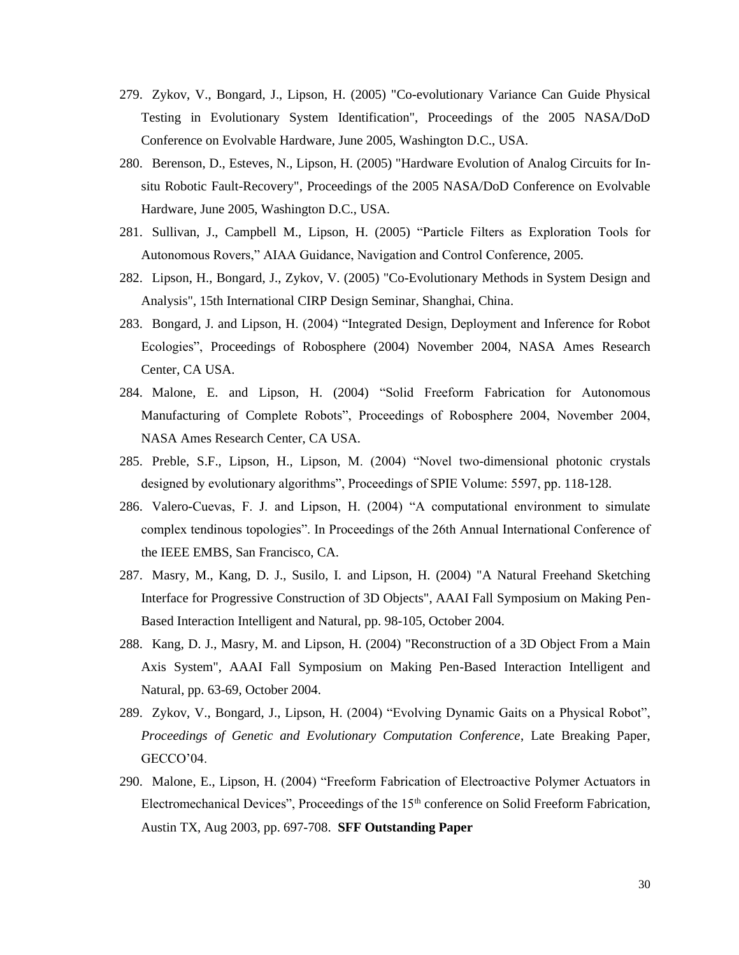- 279. Zykov, V., Bongard, J., Lipson, H. (2005) "Co-evolutionary Variance Can Guide Physical Testing in Evolutionary System Identification", Proceedings of the 2005 NASA/DoD Conference on Evolvable Hardware, June 2005, Washington D.C., USA.
- 280. Berenson, D., Esteves, N., Lipson, H. (2005) "Hardware Evolution of Analog Circuits for Insitu Robotic Fault-Recovery", Proceedings of the 2005 NASA/DoD Conference on Evolvable Hardware, June 2005, Washington D.C., USA.
- 281. Sullivan, J., Campbell M., Lipson, H. (2005) "Particle Filters as Exploration Tools for Autonomous Rovers," AIAA Guidance, Navigation and Control Conference, 2005.
- 282. Lipson, H., Bongard, J., Zykov, V. (2005) "Co-Evolutionary Methods in System Design and Analysis", 15th International CIRP Design Seminar, Shanghai, China.
- 283. Bongard, J. and Lipson, H. (2004) "Integrated Design, Deployment and Inference for Robot Ecologies", Proceedings of Robosphere (2004) November 2004, NASA Ames Research Center, CA USA.
- 284. Malone, E. and Lipson, H. (2004) "Solid Freeform Fabrication for Autonomous Manufacturing of Complete Robots", Proceedings of Robosphere 2004, November 2004, NASA Ames Research Center, CA USA.
- 285. Preble, S.F., Lipson, H., Lipson, M. (2004) "Novel two-dimensional photonic crystals designed by evolutionary algorithms", Proceedings of SPIE Volume: 5597, pp. 118-128.
- 286. Valero-Cuevas, F. J. and Lipson, H. (2004) "A computational environment to simulate complex tendinous topologies". In Proceedings of the 26th Annual International Conference of the IEEE EMBS, San Francisco, CA.
- 287. Masry, M., Kang, D. J., Susilo, I. and Lipson, H. (2004) "A Natural Freehand Sketching Interface for Progressive Construction of 3D Objects", AAAI Fall Symposium on Making Pen-Based Interaction Intelligent and Natural, pp. 98-105, October 2004.
- 288. Kang, D. J., Masry, M. and Lipson, H. (2004) "Reconstruction of a 3D Object From a Main Axis System", AAAI Fall Symposium on Making Pen-Based Interaction Intelligent and Natural, pp. 63-69, October 2004.
- 289. Zykov, V., Bongard, J., Lipson, H. (2004) "Evolving Dynamic Gaits on a Physical Robot", *Proceedings of Genetic and Evolutionary Computation Conference*, Late Breaking Paper, GECCO'04.
- 290. Malone, E., Lipson, H. (2004) "Freeform Fabrication of Electroactive Polymer Actuators in Electromechanical Devices", Proceedings of the 15th conference on Solid Freeform Fabrication, Austin TX, Aug 2003, pp. 697-708. **SFF Outstanding Paper**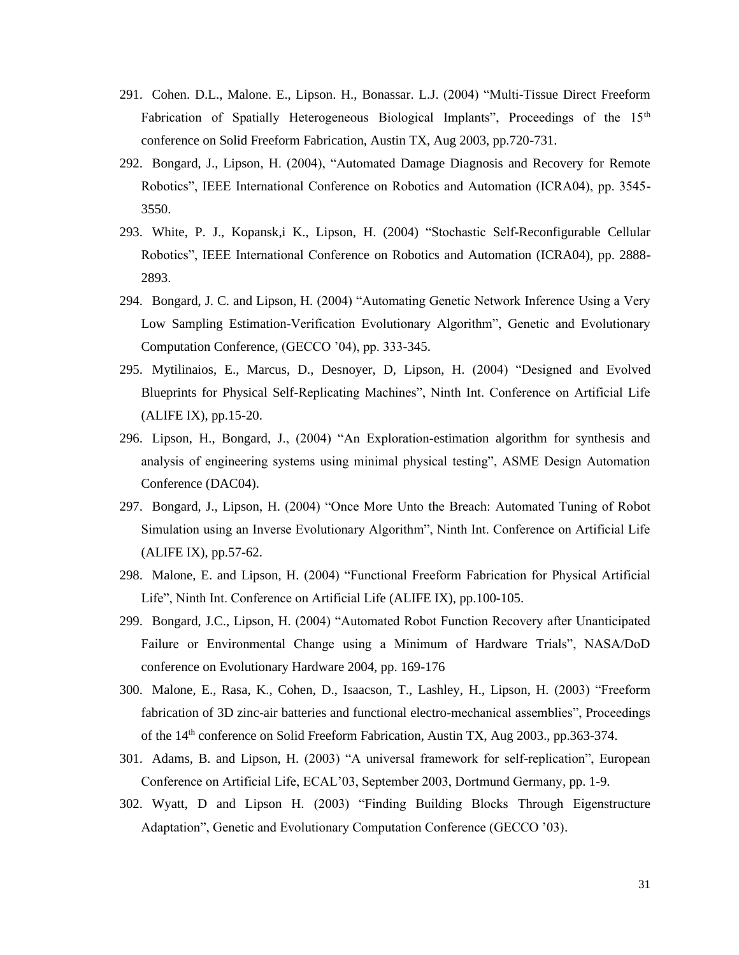- 291. Cohen. D.L., Malone. E., Lipson. H., Bonassar. L.J. (2004) "Multi-Tissue Direct Freeform Fabrication of Spatially Heterogeneous Biological Implants", Proceedings of the 15<sup>th</sup> conference on Solid Freeform Fabrication, Austin TX, Aug 2003, pp.720-731.
- 292. Bongard, J., Lipson, H. (2004), "Automated Damage Diagnosis and Recovery for Remote Robotics", IEEE International Conference on Robotics and Automation (ICRA04), pp. 3545- 3550.
- 293. White, P. J., Kopansk,i K., Lipson, H. (2004) "Stochastic Self-Reconfigurable Cellular Robotics", IEEE International Conference on Robotics and Automation (ICRA04), pp. 2888- 2893.
- 294. Bongard, J. C. and Lipson, H. (2004) "Automating Genetic Network Inference Using a Very Low Sampling Estimation-Verification Evolutionary Algorithm", Genetic and Evolutionary Computation Conference, (GECCO '04), pp. 333-345.
- 295. Mytilinaios, E., Marcus, D., Desnoyer, D, Lipson, H. (2004) "Designed and Evolved Blueprints for Physical Self-Replicating Machines", Ninth Int. Conference on Artificial Life (ALIFE IX), pp.15-20.
- 296. Lipson, H., Bongard, J., (2004) "An Exploration-estimation algorithm for synthesis and analysis of engineering systems using minimal physical testing", ASME Design Automation Conference (DAC04).
- 297. Bongard, J., Lipson, H. (2004) "Once More Unto the Breach: Automated Tuning of Robot Simulation using an Inverse Evolutionary Algorithm", Ninth Int. Conference on Artificial Life (ALIFE IX), pp.57-62.
- 298. Malone, E. and Lipson, H. (2004) "Functional Freeform Fabrication for Physical Artificial Life", Ninth Int. Conference on Artificial Life (ALIFE IX), pp.100-105.
- 299. Bongard, J.C., Lipson, H. (2004) "Automated Robot Function Recovery after Unanticipated Failure or Environmental Change using a Minimum of Hardware Trials", NASA/DoD conference on Evolutionary Hardware 2004, pp. 169-176
- 300. Malone, E., Rasa, K., Cohen, D., Isaacson, T., Lashley, H., Lipson, H. (2003) "Freeform fabrication of 3D zinc-air batteries and functional electro-mechanical assemblies", Proceedings of the 14th conference on Solid Freeform Fabrication, Austin TX, Aug 2003., pp.363-374.
- 301. Adams, B. and Lipson, H. (2003) "A universal framework for self-replication", European Conference on Artificial Life, ECAL'03, September 2003, Dortmund Germany*,* pp. 1-9.
- 302. Wyatt, D and Lipson H. (2003) "Finding Building Blocks Through Eigenstructure Adaptation", Genetic and Evolutionary Computation Conference (GECCO '03).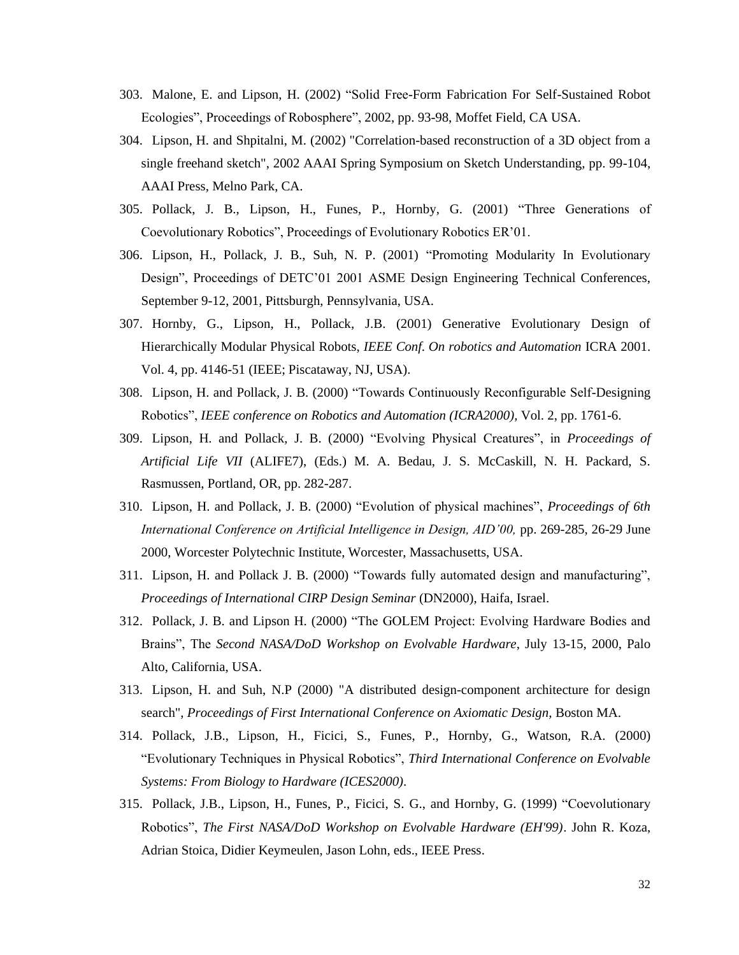- 303. Malone, E. and Lipson, H. (2002) "Solid Free-Form Fabrication For Self-Sustained Robot Ecologies", Proceedings of Robosphere", 2002, pp. 93-98, Moffet Field, CA USA.
- 304. Lipson, H. and Shpitalni, M. (2002) "Correlation-based reconstruction of a 3D object from a single freehand sketch", 2002 AAAI Spring Symposium on Sketch Understanding, pp. 99-104, AAAI Press, Melno Park, CA.
- 305. Pollack, J. B., Lipson, H., Funes, P., Hornby, G. (2001) "Three Generations of Coevolutionary Robotics", Proceedings of Evolutionary Robotics ER'01.
- 306. Lipson, H., Pollack, J. B., Suh, N. P. (2001) "Promoting Modularity In Evolutionary Design", Proceedings of DETC'01 2001 ASME Design Engineering Technical Conferences, September 9-12, 2001, Pittsburgh, Pennsylvania, USA.
- 307. Hornby, G., Lipson, H., Pollack, J.B. (2001) Generative Evolutionary Design of Hierarchically Modular Physical Robots, *IEEE Conf. On robotics and Automation* ICRA 2001. Vol. 4, pp. 4146-51 (IEEE; Piscataway, NJ, USA).
- 308. Lipson, H. and Pollack, J. B. (2000) "Towards Continuously Reconfigurable Self-Designing Robotics", *IEEE conference on Robotics and Automation (ICRA2000),* Vol. 2, pp. 1761-6.
- 309. Lipson, H. and Pollack, J. B. (2000) "Evolving Physical Creatures", in *Proceedings of Artificial Life VII* (ALIFE7), (Eds.) M. A. Bedau, J. S. McCaskill, N. H. Packard, S. Rasmussen, Portland, OR, pp. 282-287.
- 310. Lipson, H. and Pollack, J. B. (2000) "Evolution of physical machines", *Proceedings of 6th International Conference on Artificial Intelligence in Design, AID'00,* pp. 269-285, 26-29 June 2000, Worcester Polytechnic Institute, Worcester, Massachusetts, USA.
- 311. Lipson, H. and Pollack J. B. (2000) "Towards fully automated design and manufacturing", *Proceedings of International CIRP Design Seminar* (DN2000), Haifa, Israel.
- 312. Pollack, J. B. and Lipson H. (2000) "The GOLEM Project: Evolving Hardware Bodies and Brains", The *Second NASA/DoD Workshop on Evolvable Hardware*, July 13-15, 2000, Palo Alto, California, USA.
- 313. Lipson, H. and Suh, N.P (2000) "A distributed design-component architecture for design search", *Proceedings of First International Conference on Axiomatic Design,* Boston MA.
- 314. Pollack, J.B., Lipson, H., Ficici, S., Funes, P., Hornby, G., Watson, R.A. (2000) "Evolutionary Techniques in Physical Robotics", *Third International Conference on Evolvable Systems: From Biology to Hardware (ICES2000).*
- 315. Pollack, J.B., Lipson, H., Funes, P., Ficici, S. G., and Hornby, G. (1999) "Coevolutionary Robotics", *The First NASA/DoD Workshop on Evolvable Hardware (EH'99)*. John R. Koza, Adrian Stoica, Didier Keymeulen, Jason Lohn, eds., IEEE Press.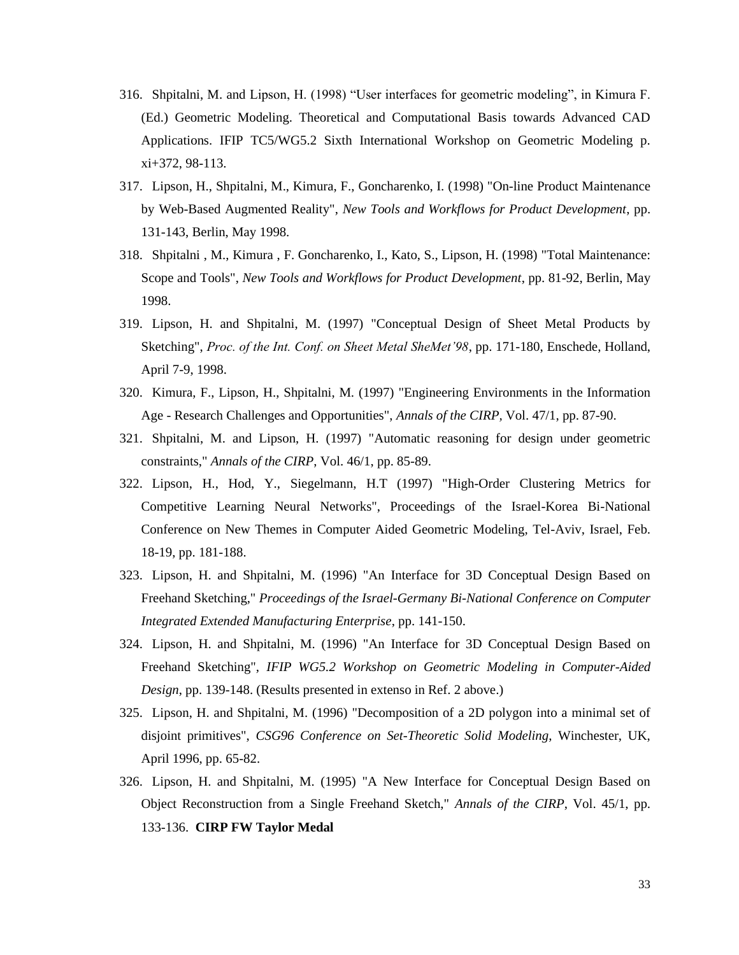- 316. Shpitalni, M. and Lipson, H. (1998) "User interfaces for geometric modeling", in Kimura F. (Ed.) Geometric Modeling. Theoretical and Computational Basis towards Advanced CAD Applications. IFIP TC5/WG5.2 Sixth International Workshop on Geometric Modeling p. xi+372, 98-113.
- 317. Lipson, H., Shpitalni, M., Kimura, F., Goncharenko, I. (1998) "On-line Product Maintenance by Web-Based Augmented Reality", *New Tools and Workflows for Product Development*, pp. 131-143, Berlin, May 1998.
- 318. Shpitalni , M., Kimura , F. Goncharenko, I., Kato, S., Lipson, H. (1998) "Total Maintenance: Scope and Tools", *New Tools and Workflows for Product Development*, pp. 81-92, Berlin, May 1998.
- 319. Lipson, H. and Shpitalni, M. (1997) "Conceptual Design of Sheet Metal Products by Sketching", *Proc. of the Int. Conf. on Sheet Metal SheMet'98*, pp. 171-180, Enschede, Holland, April 7-9, 1998.
- 320. Kimura, F., Lipson, H., Shpitalni, M. (1997) "Engineering Environments in the Information Age - Research Challenges and Opportunities", *Annals of the CIRP,* Vol. 47/1, pp. 87-90.
- 321. Shpitalni, M. and Lipson, H. (1997) "Automatic reasoning for design under geometric constraints," *Annals of the CIRP*, Vol. 46/1, pp. 85-89.
- 322. Lipson, H., Hod, Y., Siegelmann, H.T (1997) "High-Order Clustering Metrics for Competitive Learning Neural Networks", Proceedings of the Israel-Korea Bi-National Conference on New Themes in Computer Aided Geometric Modeling, Tel-Aviv, Israel, Feb. 18-19, pp. 181-188.
- 323. Lipson, H. and Shpitalni, M. (1996) "An Interface for 3D Conceptual Design Based on Freehand Sketching," *Proceedings of the Israel-Germany Bi-National Conference on Computer Integrated Extended Manufacturing Enterprise*, pp. 141-150.
- 324. Lipson, H. and Shpitalni, M. (1996) "An Interface for 3D Conceptual Design Based on Freehand Sketching", *IFIP WG5.2 Workshop on Geometric Modeling in Computer-Aided Design*, pp. 139-148. (Results presented in extenso in Ref. 2 above.)
- 325. Lipson, H. and Shpitalni, M. (1996) "Decomposition of a 2D polygon into a minimal set of disjoint primitives", *CSG96 Conference on Set-Theoretic Solid Modeling*, Winchester, UK, April 1996, pp. 65-82.
- 326. Lipson, H. and Shpitalni, M. (1995) "A New Interface for Conceptual Design Based on Object Reconstruction from a Single Freehand Sketch," *Annals of the CIRP*, Vol. 45/1, pp. 133-136. **CIRP FW Taylor Medal**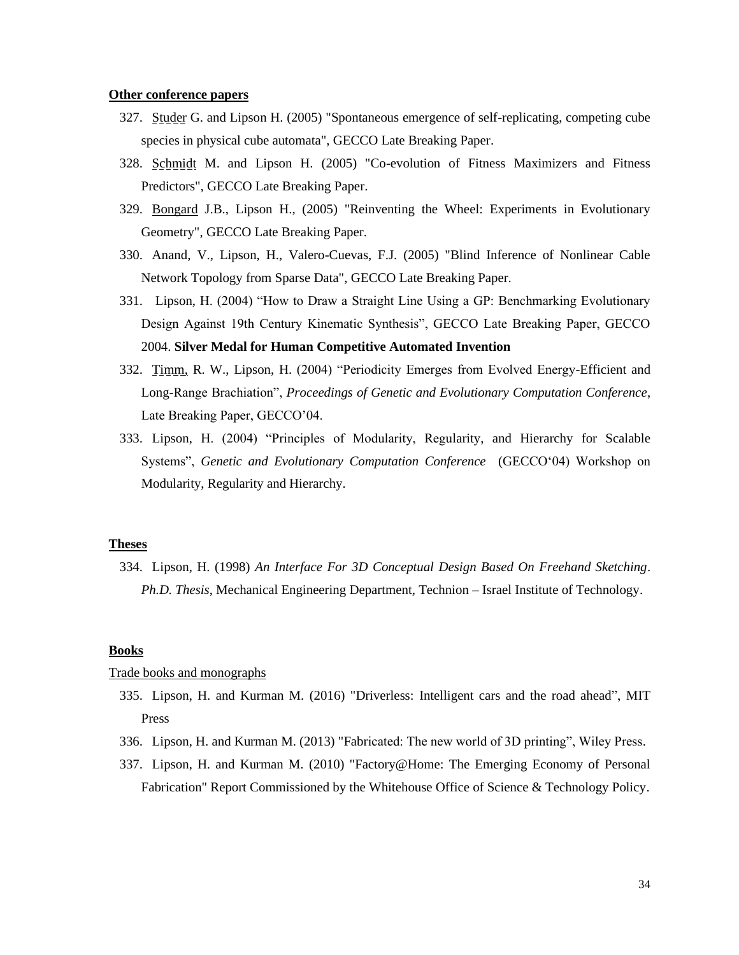#### **Other conference papers**

- 327. Studer G. and Lipson H. (2005) "Spontaneous emergence of self-replicating, competing cube species in physical cube automata", GECCO Late Breaking Paper.
- 328. Schmidt M. and Lipson H. (2005) "Co-evolution of Fitness Maximizers and Fitness Predictors", GECCO Late Breaking Paper.
- 329. Bongard J.B., Lipson H., (2005) "Reinventing the Wheel: Experiments in Evolutionary Geometry", GECCO Late Breaking Paper.
- 330. Anand, V., Lipson, H., Valero-Cuevas, F.J. (2005) "Blind Inference of Nonlinear Cable Network Topology from Sparse Data", GECCO Late Breaking Paper.
- 331. Lipson, H. (2004) "How to Draw a Straight Line Using a GP: Benchmarking Evolutionary Design Against 19th Century Kinematic Synthesis", GECCO Late Breaking Paper, GECCO 2004. **Silver Medal for Human Competitive Automated Invention**
- 332. Timm, R. W., Lipson, H. (2004) "Periodicity Emerges from Evolved Energy-Efficient and Long-Range Brachiation", *Proceedings of Genetic and Evolutionary Computation Conference*, Late Breaking Paper, GECCO'04.
- 333. Lipson, H. (2004) "Principles of Modularity, Regularity, and Hierarchy for Scalable Systems", *Genetic and Evolutionary Computation Conference* (GECCO'04) Workshop on Modularity, Regularity and Hierarchy.

### **Theses**

334. Lipson, H. (1998) *An Interface For 3D Conceptual Design Based On Freehand Sketching*. *Ph.D. Thesis*, Mechanical Engineering Department, Technion – Israel Institute of Technology.

# **Books**

### Trade books and monographs

- 335. Lipson, H. and Kurman M. (2016) "Driverless: Intelligent cars and the road ahead", MIT Press
- 336. Lipson, H. and Kurman M. (2013) "Fabricated: The new world of 3D printing", Wiley Press.
- 337. Lipson, H. and Kurman M. (2010) "Factory@Home: The Emerging Economy of Personal Fabrication" Report Commissioned by the Whitehouse Office of Science & Technology Policy.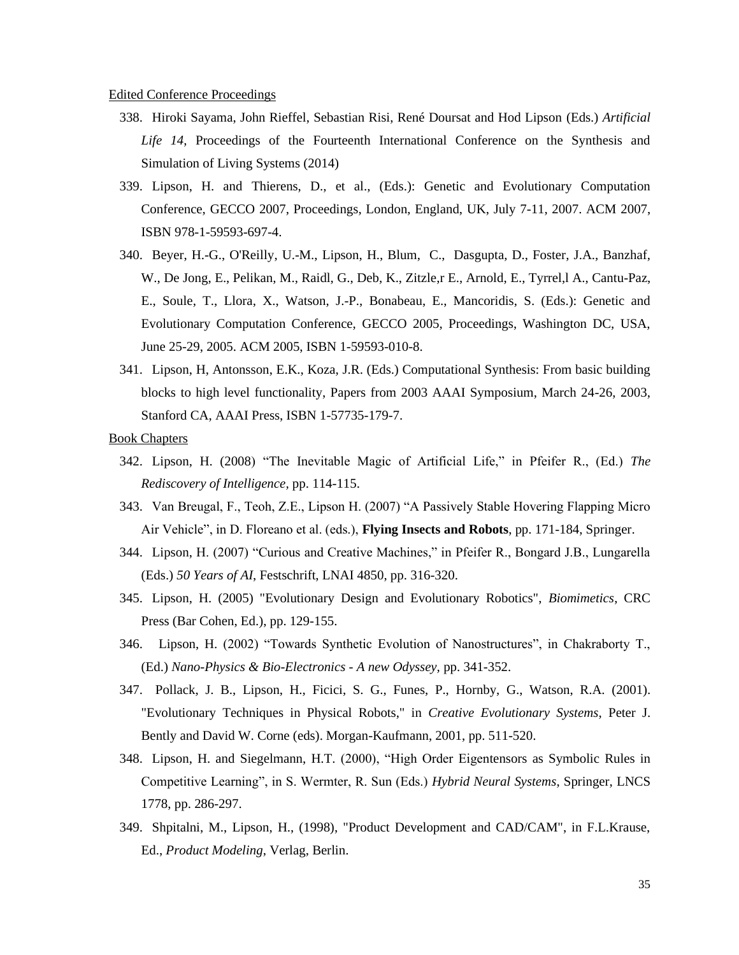- 338. Hiroki Sayama, John Rieffel, Sebastian Risi, René Doursat and Hod Lipson (Eds.) *Artificial*  Life 14, Proceedings of the Fourteenth International Conference on the Synthesis and Simulation of Living Systems (2014)
- 339. Lipson, H. and Thierens, D., et al., (Eds.): Genetic and Evolutionary Computation Conference, GECCO 2007, Proceedings, London, England, UK, July 7-11, 2007. ACM 2007, ISBN 978-1-59593-697-4.
- 340. Beyer, H.-G., O'Reilly, U.-M., Lipson, H., Blum, C., Dasgupta, D., Foster, J.A., Banzhaf, W., De Jong, E., Pelikan, M., Raidl, G., Deb, K., Zitzle,r E., Arnold, E., Tyrrel,l A., Cantu-Paz, E., Soule, T., Llora, X., Watson, J.-P., Bonabeau, E., Mancoridis, S. (Eds.): Genetic and Evolutionary Computation Conference, GECCO 2005, Proceedings, Washington DC, USA, June 25-29, 2005. ACM 2005, ISBN 1-59593-010-8.
- 341. Lipson, H, Antonsson, E.K., Koza, J.R. (Eds.) Computational Synthesis: From basic building blocks to high level functionality, Papers from 2003 AAAI Symposium, March 24-26, 2003, Stanford CA, AAAI Press, ISBN 1-57735-179-7.
- Book Chapters
	- 342. Lipson, H. (2008) "The Inevitable Magic of Artificial Life," in Pfeifer R., (Ed.) *The Rediscovery of Intelligence,* pp. 114-115.
	- 343. Van Breugal, F., Teoh, Z.E., Lipson H. (2007) "A Passively Stable Hovering Flapping Micro Air Vehicle", in D. Floreano et al. (eds.), **Flying Insects and Robots**, pp. 171-184, Springer.
	- 344. Lipson, H. (2007) "Curious and Creative Machines," in Pfeifer R., Bongard J.B., Lungarella (Eds.) *50 Years of AI*, Festschrift, LNAI 4850, pp. 316-320.
	- 345. Lipson, H. (2005) "Evolutionary Design and Evolutionary Robotics", *Biomimetics*, CRC Press (Bar Cohen, Ed.), pp. 129-155.
	- 346. Lipson, H. (2002) "Towards Synthetic Evolution of Nanostructures", in Chakraborty T., (Ed.) *Nano-Physics & Bio-Electronics - A new Odyssey,* pp. 341-352.
	- 347. Pollack, J. B., Lipson, H., Ficici, S. G., Funes, P., Hornby, G., Watson, R.A. (2001). "Evolutionary Techniques in Physical Robots," in *Creative Evolutionary Systems*, Peter J. Bently and David W. Corne (eds). Morgan-Kaufmann, 2001, pp. 511-520.
	- 348. Lipson, H. and Siegelmann, H.T. (2000), "High Order Eigentensors as Symbolic Rules in Competitive Learning", in S. Wermter, R. Sun (Eds.) *Hybrid Neural Systems*, Springer, LNCS 1778, pp. 286-297.
	- 349. Shpitalni, M., Lipson, H., (1998), "Product Development and CAD/CAM", in F.L.Krause, Ed., *Product Modeling*, Verlag, Berlin.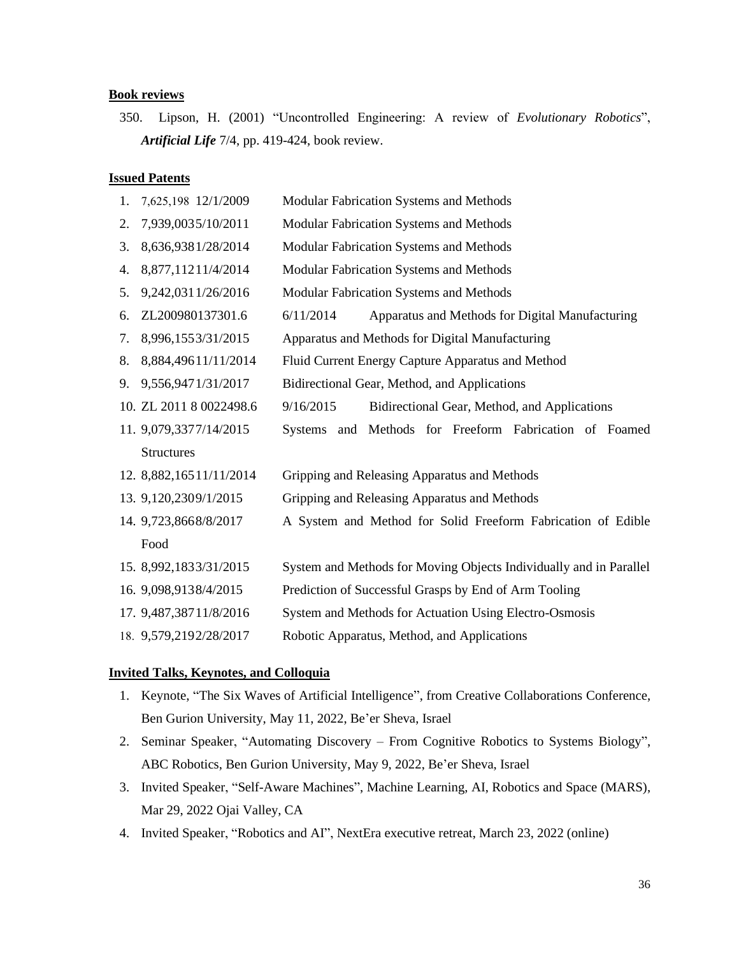#### **Book reviews**

350. Lipson, H. (2001) "Uncontrolled Engineering: A review of *Evolutionary Robotics*", *Artificial Life* 7/4, pp. 419-424, book review.

### **Issued Patents**

1. 7,625,198 12/1/2009 Modular Fabrication Systems and Methods 2. 7,939,0035/10/2011 Modular Fabrication Systems and Methods 3. 8,636,9381/28/2014 Modular Fabrication Systems and Methods 4. 8,877,11211/4/2014 Modular Fabrication Systems and Methods 5. 9,242,0311/26/2016 Modular Fabrication Systems and Methods 6. ZL200980137301.6 6/11/2014 Apparatus and Methods for Digital Manufacturing 7. 8,996,1553/31/2015 Apparatus and Methods for Digital Manufacturing 8. 8,884,49611/11/2014 Fluid Current Energy Capture Apparatus and Method 9. 9,556,9471/31/2017 Bidirectional Gear, Method, and Applications 10. ZL 2011 8 0022498.6 9/16/2015 Bidirectional Gear, Method, and Applications 11. 9,079,3377/14/2015 Systems and Methods for Freeform Fabrication of Foamed **Structures** 12. 8,882,16511/11/2014 Gripping and Releasing Apparatus and Methods 13. 9,120,2309/1/2015 Gripping and Releasing Apparatus and Methods 14. 9,723,8668/8/2017 A System and Method for Solid Freeform Fabrication of Edible Food 15. 8,992,1833/31/2015 System and Methods for Moving Objects Individually and in Parallel 16. 9,098,9138/4/2015 Prediction of Successful Grasps by End of Arm Tooling 17. 9,487,38711/8/2016 System and Methods for Actuation Using Electro-Osmosis 18. 9,579,2192/28/2017 Robotic Apparatus, Method, and Applications

# **Invited Talks, Keynotes, and Colloquia**

- 1. Keynote, "The Six Waves of Artificial Intelligence", from Creative Collaborations Conference, Ben Gurion University, May 11, 2022, Be'er Sheva, Israel
- 2. Seminar Speaker, "Automating Discovery From Cognitive Robotics to Systems Biology", ABC Robotics, Ben Gurion University, May 9, 2022, Be'er Sheva, Israel
- 3. Invited Speaker, "Self-Aware Machines", Machine Learning, AI, Robotics and Space (MARS), Mar 29, 2022 Ojai Valley, CA
- 4. Invited Speaker, "Robotics and AI", NextEra executive retreat, March 23, 2022 (online)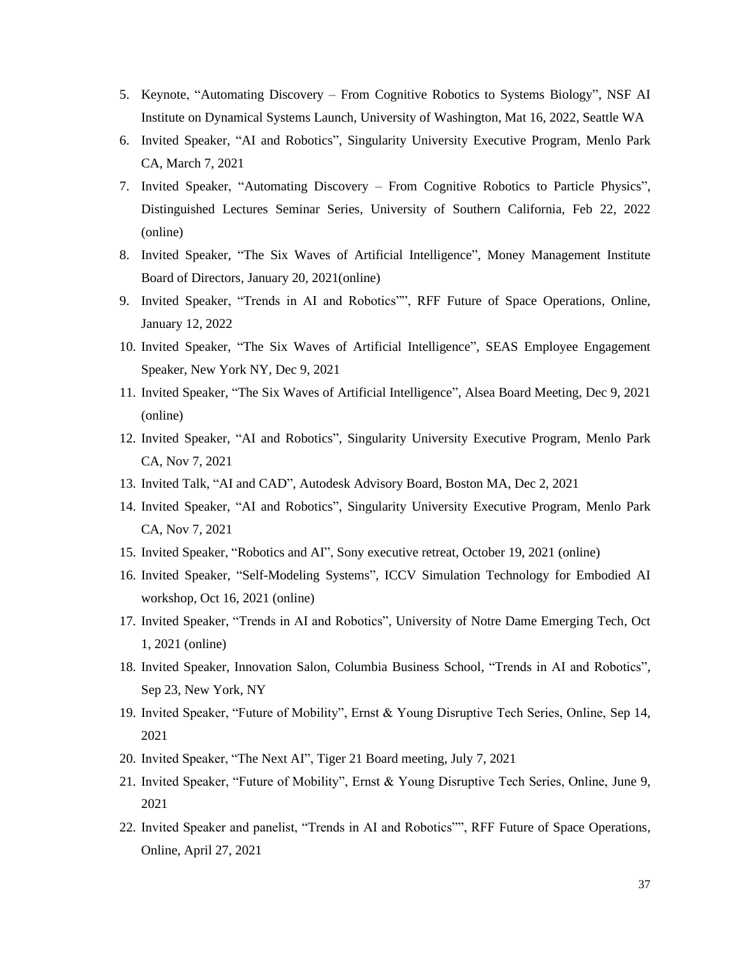- 5. Keynote, "Automating Discovery From Cognitive Robotics to Systems Biology", NSF AI Institute on Dynamical Systems Launch, University of Washington, Mat 16, 2022, Seattle WA
- 6. Invited Speaker, "AI and Robotics", Singularity University Executive Program, Menlo Park CA, March 7, 2021
- 7. Invited Speaker, "Automating Discovery From Cognitive Robotics to Particle Physics", Distinguished Lectures Seminar Series, University of Southern California, Feb 22, 2022 (online)
- 8. Invited Speaker, "The Six Waves of Artificial Intelligence", Money Management Institute Board of Directors, January 20, 2021(online)
- 9. Invited Speaker, "Trends in AI and Robotics"", RFF Future of Space Operations, Online, January 12, 2022
- 10. Invited Speaker, "The Six Waves of Artificial Intelligence", SEAS Employee Engagement Speaker, New York NY, Dec 9, 2021
- 11. Invited Speaker, "The Six Waves of Artificial Intelligence", Alsea Board Meeting, Dec 9, 2021 (online)
- 12. Invited Speaker, "AI and Robotics", Singularity University Executive Program, Menlo Park CA, Nov 7, 2021
- 13. Invited Talk, "AI and CAD", Autodesk Advisory Board, Boston MA, Dec 2, 2021
- 14. Invited Speaker, "AI and Robotics", Singularity University Executive Program, Menlo Park CA, Nov 7, 2021
- 15. Invited Speaker, "Robotics and AI", Sony executive retreat, October 19, 2021 (online)
- 16. Invited Speaker, "Self-Modeling Systems", ICCV Simulation Technology for Embodied AI workshop, Oct 16, 2021 (online)
- 17. Invited Speaker, "Trends in AI and Robotics", University of Notre Dame Emerging Tech, Oct 1, 2021 (online)
- 18. Invited Speaker, Innovation Salon, Columbia Business School, "Trends in AI and Robotics", Sep 23, New York, NY
- 19. Invited Speaker, "Future of Mobility", Ernst & Young Disruptive Tech Series, Online, Sep 14, 2021
- 20. Invited Speaker, "The Next AI", Tiger 21 Board meeting, July 7, 2021
- 21. Invited Speaker, "Future of Mobility", Ernst & Young Disruptive Tech Series, Online, June 9, 2021
- 22. Invited Speaker and panelist, "Trends in AI and Robotics"", RFF Future of Space Operations, Online, April 27, 2021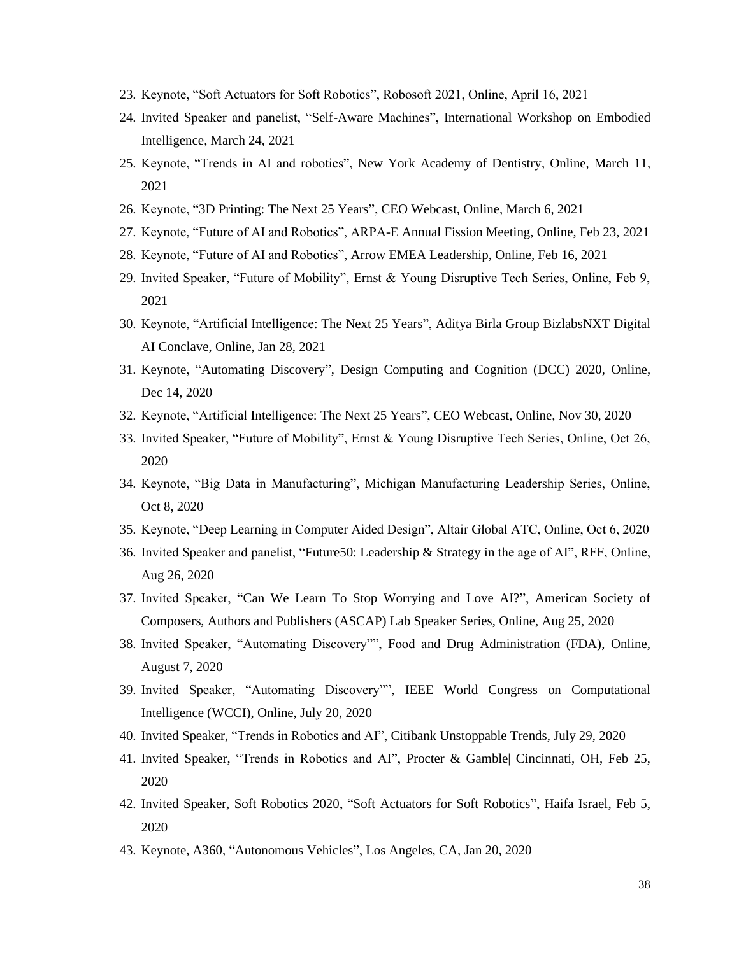- 23. Keynote, "Soft Actuators for Soft Robotics", Robosoft 2021, Online, April 16, 2021
- 24. Invited Speaker and panelist, "Self-Aware Machines", International Workshop on Embodied Intelligence, March 24, 2021
- 25. Keynote, "Trends in AI and robotics", New York Academy of Dentistry, Online, March 11, 2021
- 26. Keynote, "3D Printing: The Next 25 Years", CEO Webcast, Online, March 6, 2021
- 27. Keynote, "Future of AI and Robotics", ARPA-E Annual Fission Meeting, Online, Feb 23, 2021
- 28. Keynote, "Future of AI and Robotics", Arrow EMEA Leadership, Online, Feb 16, 2021
- 29. Invited Speaker, "Future of Mobility", Ernst & Young Disruptive Tech Series, Online, Feb 9, 2021
- 30. Keynote, "Artificial Intelligence: The Next 25 Years", Aditya Birla Group BizlabsNXT Digital AI Conclave, Online, Jan 28, 2021
- 31. Keynote, "Automating Discovery", Design Computing and Cognition (DCC) 2020, Online, Dec 14, 2020
- 32. Keynote, "Artificial Intelligence: The Next 25 Years", CEO Webcast, Online, Nov 30, 2020
- 33. Invited Speaker, "Future of Mobility", Ernst & Young Disruptive Tech Series, Online, Oct 26, 2020
- 34. Keynote, "Big Data in Manufacturing", Michigan Manufacturing Leadership Series, Online, Oct 8, 2020
- 35. Keynote, "Deep Learning in Computer Aided Design", Altair Global ATC, Online, Oct 6, 2020
- 36. Invited Speaker and panelist, "Future50: Leadership & Strategy in the age of AI", RFF, Online, Aug 26, 2020
- 37. Invited Speaker, "Can We Learn To Stop Worrying and Love AI?", American Society of Composers, Authors and Publishers (ASCAP) Lab Speaker Series, Online, Aug 25, 2020
- 38. Invited Speaker, "Automating Discovery"", Food and Drug Administration (FDA), Online, August 7, 2020
- 39. Invited Speaker, "Automating Discovery"", IEEE World Congress on Computational Intelligence (WCCI), Online, July 20, 2020
- 40. Invited Speaker, "Trends in Robotics and AI", Citibank Unstoppable Trends, July 29, 2020
- 41. Invited Speaker, "Trends in Robotics and AI", Procter & Gamble| Cincinnati, OH, Feb 25, 2020
- 42. Invited Speaker, Soft Robotics 2020, "Soft Actuators for Soft Robotics", Haifa Israel, Feb 5, 2020
- 43. Keynote, A360, "Autonomous Vehicles", Los Angeles, CA, Jan 20, 2020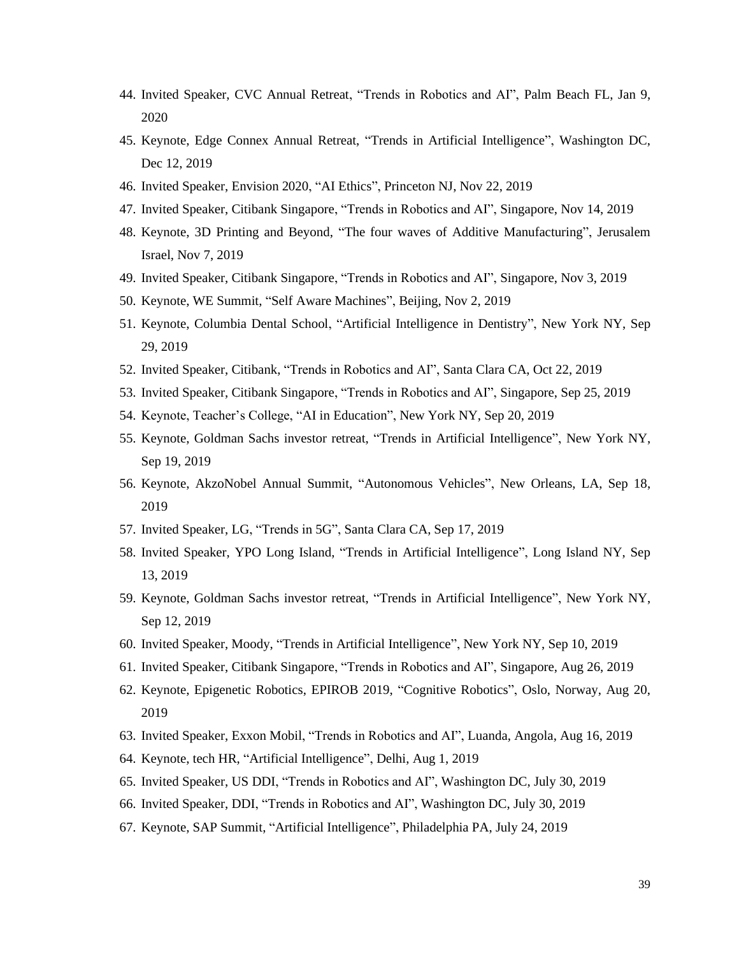- 44. Invited Speaker, CVC Annual Retreat, "Trends in Robotics and AI", Palm Beach FL, Jan 9, 2020
- 45. Keynote, Edge Connex Annual Retreat, "Trends in Artificial Intelligence", Washington DC, Dec 12, 2019
- 46. Invited Speaker, Envision 2020, "AI Ethics", Princeton NJ, Nov 22, 2019
- 47. Invited Speaker, Citibank Singapore, "Trends in Robotics and AI", Singapore, Nov 14, 2019
- 48. Keynote, 3D Printing and Beyond, "The four waves of Additive Manufacturing", Jerusalem Israel, Nov 7, 2019
- 49. Invited Speaker, Citibank Singapore, "Trends in Robotics and AI", Singapore, Nov 3, 2019
- 50. Keynote, WE Summit, "Self Aware Machines", Beijing, Nov 2, 2019
- 51. Keynote, Columbia Dental School, "Artificial Intelligence in Dentistry", New York NY, Sep 29, 2019
- 52. Invited Speaker, Citibank, "Trends in Robotics and AI", Santa Clara CA, Oct 22, 2019
- 53. Invited Speaker, Citibank Singapore, "Trends in Robotics and AI", Singapore, Sep 25, 2019
- 54. Keynote, Teacher's College, "AI in Education", New York NY, Sep 20, 2019
- 55. Keynote, Goldman Sachs investor retreat, "Trends in Artificial Intelligence", New York NY, Sep 19, 2019
- 56. Keynote, AkzoNobel Annual Summit, "Autonomous Vehicles", New Orleans, LA, Sep 18, 2019
- 57. Invited Speaker, LG, "Trends in 5G", Santa Clara CA, Sep 17, 2019
- 58. Invited Speaker, YPO Long Island, "Trends in Artificial Intelligence", Long Island NY, Sep 13, 2019
- 59. Keynote, Goldman Sachs investor retreat, "Trends in Artificial Intelligence", New York NY, Sep 12, 2019
- 60. Invited Speaker, Moody, "Trends in Artificial Intelligence", New York NY, Sep 10, 2019
- 61. Invited Speaker, Citibank Singapore, "Trends in Robotics and AI", Singapore, Aug 26, 2019
- 62. Keynote, Epigenetic Robotics, EPIROB 2019, "Cognitive Robotics", Oslo, Norway, Aug 20, 2019
- 63. Invited Speaker, Exxon Mobil, "Trends in Robotics and AI", Luanda, Angola, Aug 16, 2019
- 64. Keynote, tech HR, "Artificial Intelligence", Delhi, Aug 1, 2019
- 65. Invited Speaker, US DDI, "Trends in Robotics and AI", Washington DC, July 30, 2019
- 66. Invited Speaker, DDI, "Trends in Robotics and AI", Washington DC, July 30, 2019
- 67. Keynote, SAP Summit, "Artificial Intelligence", Philadelphia PA, July 24, 2019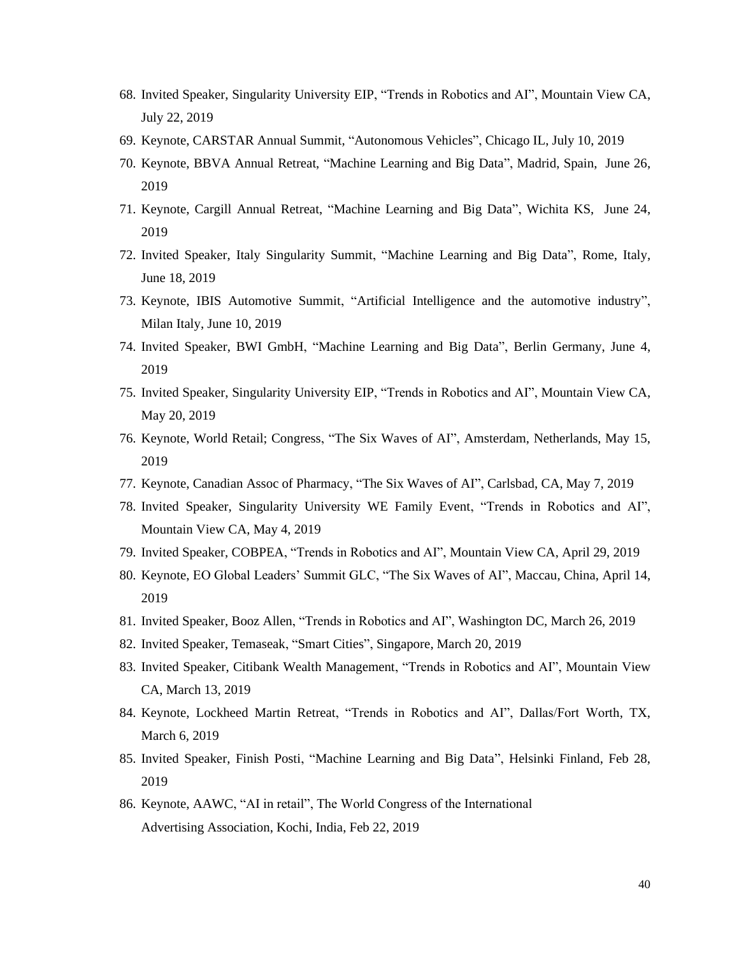- 68. Invited Speaker, Singularity University EIP, "Trends in Robotics and AI", Mountain View CA, July 22, 2019
- 69. Keynote, CARSTAR Annual Summit, "Autonomous Vehicles", Chicago IL, July 10, 2019
- 70. Keynote, BBVA Annual Retreat, "Machine Learning and Big Data", Madrid, Spain, June 26, 2019
- 71. Keynote, Cargill Annual Retreat, "Machine Learning and Big Data", Wichita KS, June 24, 2019
- 72. Invited Speaker, Italy Singularity Summit, "Machine Learning and Big Data", Rome, Italy, June 18, 2019
- 73. Keynote, IBIS Automotive Summit, "Artificial Intelligence and the automotive industry", Milan Italy, June 10, 2019
- 74. Invited Speaker, BWI GmbH, "Machine Learning and Big Data", Berlin Germany, June 4, 2019
- 75. Invited Speaker, Singularity University EIP, "Trends in Robotics and AI", Mountain View CA, May 20, 2019
- 76. Keynote, World Retail; Congress, "The Six Waves of AI", Amsterdam, Netherlands, May 15, 2019
- 77. Keynote, Canadian Assoc of Pharmacy, "The Six Waves of AI", Carlsbad, CA, May 7, 2019
- 78. Invited Speaker, Singularity University WE Family Event, "Trends in Robotics and AI", Mountain View CA, May 4, 2019
- 79. Invited Speaker, COBPEA, "Trends in Robotics and AI", Mountain View CA, April 29, 2019
- 80. Keynote, EO Global Leaders' Summit GLC, "The Six Waves of AI", Maccau, China, April 14, 2019
- 81. Invited Speaker, Booz Allen, "Trends in Robotics and AI", Washington DC, March 26, 2019
- 82. Invited Speaker, Temaseak, "Smart Cities", Singapore, March 20, 2019
- 83. Invited Speaker, Citibank Wealth Management, "Trends in Robotics and AI", Mountain View CA, March 13, 2019
- 84. Keynote, Lockheed Martin Retreat, "Trends in Robotics and AI", Dallas/Fort Worth, TX, March 6, 2019
- 85. Invited Speaker, Finish Posti, "Machine Learning and Big Data", Helsinki Finland, Feb 28, 2019
- 86. Keynote, AAWC, "AI in retail", The World Congress of the International Advertising Association, Kochi, India, Feb 22, 2019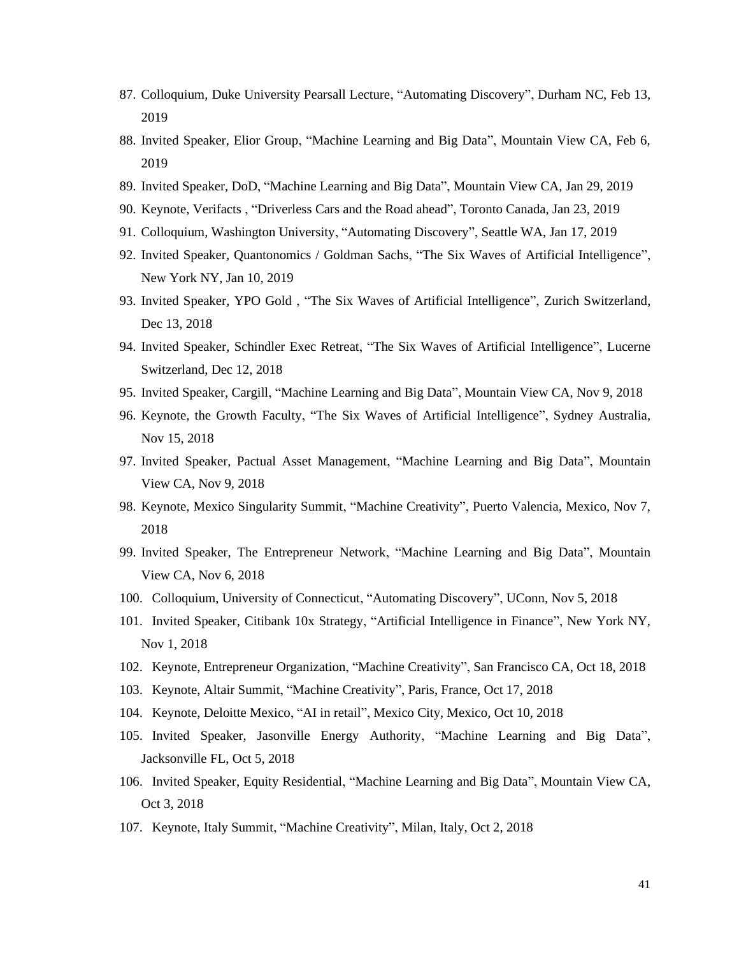- 87. Colloquium, Duke University Pearsall Lecture, "Automating Discovery", Durham NC, Feb 13, 2019
- 88. Invited Speaker, Elior Group, "Machine Learning and Big Data", Mountain View CA, Feb 6, 2019
- 89. Invited Speaker, DoD, "Machine Learning and Big Data", Mountain View CA, Jan 29, 2019
- 90. Keynote, Verifacts , "Driverless Cars and the Road ahead", Toronto Canada, Jan 23, 2019
- 91. Colloquium, Washington University, "Automating Discovery", Seattle WA, Jan 17, 2019
- 92. Invited Speaker, Quantonomics / Goldman Sachs, "The Six Waves of Artificial Intelligence", New York NY, Jan 10, 2019
- 93. Invited Speaker, YPO Gold , "The Six Waves of Artificial Intelligence", Zurich Switzerland, Dec 13, 2018
- 94. Invited Speaker, Schindler Exec Retreat, "The Six Waves of Artificial Intelligence", Lucerne Switzerland, Dec 12, 2018
- 95. Invited Speaker, Cargill, "Machine Learning and Big Data", Mountain View CA, Nov 9, 2018
- 96. Keynote, the Growth Faculty, "The Six Waves of Artificial Intelligence", Sydney Australia, Nov 15, 2018
- 97. Invited Speaker, Pactual Asset Management, "Machine Learning and Big Data", Mountain View CA, Nov 9, 2018
- 98. Keynote, Mexico Singularity Summit, "Machine Creativity", Puerto Valencia, Mexico, Nov 7, 2018
- 99. Invited Speaker, The Entrepreneur Network, "Machine Learning and Big Data", Mountain View CA, Nov 6, 2018
- 100. Colloquium, University of Connecticut, "Automating Discovery", UConn, Nov 5, 2018
- 101. Invited Speaker, Citibank 10x Strategy, "Artificial Intelligence in Finance", New York NY, Nov 1, 2018
- 102. Keynote, Entrepreneur Organization, "Machine Creativity", San Francisco CA, Oct 18, 2018
- 103. Keynote, Altair Summit, "Machine Creativity", Paris, France, Oct 17, 2018
- 104. Keynote, Deloitte Mexico, "AI in retail", Mexico City, Mexico, Oct 10, 2018
- 105. Invited Speaker, Jasonville Energy Authority, "Machine Learning and Big Data", Jacksonville FL, Oct 5, 2018
- 106. Invited Speaker, Equity Residential, "Machine Learning and Big Data", Mountain View CA, Oct 3, 2018
- 107. Keynote, Italy Summit, "Machine Creativity", Milan, Italy, Oct 2, 2018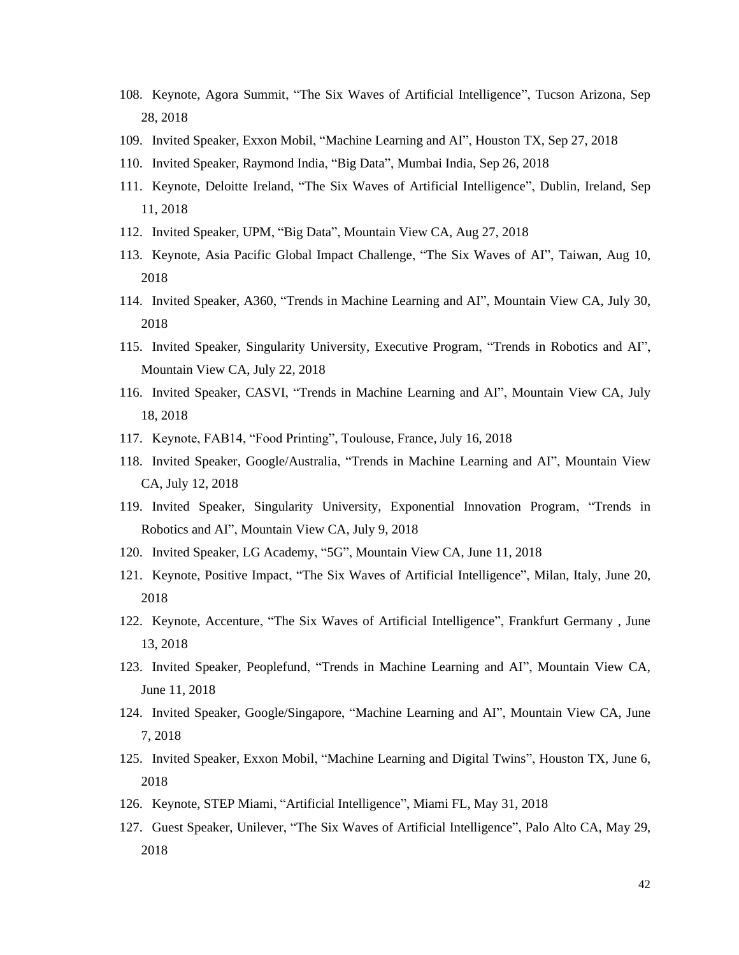- 108. Keynote, Agora Summit, "The Six Waves of Artificial Intelligence", Tucson Arizona, Sep 28, 2018
- 109. Invited Speaker, Exxon Mobil, "Machine Learning and AI", Houston TX, Sep 27, 2018
- 110. Invited Speaker, Raymond India, "Big Data", Mumbai India, Sep 26, 2018
- 111. Keynote, Deloitte Ireland, "The Six Waves of Artificial Intelligence", Dublin, Ireland, Sep 11, 2018
- 112. Invited Speaker, UPM, "Big Data", Mountain View CA, Aug 27, 2018
- 113. Keynote, Asia Pacific Global Impact Challenge, "The Six Waves of AI", Taiwan, Aug 10, 2018
- 114. Invited Speaker, A360, "Trends in Machine Learning and AI", Mountain View CA, July 30, 2018
- 115. Invited Speaker, Singularity University, Executive Program, "Trends in Robotics and AI", Mountain View CA, July 22, 2018
- 116. Invited Speaker, CASVI, "Trends in Machine Learning and AI", Mountain View CA, July 18, 2018
- 117. Keynote, FAB14, "Food Printing", Toulouse, France, July 16, 2018
- 118. Invited Speaker, Google/Australia, "Trends in Machine Learning and AI", Mountain View CA, July 12, 2018
- 119. Invited Speaker, Singularity University, Exponential Innovation Program, "Trends in Robotics and AI", Mountain View CA, July 9, 2018
- 120. Invited Speaker, LG Academy, "5G", Mountain View CA, June 11, 2018
- 121. Keynote, Positive Impact, "The Six Waves of Artificial Intelligence", Milan, Italy, June 20, 2018
- 122. Keynote, Accenture, "The Six Waves of Artificial Intelligence", Frankfurt Germany , June 13, 2018
- 123. Invited Speaker, Peoplefund, "Trends in Machine Learning and AI", Mountain View CA, June 11, 2018
- 124. Invited Speaker, Google/Singapore, "Machine Learning and AI", Mountain View CA, June 7, 2018
- 125. Invited Speaker, Exxon Mobil, "Machine Learning and Digital Twins", Houston TX, June 6, 2018
- 126. Keynote, STEP Miami, "Artificial Intelligence", Miami FL, May 31, 2018
- 127. Guest Speaker, Unilever, "The Six Waves of Artificial Intelligence", Palo Alto CA, May 29, 2018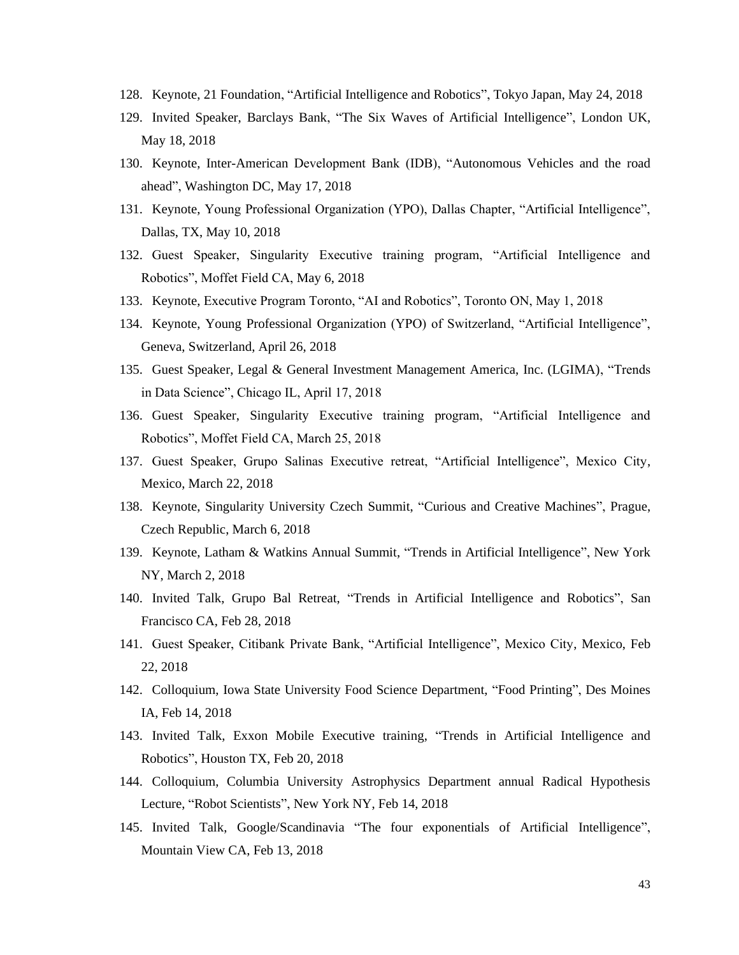- 128. Keynote, 21 Foundation, "Artificial Intelligence and Robotics", Tokyo Japan, May 24, 2018
- 129. Invited Speaker, Barclays Bank, "The Six Waves of Artificial Intelligence", London UK, May 18, 2018
- 130. Keynote, Inter-American Development Bank (IDB), "Autonomous Vehicles and the road ahead", Washington DC, May 17, 2018
- 131. Keynote, Young Professional Organization (YPO), Dallas Chapter, "Artificial Intelligence", Dallas, TX, May 10, 2018
- 132. Guest Speaker, Singularity Executive training program, "Artificial Intelligence and Robotics", Moffet Field CA, May 6, 2018
- 133. Keynote, Executive Program Toronto, "AI and Robotics", Toronto ON, May 1, 2018
- 134. Keynote, Young Professional Organization (YPO) of Switzerland, "Artificial Intelligence", Geneva, Switzerland, April 26, 2018
- 135. Guest Speaker, Legal & General Investment Management America, Inc. (LGIMA), "Trends in Data Science", Chicago IL, April 17, 2018
- 136. Guest Speaker, Singularity Executive training program, "Artificial Intelligence and Robotics", Moffet Field CA, March 25, 2018
- 137. Guest Speaker, Grupo Salinas Executive retreat, "Artificial Intelligence", Mexico City, Mexico, March 22, 2018
- 138. Keynote, Singularity University Czech Summit, "Curious and Creative Machines", Prague, Czech Republic, March 6, 2018
- 139. Keynote, Latham & Watkins Annual Summit, "Trends in Artificial Intelligence", New York NY, March 2, 2018
- 140. Invited Talk, Grupo Bal Retreat, "Trends in Artificial Intelligence and Robotics", San Francisco CA, Feb 28, 2018
- 141. Guest Speaker, Citibank Private Bank, "Artificial Intelligence", Mexico City, Mexico, Feb 22, 2018
- 142. Colloquium, Iowa State University Food Science Department, "Food Printing", Des Moines IA, Feb 14, 2018
- 143. Invited Talk, Exxon Mobile Executive training, "Trends in Artificial Intelligence and Robotics", Houston TX, Feb 20, 2018
- 144. Colloquium, Columbia University Astrophysics Department annual Radical Hypothesis Lecture, "Robot Scientists", New York NY, Feb 14, 2018
- 145. Invited Talk, Google/Scandinavia "The four exponentials of Artificial Intelligence", Mountain View CA, Feb 13, 2018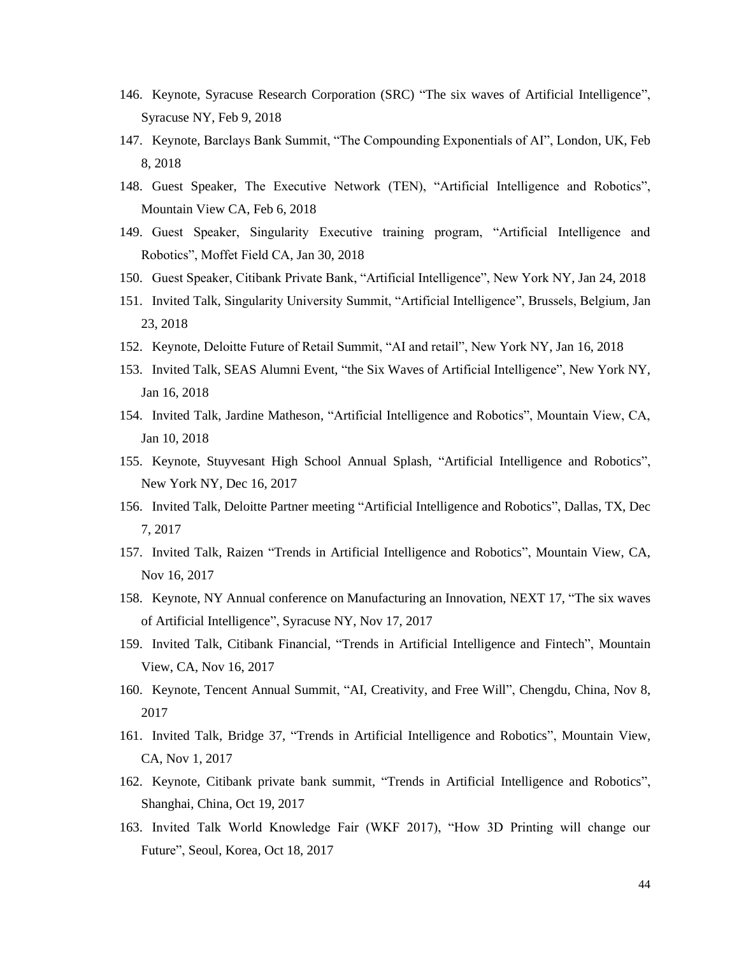- 146. Keynote, Syracuse Research Corporation (SRC) "The six waves of Artificial Intelligence", Syracuse NY, Feb 9, 2018
- 147. Keynote, Barclays Bank Summit, "The Compounding Exponentials of AI", London, UK, Feb 8, 2018
- 148. Guest Speaker, The Executive Network (TEN), "Artificial Intelligence and Robotics", Mountain View CA, Feb 6, 2018
- 149. Guest Speaker, Singularity Executive training program, "Artificial Intelligence and Robotics", Moffet Field CA, Jan 30, 2018
- 150. Guest Speaker, Citibank Private Bank, "Artificial Intelligence", New York NY, Jan 24, 2018
- 151. Invited Talk, Singularity University Summit, "Artificial Intelligence", Brussels, Belgium, Jan 23, 2018
- 152. Keynote, Deloitte Future of Retail Summit, "AI and retail", New York NY, Jan 16, 2018
- 153. Invited Talk, SEAS Alumni Event, "the Six Waves of Artificial Intelligence", New York NY, Jan 16, 2018
- 154. Invited Talk, Jardine Matheson, "Artificial Intelligence and Robotics", Mountain View, CA, Jan 10, 2018
- 155. Keynote, Stuyvesant High School Annual Splash, "Artificial Intelligence and Robotics", New York NY, Dec 16, 2017
- 156. Invited Talk, Deloitte Partner meeting "Artificial Intelligence and Robotics", Dallas, TX, Dec 7, 2017
- 157. Invited Talk, Raizen "Trends in Artificial Intelligence and Robotics", Mountain View, CA, Nov 16, 2017
- 158. Keynote, NY Annual conference on Manufacturing an Innovation, NEXT 17, "The six waves of Artificial Intelligence", Syracuse NY, Nov 17, 2017
- 159. Invited Talk, Citibank Financial, "Trends in Artificial Intelligence and Fintech", Mountain View, CA, Nov 16, 2017
- 160. Keynote, Tencent Annual Summit, "AI, Creativity, and Free Will", Chengdu, China, Nov 8, 2017
- 161. Invited Talk, Bridge 37, "Trends in Artificial Intelligence and Robotics", Mountain View, CA, Nov 1, 2017
- 162. Keynote, Citibank private bank summit, "Trends in Artificial Intelligence and Robotics", Shanghai, China, Oct 19, 2017
- 163. Invited Talk World Knowledge Fair (WKF 2017), "How 3D Printing will change our Future", Seoul, Korea, Oct 18, 2017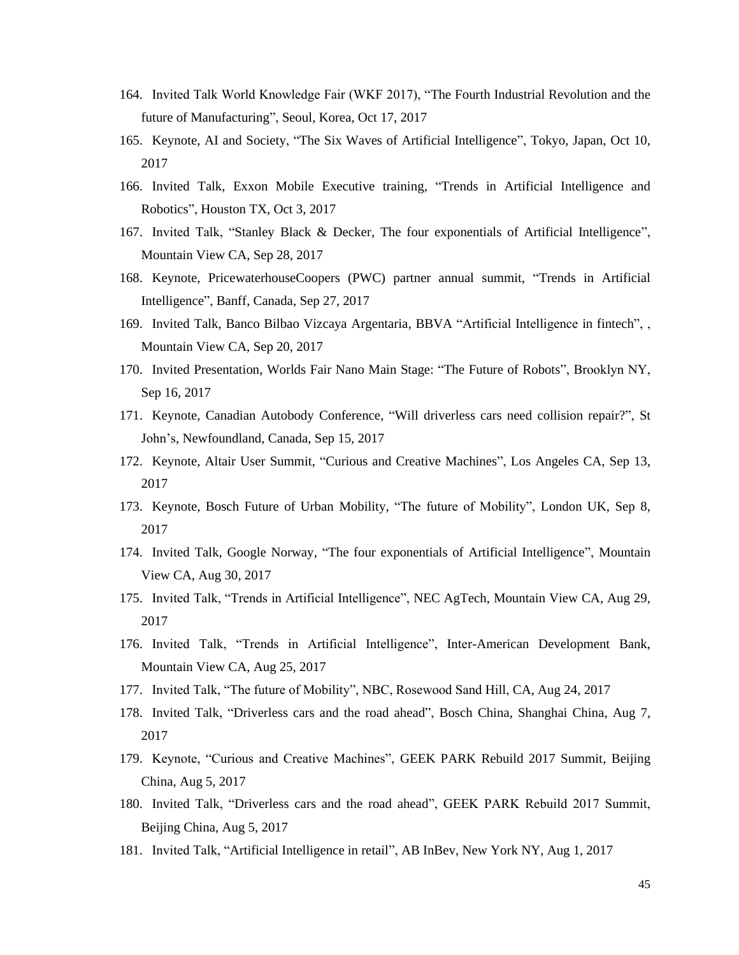- 164. Invited Talk World Knowledge Fair (WKF 2017), "The Fourth Industrial Revolution and the future of Manufacturing", Seoul, Korea, Oct 17, 2017
- 165. Keynote, AI and Society, "The Six Waves of Artificial Intelligence", Tokyo, Japan, Oct 10, 2017
- 166. Invited Talk, Exxon Mobile Executive training, "Trends in Artificial Intelligence and Robotics", Houston TX, Oct 3, 2017
- 167. Invited Talk, "Stanley Black & Decker, The four exponentials of Artificial Intelligence", Mountain View CA, Sep 28, 2017
- 168. Keynote, PricewaterhouseCoopers (PWC) partner annual summit, "Trends in Artificial Intelligence", Banff, Canada, Sep 27, 2017
- 169. Invited Talk, Banco Bilbao Vizcaya Argentaria, BBVA "Artificial Intelligence in fintech", , Mountain View CA, Sep 20, 2017
- 170. Invited Presentation, Worlds Fair Nano Main Stage: "The Future of Robots", Brooklyn NY, Sep 16, 2017
- 171. Keynote, Canadian Autobody Conference, "Will driverless cars need collision repair?", St John's, Newfoundland, Canada, Sep 15, 2017
- 172. Keynote, Altair User Summit, "Curious and Creative Machines", Los Angeles CA, Sep 13, 2017
- 173. Keynote, Bosch Future of Urban Mobility, "The future of Mobility", London UK, Sep 8, 2017
- 174. Invited Talk, Google Norway, "The four exponentials of Artificial Intelligence", Mountain View CA, Aug 30, 2017
- 175. Invited Talk, "Trends in Artificial Intelligence", NEC AgTech, Mountain View CA, Aug 29, 2017
- 176. Invited Talk, "Trends in Artificial Intelligence", Inter-American Development Bank, Mountain View CA, Aug 25, 2017
- 177. Invited Talk, "The future of Mobility", NBC, Rosewood Sand Hill, CA, Aug 24, 2017
- 178. Invited Talk, "Driverless cars and the road ahead", Bosch China, Shanghai China, Aug 7, 2017
- 179. Keynote, "Curious and Creative Machines", GEEK PARK Rebuild 2017 Summit, Beijing China, Aug 5, 2017
- 180. Invited Talk, "Driverless cars and the road ahead", GEEK PARK Rebuild 2017 Summit, Beijing China, Aug 5, 2017
- 181. Invited Talk, "Artificial Intelligence in retail", AB InBev, New York NY, Aug 1, 2017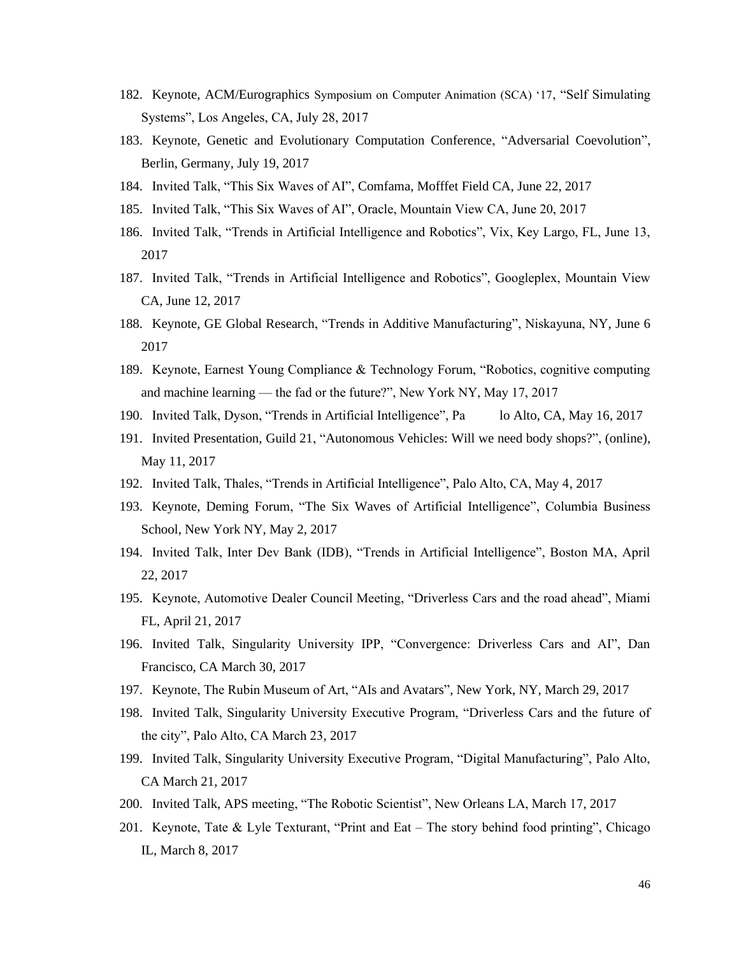- 182. Keynote, ACM/Eurographics Symposium on Computer Animation (SCA) '17, "Self Simulating Systems", Los Angeles, CA, July 28, 2017
- 183. Keynote, Genetic and Evolutionary Computation Conference, "Adversarial Coevolution", Berlin, Germany, July 19, 2017
- 184. Invited Talk, "This Six Waves of AI", Comfama, Mofffet Field CA, June 22, 2017
- 185. Invited Talk, "This Six Waves of AI", Oracle, Mountain View CA, June 20, 2017
- 186. Invited Talk, "Trends in Artificial Intelligence and Robotics", Vix, Key Largo, FL, June 13, 2017
- 187. Invited Talk, "Trends in Artificial Intelligence and Robotics", Googleplex, Mountain View CA, June 12, 2017
- 188. Keynote, GE Global Research, "Trends in Additive Manufacturing", Niskayuna, NY, June 6 2017
- 189. Keynote, Earnest Young Compliance & Technology Forum, "Robotics, cognitive computing and machine learning — the fad or the future?", New York NY, May 17, 2017
- 190. Invited Talk, Dyson, "Trends in Artificial Intelligence", Pa lo Alto, CA, May 16, 2017
- 191. Invited Presentation, Guild 21, "Autonomous Vehicles: Will we need body shops?", (online), May 11, 2017
- 192. Invited Talk, Thales, "Trends in Artificial Intelligence", Palo Alto, CA, May 4, 2017
- 193. Keynote, Deming Forum, "The Six Waves of Artificial Intelligence", Columbia Business School, New York NY, May 2, 2017
- 194. Invited Talk, Inter Dev Bank (IDB), "Trends in Artificial Intelligence", Boston MA, April 22, 2017
- 195. Keynote, Automotive Dealer Council Meeting, "Driverless Cars and the road ahead", Miami FL, April 21, 2017
- 196. Invited Talk, Singularity University IPP, "Convergence: Driverless Cars and AI", Dan Francisco, CA March 30, 2017
- 197. Keynote, The Rubin Museum of Art, "AIs and Avatars", New York, NY, March 29, 2017
- 198. Invited Talk, Singularity University Executive Program, "Driverless Cars and the future of the city", Palo Alto, CA March 23, 2017
- 199. Invited Talk, Singularity University Executive Program, "Digital Manufacturing", Palo Alto, CA March 21, 2017
- 200. Invited Talk, APS meeting, "The Robotic Scientist", New Orleans LA, March 17, 2017
- 201. Keynote, Tate & Lyle Texturant, "Print and Eat The story behind food printing", Chicago IL, March 8, 2017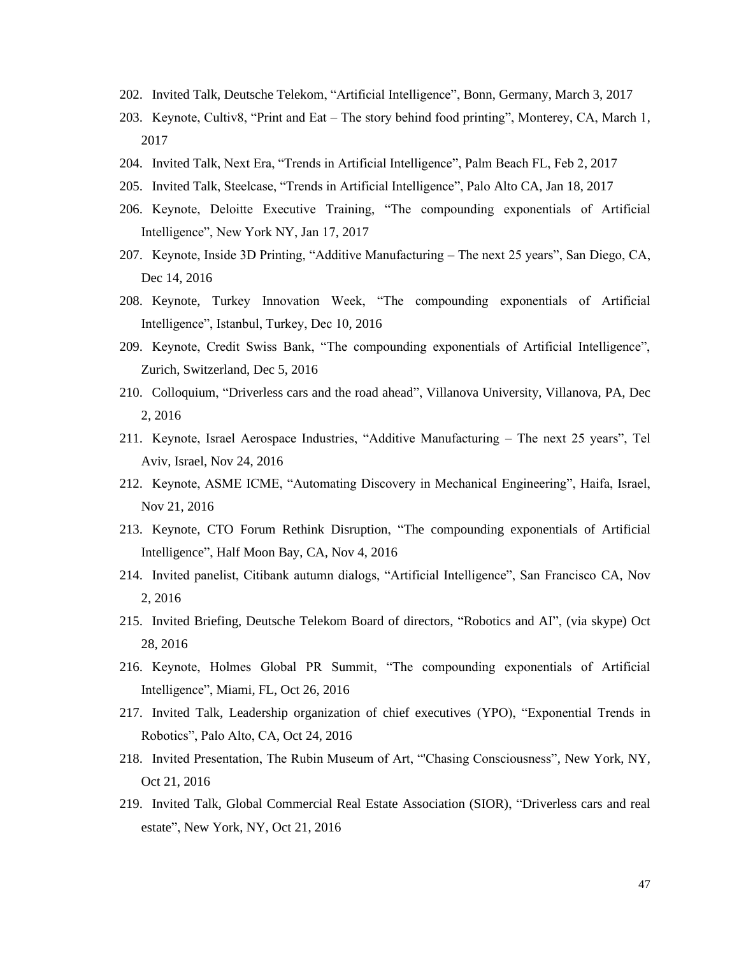- 202. Invited Talk, Deutsche Telekom, "Artificial Intelligence", Bonn, Germany, March 3, 2017
- 203. Keynote, Cultiv8, "Print and Eat The story behind food printing", Monterey, CA, March 1, 2017
- 204. Invited Talk, Next Era, "Trends in Artificial Intelligence", Palm Beach FL, Feb 2, 2017
- 205. Invited Talk, Steelcase, "Trends in Artificial Intelligence", Palo Alto CA, Jan 18, 2017
- 206. Keynote, Deloitte Executive Training, "The compounding exponentials of Artificial Intelligence", New York NY, Jan 17, 2017
- 207. Keynote, Inside 3D Printing, "Additive Manufacturing The next 25 years", San Diego, CA, Dec 14, 2016
- 208. Keynote, Turkey Innovation Week, "The compounding exponentials of Artificial Intelligence", Istanbul, Turkey, Dec 10, 2016
- 209. Keynote, Credit Swiss Bank, "The compounding exponentials of Artificial Intelligence", Zurich, Switzerland, Dec 5, 2016
- 210. Colloquium, "Driverless cars and the road ahead", Villanova University, Villanova, PA, Dec 2, 2016
- 211. Keynote, Israel Aerospace Industries, "Additive Manufacturing The next 25 years", Tel Aviv, Israel, Nov 24, 2016
- 212. Keynote, ASME ICME, "Automating Discovery in Mechanical Engineering", Haifa, Israel, Nov 21, 2016
- 213. Keynote, CTO Forum Rethink Disruption, "The compounding exponentials of Artificial Intelligence", Half Moon Bay, CA, Nov 4, 2016
- 214. Invited panelist, Citibank autumn dialogs, "Artificial Intelligence", San Francisco CA, Nov 2, 2016
- 215. Invited Briefing, Deutsche Telekom Board of directors, "Robotics and AI", (via skype) Oct 28, 2016
- 216. Keynote, Holmes Global PR Summit, "The compounding exponentials of Artificial Intelligence", Miami, FL, Oct 26, 2016
- 217. Invited Talk, Leadership organization of chief executives (YPO), "Exponential Trends in Robotics", Palo Alto, CA, Oct 24, 2016
- 218. Invited Presentation, The Rubin Museum of Art, "'Chasing Consciousness", New York, NY, Oct 21, 2016
- 219. Invited Talk, Global Commercial Real Estate Association (SIOR), "Driverless cars and real estate", New York, NY, Oct 21, 2016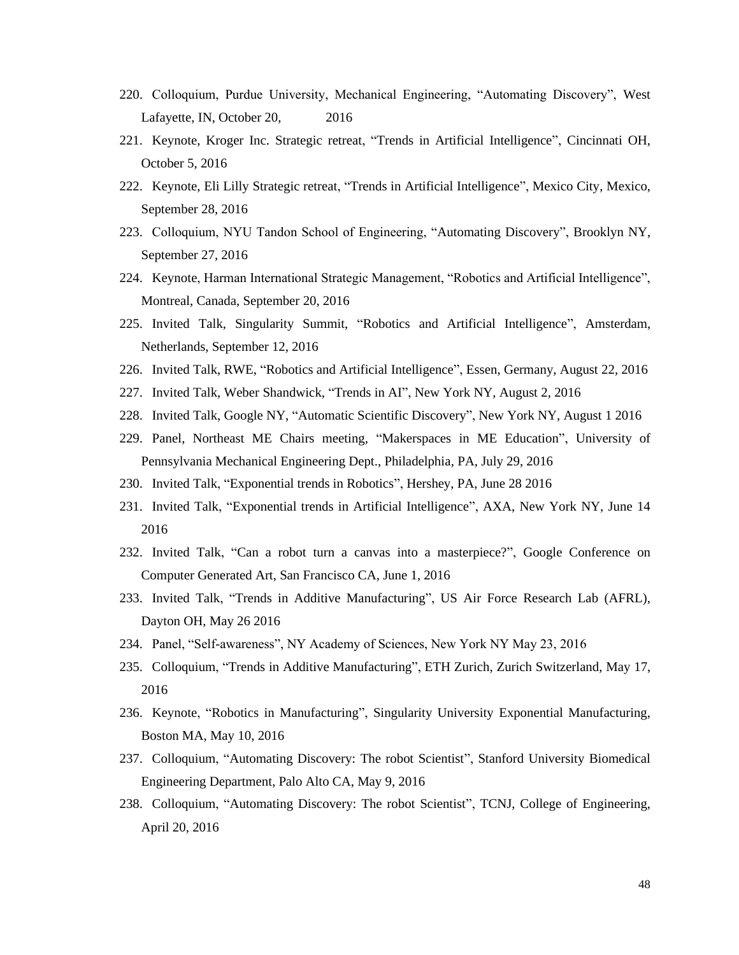- 220. Colloquium, Purdue University, Mechanical Engineering, "Automating Discovery", West Lafayette, IN, October 20, 2016
- 221. Keynote, Kroger Inc. Strategic retreat, "Trends in Artificial Intelligence", Cincinnati OH, October 5, 2016
- 222. Keynote, Eli Lilly Strategic retreat, "Trends in Artificial Intelligence", Mexico City, Mexico, September 28, 2016
- 223. Colloquium, NYU Tandon School of Engineering, "Automating Discovery", Brooklyn NY, September 27, 2016
- 224. Keynote, Harman International Strategic Management, "Robotics and Artificial Intelligence", Montreal, Canada, September 20, 2016
- 225. Invited Talk, Singularity Summit, "Robotics and Artificial Intelligence", Amsterdam, Netherlands, September 12, 2016
- 226. Invited Talk, RWE, "Robotics and Artificial Intelligence", Essen, Germany, August 22, 2016
- 227. Invited Talk, Weber Shandwick, "Trends in AI", New York NY, August 2, 2016
- 228. Invited Talk, Google NY, "Automatic Scientific Discovery", New York NY, August 1 2016
- 229. Panel, Northeast ME Chairs meeting, "Makerspaces in ME Education", University of Pennsylvania Mechanical Engineering Dept., Philadelphia, PA, July 29, 2016
- 230. Invited Talk, "Exponential trends in Robotics", Hershey, PA, June 28 2016
- 231. Invited Talk, "Exponential trends in Artificial Intelligence", AXA, New York NY, June 14 2016
- 232. Invited Talk, "Can a robot turn a canvas into a masterpiece?", Google Conference on Computer Generated Art, San Francisco CA, June 1, 2016
- 233. Invited Talk, "Trends in Additive Manufacturing", US Air Force Research Lab (AFRL), Dayton OH, May 26 2016
- 234. Panel, "Self-awareness", NY Academy of Sciences, New York NY May 23, 2016
- 235. Colloquium, "Trends in Additive Manufacturing", ETH Zurich, Zurich Switzerland, May 17, 2016
- 236. Keynote, "Robotics in Manufacturing", Singularity University Exponential Manufacturing, Boston MA, May 10, 2016
- 237. Colloquium, "Automating Discovery: The robot Scientist", Stanford University Biomedical Engineering Department, Palo Alto CA, May 9, 2016
- 238. Colloquium, "Automating Discovery: The robot Scientist", TCNJ, College of Engineering, April 20, 2016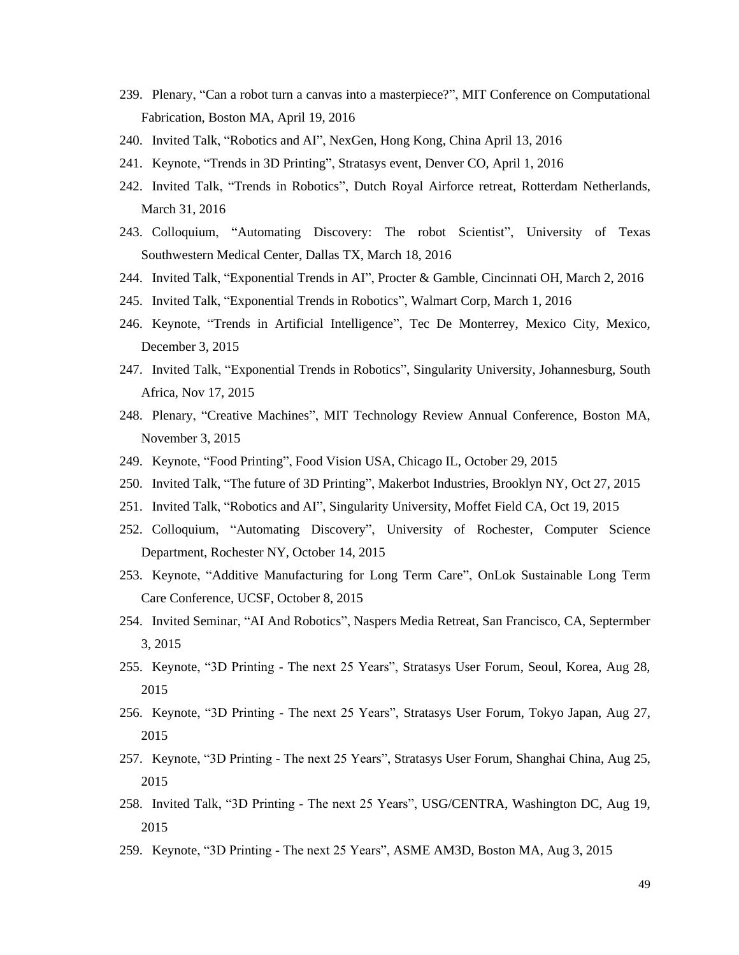- 239. Plenary, "Can a robot turn a canvas into a masterpiece?", MIT Conference on Computational Fabrication, Boston MA, April 19, 2016
- 240. Invited Talk, "Robotics and AI", NexGen, Hong Kong, China April 13, 2016
- 241. Keynote, "Trends in 3D Printing", Stratasys event, Denver CO, April 1, 2016
- 242. Invited Talk, "Trends in Robotics", Dutch Royal Airforce retreat, Rotterdam Netherlands, March 31, 2016
- 243. Colloquium, "Automating Discovery: The robot Scientist", University of Texas Southwestern Medical Center, Dallas TX, March 18, 2016
- 244. Invited Talk, "Exponential Trends in AI", Procter & Gamble, Cincinnati OH, March 2, 2016
- 245. Invited Talk, "Exponential Trends in Robotics", Walmart Corp, March 1, 2016
- 246. Keynote, "Trends in Artificial Intelligence", Tec De Monterrey, Mexico City, Mexico, December 3, 2015
- 247. Invited Talk, "Exponential Trends in Robotics", Singularity University, Johannesburg, South Africa, Nov 17, 2015
- 248. Plenary, "Creative Machines", MIT Technology Review Annual Conference, Boston MA, November 3, 2015
- 249. Keynote, "Food Printing", Food Vision USA, Chicago IL, October 29, 2015
- 250. Invited Talk, "The future of 3D Printing", Makerbot Industries, Brooklyn NY, Oct 27, 2015
- 251. Invited Talk, "Robotics and AI", Singularity University, Moffet Field CA, Oct 19, 2015
- 252. Colloquium, "Automating Discovery", University of Rochester, Computer Science Department, Rochester NY, October 14, 2015
- 253. Keynote, "Additive Manufacturing for Long Term Care", OnLok Sustainable Long Term Care Conference, UCSF, October 8, 2015
- 254. Invited Seminar, "AI And Robotics", Naspers Media Retreat, San Francisco, CA, Septermber 3, 2015
- 255. Keynote, "3D Printing The next 25 Years", Stratasys User Forum, Seoul, Korea, Aug 28, 2015
- 256. Keynote, "3D Printing The next 25 Years", Stratasys User Forum, Tokyo Japan, Aug 27, 2015
- 257. Keynote, "3D Printing The next 25 Years", Stratasys User Forum, Shanghai China, Aug 25, 2015
- 258. Invited Talk, "3D Printing The next 25 Years", USG/CENTRA, Washington DC, Aug 19, 2015
- 259. Keynote, "3D Printing The next 25 Years", ASME AM3D, Boston MA, Aug 3, 2015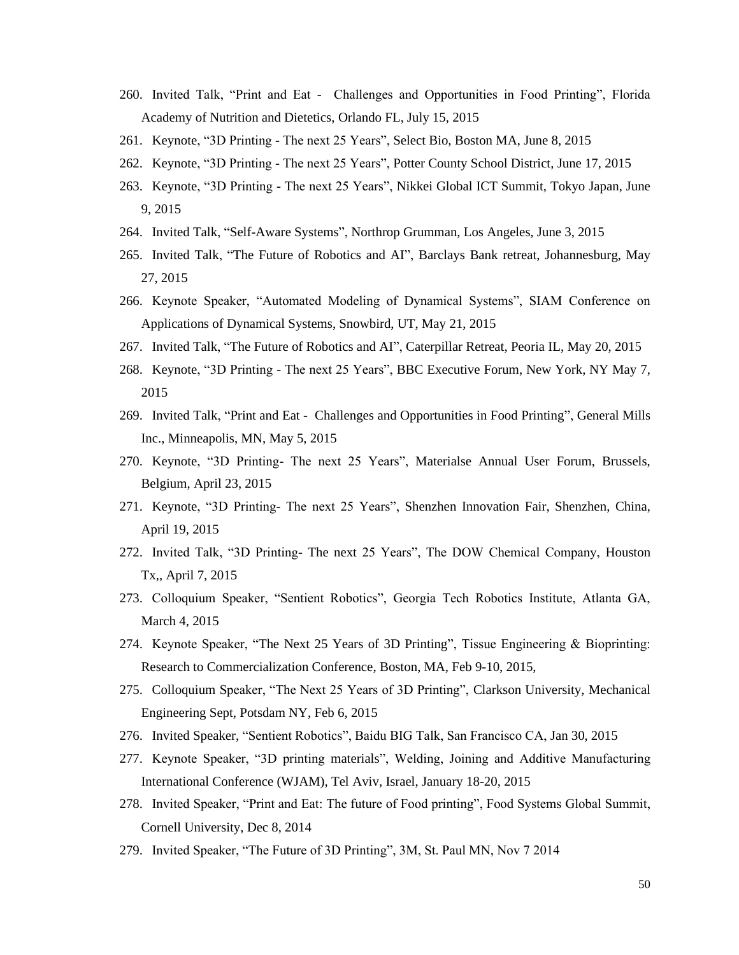- 260. Invited Talk, "Print and Eat Challenges and Opportunities in Food Printing", Florida Academy of Nutrition and Dietetics, Orlando FL, July 15, 2015
- 261. Keynote, "3D Printing The next 25 Years", Select Bio, Boston MA, June 8, 2015
- 262. Keynote, "3D Printing The next 25 Years", Potter County School District, June 17, 2015
- 263. Keynote, "3D Printing The next 25 Years", Nikkei Global ICT Summit, Tokyo Japan, June 9, 2015
- 264. Invited Talk, "Self-Aware Systems", Northrop Grumman, Los Angeles, June 3, 2015
- 265. Invited Talk, "The Future of Robotics and AI", Barclays Bank retreat, Johannesburg, May 27, 2015
- 266. Keynote Speaker, "Automated Modeling of Dynamical Systems", SIAM Conference on Applications of Dynamical Systems, Snowbird, UT, May 21, 2015
- 267. Invited Talk, "The Future of Robotics and AI", Caterpillar Retreat, Peoria IL, May 20, 2015
- 268. Keynote, "3D Printing The next 25 Years", BBC Executive Forum, New York, NY May 7, 2015
- 269. Invited Talk, "Print and Eat Challenges and Opportunities in Food Printing", General Mills Inc., Minneapolis, MN, May 5, 2015
- 270. Keynote, "3D Printing- The next 25 Years", Materialse Annual User Forum, Brussels, Belgium, April 23, 2015
- 271. Keynote, "3D Printing- The next 25 Years", Shenzhen Innovation Fair, Shenzhen, China, April 19, 2015
- 272. Invited Talk, "3D Printing- The next 25 Years", The DOW Chemical Company, Houston Tx,, April 7, 2015
- 273. Colloquium Speaker, "Sentient Robotics", Georgia Tech Robotics Institute, Atlanta GA, March 4, 2015
- 274. Keynote Speaker, "The Next 25 Years of 3D Printing", Tissue Engineering & Bioprinting: Research to Commercialization Conference, Boston, MA, Feb 9-10, 2015,
- 275. Colloquium Speaker, "The Next 25 Years of 3D Printing", Clarkson University, Mechanical Engineering Sept, Potsdam NY, Feb 6, 2015
- 276. Invited Speaker, "Sentient Robotics", Baidu BIG Talk, San Francisco CA, Jan 30, 2015
- 277. Keynote Speaker, "3D printing materials", Welding, Joining and Additive Manufacturing International Conference (WJAM), Tel Aviv, Israel, January 18-20, 2015
- 278. Invited Speaker, "Print and Eat: The future of Food printing", Food Systems Global Summit, Cornell University, Dec 8, 2014
- 279. Invited Speaker, "The Future of 3D Printing", 3M, St. Paul MN, Nov 7 2014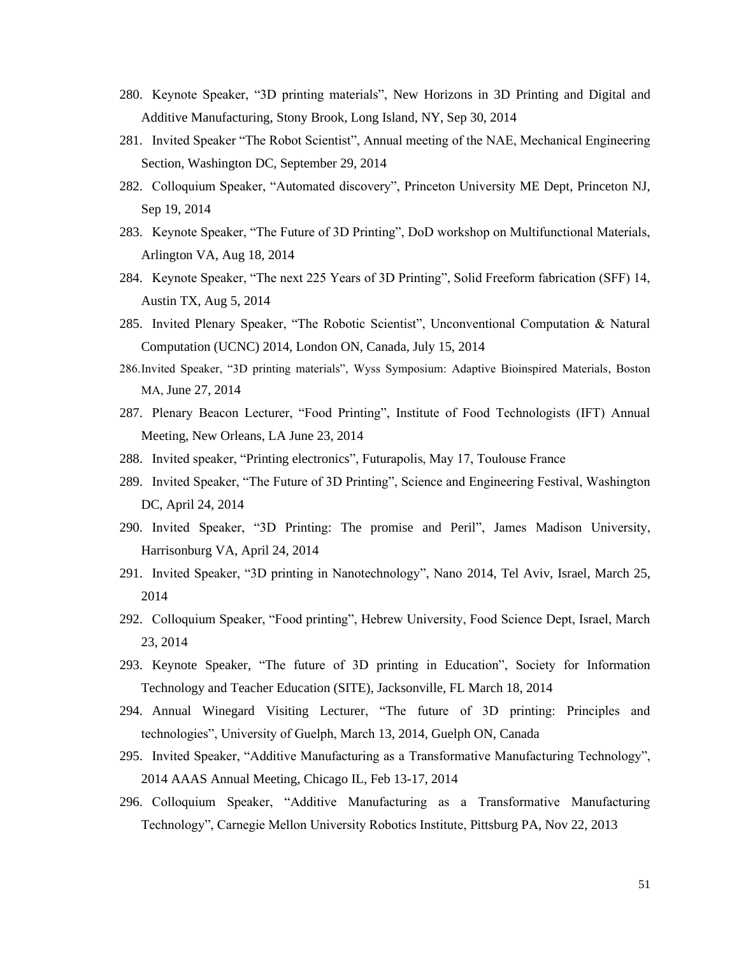- 280. Keynote Speaker, "3D printing materials", New Horizons in 3D Printing and Digital and Additive Manufacturing, Stony Brook, Long Island, NY, Sep 30, 2014
- 281. Invited Speaker "The Robot Scientist", Annual meeting of the NAE, Mechanical Engineering Section, Washington DC, September 29, 2014
- 282. Colloquium Speaker, "Automated discovery", Princeton University ME Dept, Princeton NJ, Sep 19, 2014
- 283. Keynote Speaker, "The Future of 3D Printing", DoD workshop on Multifunctional Materials, Arlington VA, Aug 18, 2014
- 284. Keynote Speaker, "The next 225 Years of 3D Printing", Solid Freeform fabrication (SFF) 14, Austin TX, Aug 5, 2014
- 285. Invited Plenary Speaker, "The Robotic Scientist", Unconventional Computation & Natural Computation (UCNC) 2014, London ON, Canada, July 15, 2014
- 286.Invited Speaker, "3D printing materials", Wyss Symposium: Adaptive Bioinspired Materials, Boston MA, June 27, 2014
- 287. Plenary Beacon Lecturer, "Food Printing", Institute of Food Technologists (IFT) Annual Meeting, New Orleans, LA June 23, 2014
- 288. Invited speaker, "Printing electronics", Futurapolis, May 17, Toulouse France
- 289. Invited Speaker, "The Future of 3D Printing", Science and Engineering Festival, Washington DC, April 24, 2014
- 290. Invited Speaker, "3D Printing: The promise and Peril", James Madison University, Harrisonburg VA, April 24, 2014
- 291. Invited Speaker, "3D printing in Nanotechnology", Nano 2014, Tel Aviv, Israel, March 25, 2014
- 292. Colloquium Speaker, "Food printing", Hebrew University, Food Science Dept, Israel, March 23, 2014
- 293. Keynote Speaker, "The future of 3D printing in Education", Society for Information Technology and Teacher Education (SITE), Jacksonville, FL March 18, 2014
- 294. Annual Winegard Visiting Lecturer, "The future of 3D printing: Principles and technologies", University of Guelph, March 13, 2014, Guelph ON, Canada
- 295. Invited Speaker, "Additive Manufacturing as a Transformative Manufacturing Technology", 2014 AAAS Annual Meeting, Chicago IL, Feb 13-17, 2014
- 296. Colloquium Speaker, "Additive Manufacturing as a Transformative Manufacturing Technology", Carnegie Mellon University Robotics Institute, Pittsburg PA, Nov 22, 2013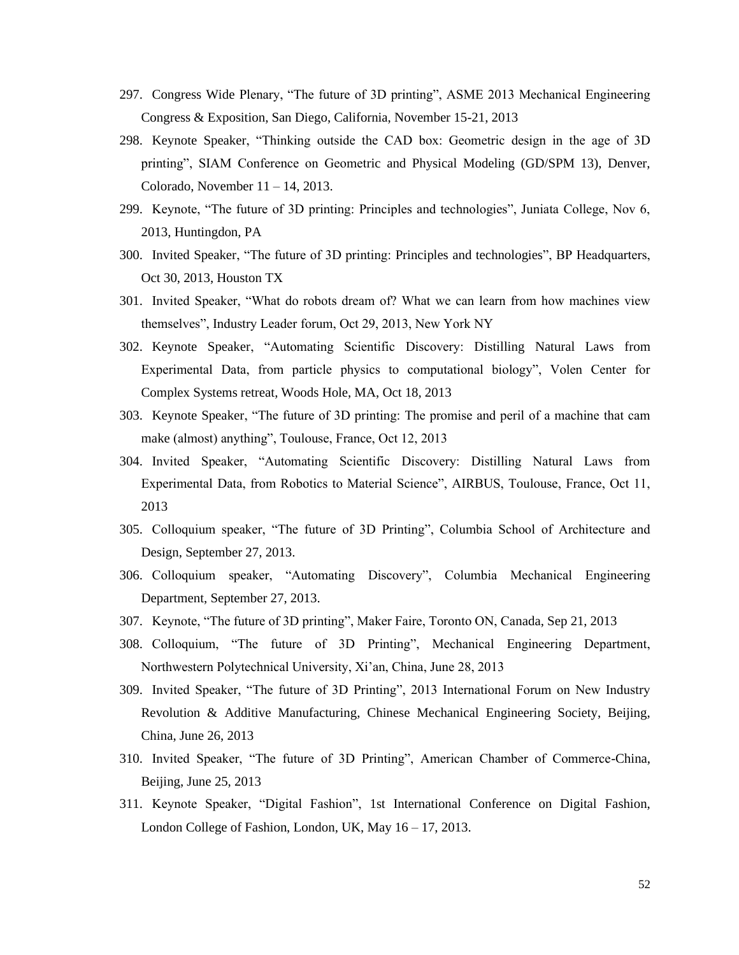- 297. Congress Wide Plenary, "The future of 3D printing", ASME 2013 Mechanical Engineering Congress & Exposition, San Diego, California, November 15-21, 2013
- 298. Keynote Speaker, "Thinking outside the CAD box: Geometric design in the age of 3D printing", SIAM Conference on Geometric and Physical Modeling (GD/SPM 13), Denver, Colorado, November 11 – 14, 2013.
- 299. Keynote, "The future of 3D printing: Principles and technologies", Juniata College, Nov 6, 2013, Huntingdon, PA
- 300. Invited Speaker, "The future of 3D printing: Principles and technologies", BP Headquarters, Oct 30, 2013, Houston TX
- 301. Invited Speaker, "What do robots dream of? What we can learn from how machines view themselves", Industry Leader forum, Oct 29, 2013, New York NY
- 302. Keynote Speaker, "Automating Scientific Discovery: Distilling Natural Laws from Experimental Data, from particle physics to computational biology", Volen Center for Complex Systems retreat, Woods Hole, MA, Oct 18, 2013
- 303. Keynote Speaker, "The future of 3D printing: The promise and peril of a machine that cam make (almost) anything", Toulouse, France, Oct 12, 2013
- 304. Invited Speaker, "Automating Scientific Discovery: Distilling Natural Laws from Experimental Data, from Robotics to Material Science", AIRBUS, Toulouse, France, Oct 11, 2013
- 305. Colloquium speaker, "The future of 3D Printing", Columbia School of Architecture and Design, September 27, 2013.
- 306. Colloquium speaker, "Automating Discovery", Columbia Mechanical Engineering Department, September 27, 2013.
- 307. Keynote, "The future of 3D printing", Maker Faire, Toronto ON, Canada, Sep 21, 2013
- 308. Colloquium, "The future of 3D Printing", Mechanical Engineering Department, Northwestern Polytechnical University, Xi'an, China, June 28, 2013
- 309. Invited Speaker, "The future of 3D Printing", 2013 International Forum on New Industry Revolution & Additive Manufacturing, Chinese Mechanical Engineering Society, Beijing, China, June 26, 2013
- 310. Invited Speaker, "The future of 3D Printing", American Chamber of Commerce-China, Beijing, June 25, 2013
- 311. Keynote Speaker, "Digital Fashion", 1st International Conference on Digital Fashion, London College of Fashion, London, UK, May 16 – 17, 2013.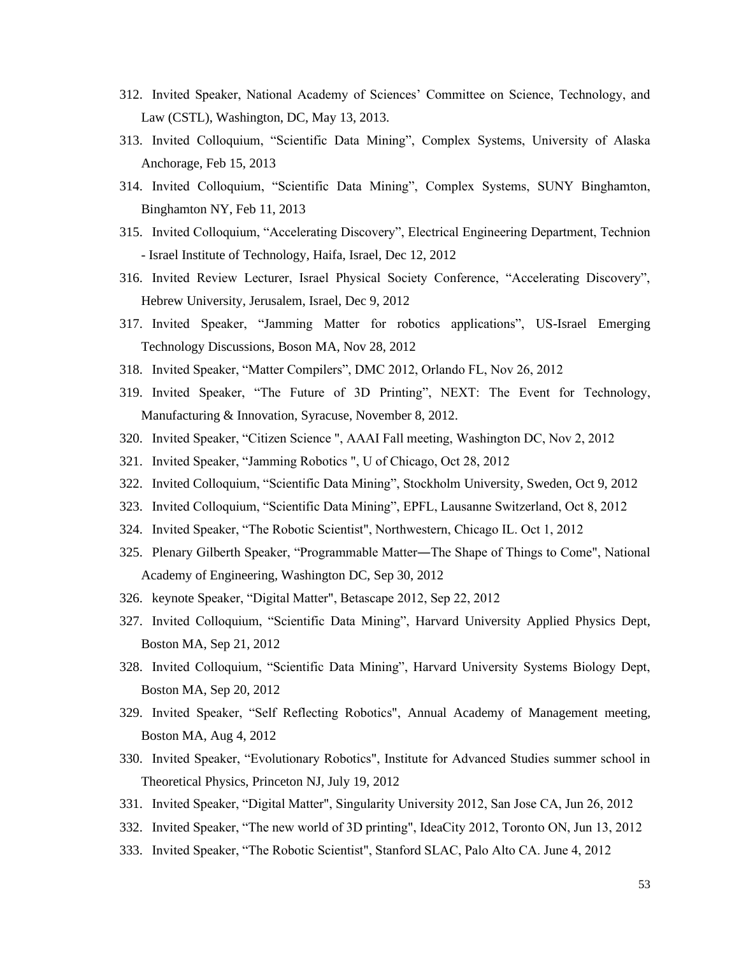- 312. Invited Speaker, National Academy of Sciences' Committee on Science, Technology, and Law (CSTL), Washington, DC, May 13, 2013.
- 313. Invited Colloquium, "Scientific Data Mining", Complex Systems, University of Alaska Anchorage, Feb 15, 2013
- 314. Invited Colloquium, "Scientific Data Mining", Complex Systems, SUNY Binghamton, Binghamton NY, Feb 11, 2013
- 315. Invited Colloquium, "Accelerating Discovery", Electrical Engineering Department, Technion - Israel Institute of Technology, Haifa, Israel, Dec 12, 2012
- 316. Invited Review Lecturer, Israel Physical Society Conference, "Accelerating Discovery", Hebrew University, Jerusalem, Israel, Dec 9, 2012
- 317. Invited Speaker, "Jamming Matter for robotics applications", US-Israel Emerging Technology Discussions, Boson MA, Nov 28, 2012
- 318. Invited Speaker, "Matter Compilers", DMC 2012, Orlando FL, Nov 26, 2012
- 319. Invited Speaker, "The Future of 3D Printing", NEXT: The Event for Technology, Manufacturing & Innovation, Syracuse, November 8, 2012.
- 320. Invited Speaker, "Citizen Science ", AAAI Fall meeting, Washington DC, Nov 2, 2012
- 321. Invited Speaker, "Jamming Robotics ", U of Chicago, Oct 28, 2012
- 322. Invited Colloquium, "Scientific Data Mining", Stockholm University, Sweden, Oct 9, 2012
- 323. Invited Colloquium, "Scientific Data Mining", EPFL, Lausanne Switzerland, Oct 8, 2012
- 324. Invited Speaker, "The Robotic Scientist", Northwestern, Chicago IL. Oct 1, 2012
- 325. Plenary Gilberth Speaker, "Programmable Matter―The Shape of Things to Come", National Academy of Engineering, Washington DC, Sep 30, 2012
- 326. keynote Speaker, "Digital Matter", Betascape 2012, Sep 22, 2012
- 327. Invited Colloquium, "Scientific Data Mining", Harvard University Applied Physics Dept, Boston MA, Sep 21, 2012
- 328. Invited Colloquium, "Scientific Data Mining", Harvard University Systems Biology Dept, Boston MA, Sep 20, 2012
- 329. Invited Speaker, "Self Reflecting Robotics", Annual Academy of Management meeting, Boston MA, Aug 4, 2012
- 330. Invited Speaker, "Evolutionary Robotics", Institute for Advanced Studies summer school in Theoretical Physics, Princeton NJ, July 19, 2012
- 331. Invited Speaker, "Digital Matter", Singularity University 2012, San Jose CA, Jun 26, 2012
- 332. Invited Speaker, "The new world of 3D printing", IdeaCity 2012, Toronto ON, Jun 13, 2012
- 333. Invited Speaker, "The Robotic Scientist", Stanford SLAC, Palo Alto CA. June 4, 2012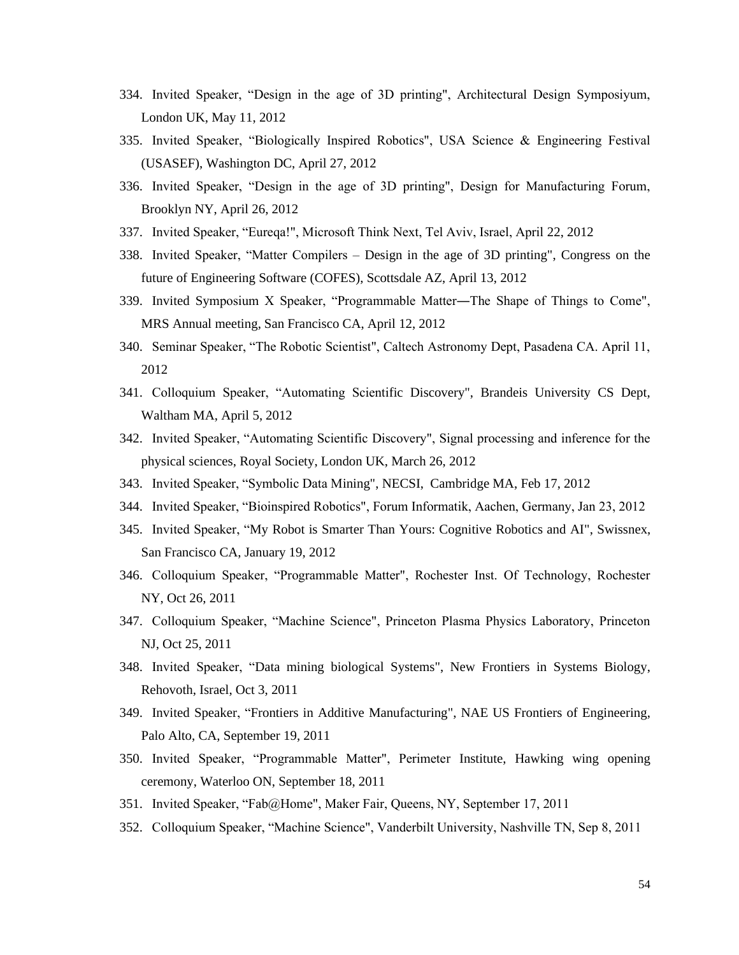- 334. Invited Speaker, "Design in the age of 3D printing", Architectural Design Symposiyum, London UK, May 11, 2012
- 335. Invited Speaker, "Biologically Inspired Robotics", USA Science & Engineering Festival (USASEF), Washington DC, April 27, 2012
- 336. Invited Speaker, "Design in the age of 3D printing", Design for Manufacturing Forum, Brooklyn NY, April 26, 2012
- 337. Invited Speaker, "Eureqa!", Microsoft Think Next, Tel Aviv, Israel, April 22, 2012
- 338. Invited Speaker, "Matter Compilers Design in the age of 3D printing", Congress on the future of Engineering Software (COFES), Scottsdale AZ, April 13, 2012
- 339. Invited Symposium X Speaker, "Programmable Matter―The Shape of Things to Come", MRS Annual meeting, San Francisco CA, April 12, 2012
- 340. Seminar Speaker, "The Robotic Scientist", Caltech Astronomy Dept, Pasadena CA. April 11, 2012
- 341. Colloquium Speaker, "Automating Scientific Discovery", Brandeis University CS Dept, Waltham MA, April 5, 2012
- 342. Invited Speaker, "Automating Scientific Discovery", Signal processing and inference for the physical sciences, Royal Society, London UK, March 26, 2012
- 343. Invited Speaker, "Symbolic Data Mining", NECSI, Cambridge MA, Feb 17, 2012
- 344. Invited Speaker, "Bioinspired Robotics", Forum Informatik, Aachen, Germany, Jan 23, 2012
- 345. Invited Speaker, "My Robot is Smarter Than Yours: Cognitive Robotics and AI", Swissnex, San Francisco CA, January 19, 2012
- 346. Colloquium Speaker, "Programmable Matter", Rochester Inst. Of Technology, Rochester NY, Oct 26, 2011
- 347. Colloquium Speaker, "Machine Science", Princeton Plasma Physics Laboratory, Princeton NJ, Oct 25, 2011
- 348. Invited Speaker, "Data mining biological Systems", New Frontiers in Systems Biology, Rehovoth, Israel, Oct 3, 2011
- 349. Invited Speaker, "Frontiers in Additive Manufacturing", NAE US Frontiers of Engineering, Palo Alto, CA, September 19, 2011
- 350. Invited Speaker, "Programmable Matter", Perimeter Institute, Hawking wing opening ceremony, Waterloo ON, September 18, 2011
- 351. Invited Speaker, "Fab@Home", Maker Fair, Queens, NY, September 17, 2011
- 352. Colloquium Speaker, "Machine Science", Vanderbilt University, Nashville TN, Sep 8, 2011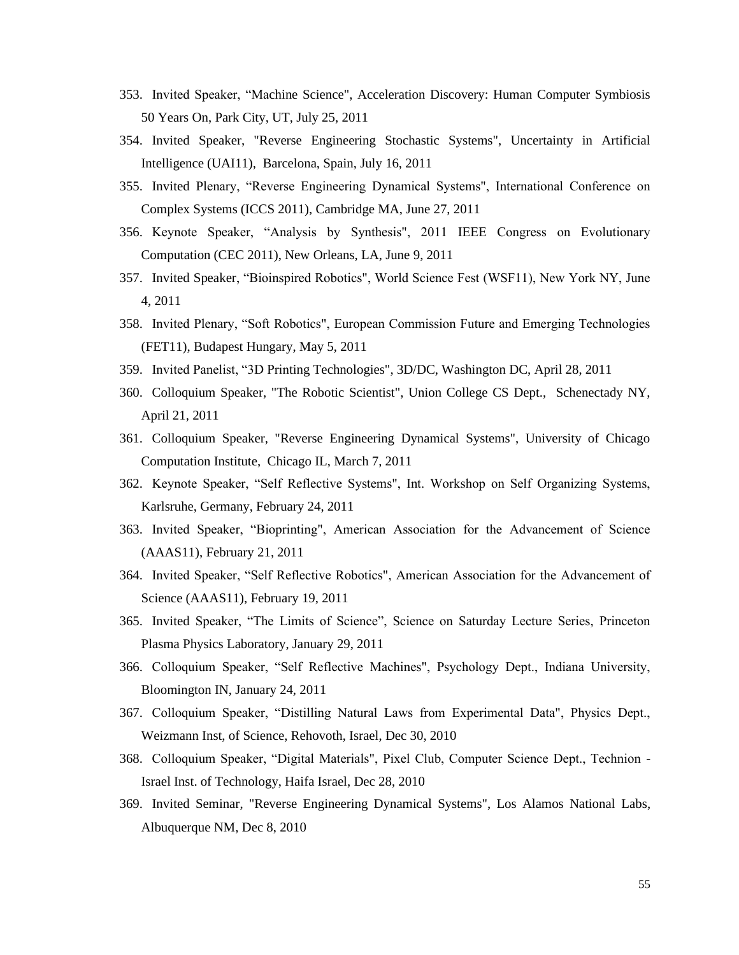- 353. Invited Speaker, "Machine Science", Acceleration Discovery: Human Computer Symbiosis 50 Years On, Park City, UT, July 25, 2011
- 354. Invited Speaker, "Reverse Engineering Stochastic Systems", Uncertainty in Artificial Intelligence (UAI11), Barcelona, Spain, July 16, 2011
- 355. Invited Plenary, "Reverse Engineering Dynamical Systems", International Conference on Complex Systems (ICCS 2011), Cambridge MA, June 27, 2011
- 356. Keynote Speaker, "Analysis by Synthesis", 2011 IEEE Congress on Evolutionary Computation (CEC 2011), New Orleans, LA, June 9, 2011
- 357. Invited Speaker, "Bioinspired Robotics", World Science Fest (WSF11), New York NY, June 4, 2011
- 358. Invited Plenary, "Soft Robotics", European Commission Future and Emerging Technologies (FET11), Budapest Hungary, May 5, 2011
- 359. Invited Panelist, "3D Printing Technologies", 3D/DC, Washington DC, April 28, 2011
- 360. Colloquium Speaker, "The Robotic Scientist", Union College CS Dept., Schenectady NY, April 21, 2011
- 361. Colloquium Speaker, "Reverse Engineering Dynamical Systems", University of Chicago Computation Institute, Chicago IL, March 7, 2011
- 362. Keynote Speaker, "Self Reflective Systems", Int. Workshop on Self Organizing Systems, Karlsruhe, Germany, February 24, 2011
- 363. Invited Speaker, "Bioprinting", American Association for the Advancement of Science (AAAS11), February 21, 2011
- 364. Invited Speaker, "Self Reflective Robotics", American Association for the Advancement of Science (AAAS11), February 19, 2011
- 365. Invited Speaker, "The Limits of Science", Science on Saturday Lecture Series, Princeton Plasma Physics Laboratory, January 29, 2011
- 366. Colloquium Speaker, "Self Reflective Machines", Psychology Dept., Indiana University, Bloomington IN, January 24, 2011
- 367. Colloquium Speaker, "Distilling Natural Laws from Experimental Data", Physics Dept., Weizmann Inst, of Science, Rehovoth, Israel, Dec 30, 2010
- 368. Colloquium Speaker, "Digital Materials", Pixel Club, Computer Science Dept., Technion Israel Inst. of Technology, Haifa Israel, Dec 28, 2010
- 369. Invited Seminar, "Reverse Engineering Dynamical Systems", Los Alamos National Labs, Albuquerque NM, Dec 8, 2010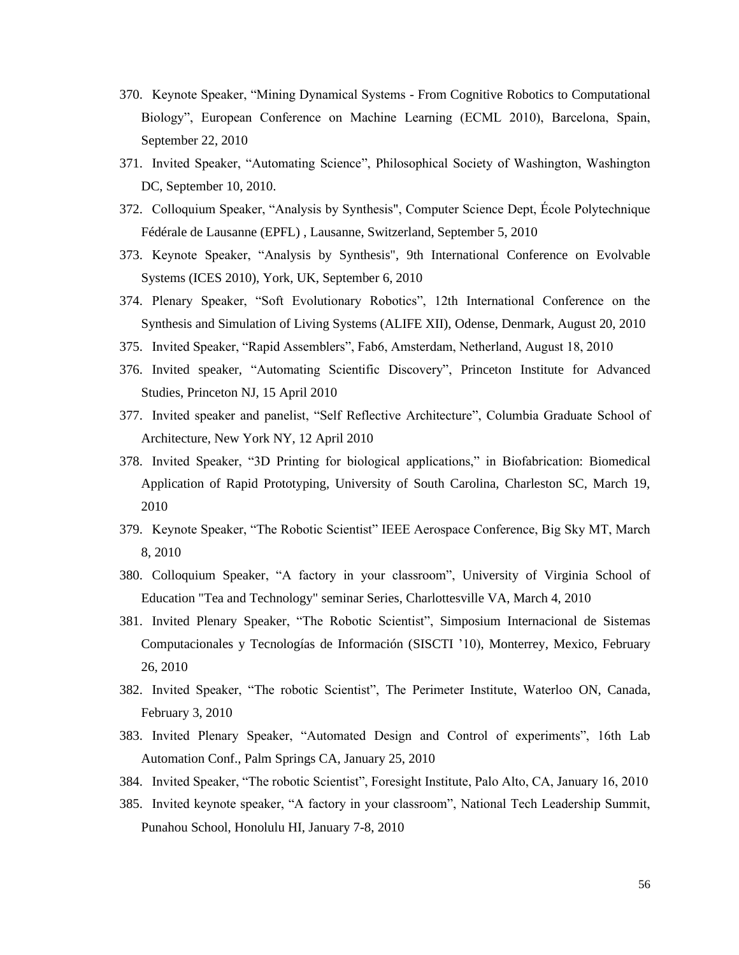- 370. Keynote Speaker, "Mining Dynamical Systems From Cognitive Robotics to Computational Biology", European Conference on Machine Learning (ECML 2010), Barcelona, Spain, September 22, 2010
- 371. Invited Speaker, "Automating Science", Philosophical Society of Washington, Washington DC, September 10, 2010.
- 372. Colloquium Speaker, "Analysis by Synthesis", Computer Science Dept, École Polytechnique Fédérale de Lausanne (EPFL) , Lausanne, Switzerland, September 5, 2010
- 373. Keynote Speaker, "Analysis by Synthesis", 9th International Conference on Evolvable Systems (ICES 2010), York, UK, September 6, 2010
- 374. Plenary Speaker, "Soft Evolutionary Robotics", 12th International Conference on the Synthesis and Simulation of Living Systems (ALIFE XII), Odense, Denmark, August 20, 2010
- 375. Invited Speaker, "Rapid Assemblers", Fab6, Amsterdam, Netherland, August 18, 2010
- 376. Invited speaker, "Automating Scientific Discovery", Princeton Institute for Advanced Studies, Princeton NJ, 15 April 2010
- 377. Invited speaker and panelist, "Self Reflective Architecture", Columbia Graduate School of Architecture, New York NY, 12 April 2010
- 378. Invited Speaker, "3D Printing for biological applications," in Biofabrication: Biomedical Application of Rapid Prototyping, University of South Carolina, Charleston SC, March 19, 2010
- 379. Keynote Speaker, "The Robotic Scientist" IEEE Aerospace Conference, Big Sky MT, March 8, 2010
- 380. Colloquium Speaker, "A factory in your classroom", University of Virginia School of Education "Tea and Technology" seminar Series, Charlottesville VA, March 4, 2010
- 381. Invited Plenary Speaker, "The Robotic Scientist", Simposium Internacional de Sistemas Computacionales y Tecnologías de Información (SISCTI '10), Monterrey, Mexico, February 26, 2010
- 382. Invited Speaker, "The robotic Scientist", The Perimeter Institute, Waterloo ON, Canada, February 3, 2010
- 383. Invited Plenary Speaker, "Automated Design and Control of experiments", 16th Lab Automation Conf., Palm Springs CA, January 25, 2010
- 384. Invited Speaker, "The robotic Scientist", Foresight Institute, Palo Alto, CA, January 16, 2010
- 385. Invited keynote speaker, "A factory in your classroom", National Tech Leadership Summit, Punahou School, Honolulu HI, January 7-8, 2010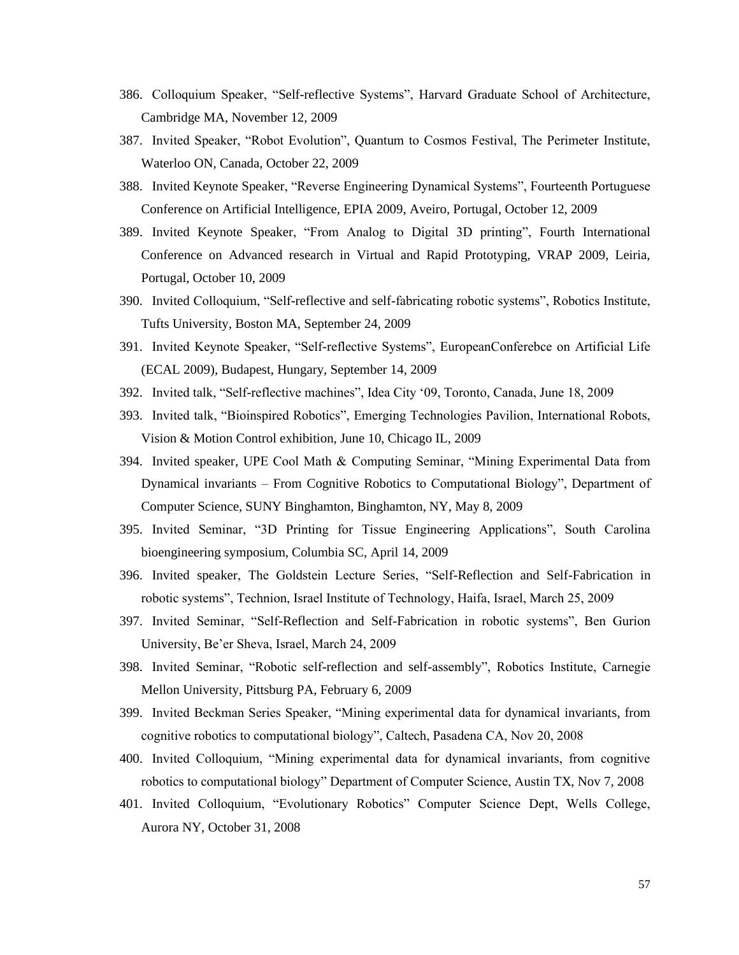- 386. Colloquium Speaker, "Self-reflective Systems", Harvard Graduate School of Architecture, Cambridge MA, November 12, 2009
- 387. Invited Speaker, "Robot Evolution", Quantum to Cosmos Festival, The Perimeter Institute, Waterloo ON, Canada, October 22, 2009
- 388. Invited Keynote Speaker, "Reverse Engineering Dynamical Systems", Fourteenth Portuguese Conference on Artificial Intelligence, EPIA 2009, Aveiro, Portugal, October 12, 2009
- 389. Invited Keynote Speaker, "From Analog to Digital 3D printing", Fourth International Conference on Advanced research in Virtual and Rapid Prototyping, VRAP 2009, Leiria, Portugal, October 10, 2009
- 390. Invited Colloquium, "Self-reflective and self-fabricating robotic systems", Robotics Institute, Tufts University, Boston MA, September 24, 2009
- 391. Invited Keynote Speaker, "Self-reflective Systems", EuropeanConferebce on Artificial Life (ECAL 2009), Budapest, Hungary, September 14, 2009
- 392. Invited talk, "Self-reflective machines", Idea City '09, Toronto, Canada, June 18, 2009
- 393. Invited talk, "Bioinspired Robotics", Emerging Technologies Pavilion, International Robots, Vision & Motion Control exhibition, June 10, Chicago IL, 2009
- 394. Invited speaker, UPE Cool Math & Computing Seminar, "Mining Experimental Data from Dynamical invariants – From Cognitive Robotics to Computational Biology", Department of Computer Science, SUNY Binghamton, Binghamton, NY, May 8, 2009
- 395. Invited Seminar, "3D Printing for Tissue Engineering Applications", South Carolina bioengineering symposium, Columbia SC, April 14, 2009
- 396. Invited speaker, The Goldstein Lecture Series, "Self-Reflection and Self-Fabrication in robotic systems", Technion, Israel Institute of Technology, Haifa, Israel, March 25, 2009
- 397. Invited Seminar, "Self-Reflection and Self-Fabrication in robotic systems", Ben Gurion University, Be'er Sheva, Israel, March 24, 2009
- 398. Invited Seminar, "Robotic self-reflection and self-assembly", Robotics Institute, Carnegie Mellon University, Pittsburg PA, February 6, 2009
- 399. Invited Beckman Series Speaker, "Mining experimental data for dynamical invariants, from cognitive robotics to computational biology", Caltech, Pasadena CA, Nov 20, 2008
- 400. Invited Colloquium, "Mining experimental data for dynamical invariants, from cognitive robotics to computational biology" Department of Computer Science, Austin TX, Nov 7, 2008
- 401. Invited Colloquium, "Evolutionary Robotics" Computer Science Dept, Wells College, Aurora NY, October 31, 2008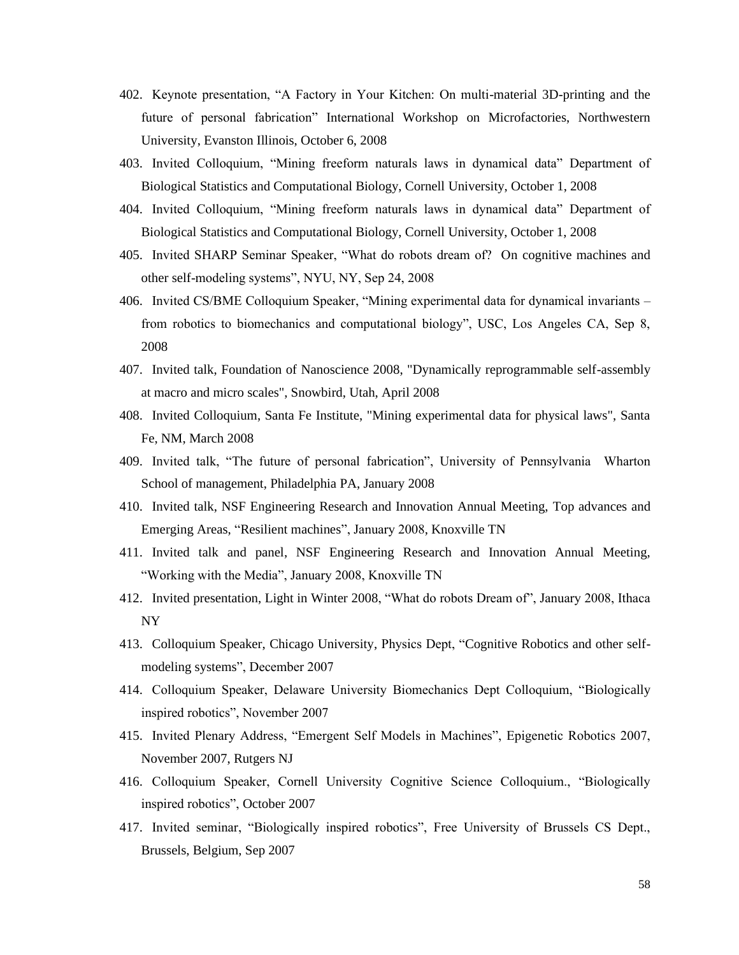- 402. Keynote presentation, "A Factory in Your Kitchen: On multi-material 3D-printing and the future of personal fabrication" International Workshop on Microfactories, Northwestern University, Evanston Illinois, October 6, 2008
- 403. Invited Colloquium, "Mining freeform naturals laws in dynamical data" Department of Biological Statistics and Computational Biology, Cornell University, October 1, 2008
- 404. Invited Colloquium, "Mining freeform naturals laws in dynamical data" Department of Biological Statistics and Computational Biology, Cornell University, October 1, 2008
- 405. Invited SHARP Seminar Speaker, "What do robots dream of? On cognitive machines and other self-modeling systems", NYU, NY, Sep 24, 2008
- 406. Invited CS/BME Colloquium Speaker, "Mining experimental data for dynamical invariants from robotics to biomechanics and computational biology", USC, Los Angeles CA, Sep 8, 2008
- 407. Invited talk, Foundation of Nanoscience 2008, "Dynamically reprogrammable self-assembly at macro and micro scales", Snowbird, Utah, April 2008
- 408. Invited Colloquium, Santa Fe Institute, "Mining experimental data for physical laws", Santa Fe, NM, March 2008
- 409. Invited talk, "The future of personal fabrication", University of Pennsylvania Wharton School of management, Philadelphia PA, January 2008
- 410. Invited talk, NSF Engineering Research and Innovation Annual Meeting, Top advances and Emerging Areas, "Resilient machines", January 2008, Knoxville TN
- 411. Invited talk and panel, NSF Engineering Research and Innovation Annual Meeting, "Working with the Media", January 2008, Knoxville TN
- 412. Invited presentation, Light in Winter 2008, "What do robots Dream of", January 2008, Ithaca NY
- 413. Colloquium Speaker, Chicago University, Physics Dept, "Cognitive Robotics and other selfmodeling systems", December 2007
- 414. Colloquium Speaker, Delaware University Biomechanics Dept Colloquium, "Biologically inspired robotics", November 2007
- 415. Invited Plenary Address, "Emergent Self Models in Machines", Epigenetic Robotics 2007, November 2007, Rutgers NJ
- 416. Colloquium Speaker, Cornell University Cognitive Science Colloquium., "Biologically inspired robotics", October 2007
- 417. Invited seminar, "Biologically inspired robotics", Free University of Brussels CS Dept., Brussels, Belgium, Sep 2007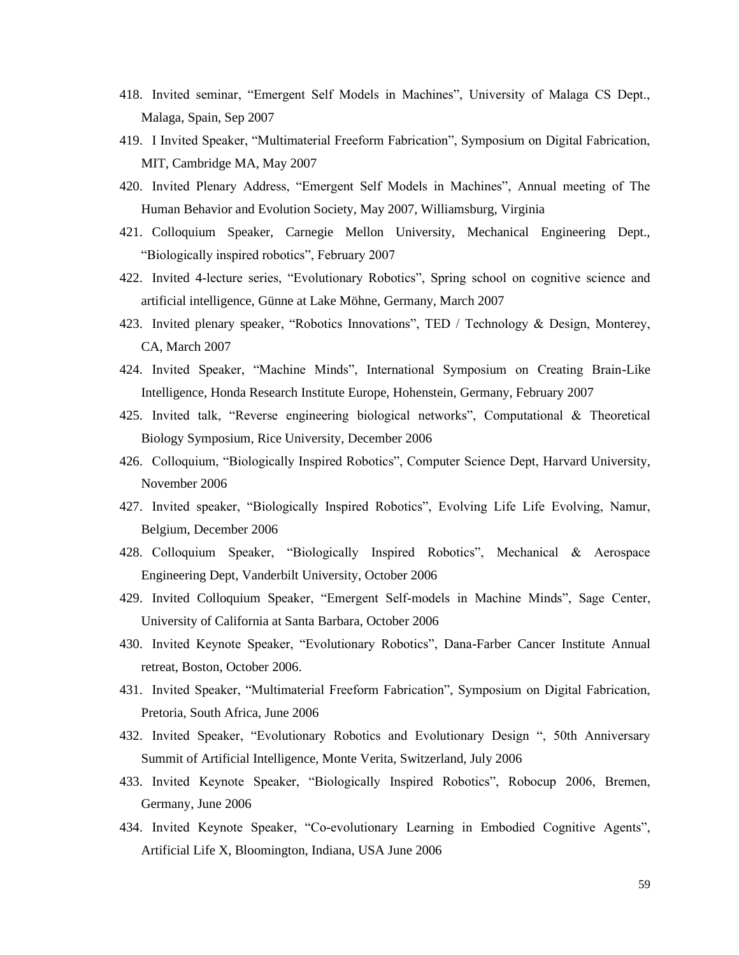- 418. Invited seminar, "Emergent Self Models in Machines", University of Malaga CS Dept., Malaga, Spain, Sep 2007
- 419. I Invited Speaker, "Multimaterial Freeform Fabrication", Symposium on Digital Fabrication, MIT, Cambridge MA, May 2007
- 420. Invited Plenary Address, "Emergent Self Models in Machines", Annual meeting of The Human Behavior and Evolution Society, May 2007, Williamsburg, Virginia
- 421. Colloquium Speaker, Carnegie Mellon University, Mechanical Engineering Dept., "Biologically inspired robotics", February 2007
- 422. Invited 4-lecture series, "Evolutionary Robotics", Spring school on cognitive science and artificial intelligence, Günne at Lake Möhne, Germany, March 2007
- 423. Invited plenary speaker, "Robotics Innovations", TED / Technology & Design, Monterey, CA, March 2007
- 424. Invited Speaker, "Machine Minds", International Symposium on Creating Brain-Like Intelligence, Honda Research Institute Europe, Hohenstein, Germany, February 2007
- 425. Invited talk, "Reverse engineering biological networks", Computational & Theoretical Biology Symposium, Rice University, December 2006
- 426. Colloquium, "Biologically Inspired Robotics", Computer Science Dept, Harvard University, November 2006
- 427. Invited speaker, "Biologically Inspired Robotics", Evolving Life Life Evolving, Namur, Belgium, December 2006
- 428. Colloquium Speaker, "Biologically Inspired Robotics", Mechanical & Aerospace Engineering Dept, Vanderbilt University, October 2006
- 429. Invited Colloquium Speaker, "Emergent Self-models in Machine Minds", Sage Center, University of California at Santa Barbara, October 2006
- 430. Invited Keynote Speaker, "Evolutionary Robotics", Dana-Farber Cancer Institute Annual retreat, Boston, October 2006.
- 431. Invited Speaker, "Multimaterial Freeform Fabrication", Symposium on Digital Fabrication, Pretoria, South Africa, June 2006
- 432. Invited Speaker, "Evolutionary Robotics and Evolutionary Design ", 50th Anniversary Summit of Artificial Intelligence, Monte Verita, Switzerland, July 2006
- 433. Invited Keynote Speaker, "Biologically Inspired Robotics", Robocup 2006, Bremen, Germany, June 2006
- 434. Invited Keynote Speaker, "Co-evolutionary Learning in Embodied Cognitive Agents", Artificial Life X, Bloomington, Indiana, USA June 2006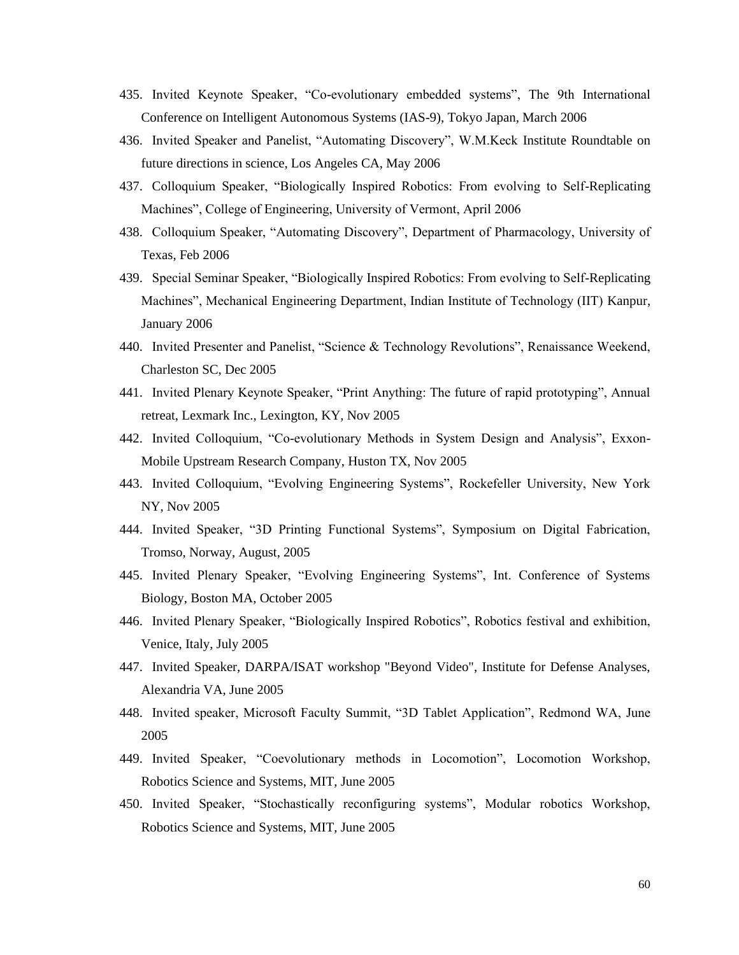- 435. Invited Keynote Speaker, "Co-evolutionary embedded systems", The 9th International Conference on Intelligent Autonomous Systems (IAS-9), Tokyo Japan, March 2006
- 436. Invited Speaker and Panelist, "Automating Discovery", W.M.Keck Institute Roundtable on future directions in science, Los Angeles CA, May 2006
- 437. Colloquium Speaker, "Biologically Inspired Robotics: From evolving to Self-Replicating Machines", College of Engineering, University of Vermont, April 2006
- 438. Colloquium Speaker, "Automating Discovery", Department of Pharmacology, University of Texas, Feb 2006
- 439. Special Seminar Speaker, "Biologically Inspired Robotics: From evolving to Self-Replicating Machines", Mechanical Engineering Department, Indian Institute of Technology (IIT) Kanpur, January 2006
- 440. Invited Presenter and Panelist, "Science & Technology Revolutions", Renaissance Weekend, Charleston SC, Dec 2005
- 441. Invited Plenary Keynote Speaker, "Print Anything: The future of rapid prototyping", Annual retreat, Lexmark Inc., Lexington, KY, Nov 2005
- 442. Invited Colloquium, "Co-evolutionary Methods in System Design and Analysis", Exxon-Mobile Upstream Research Company, Huston TX, Nov 2005
- 443. Invited Colloquium, "Evolving Engineering Systems", Rockefeller University, New York NY, Nov 2005
- 444. Invited Speaker, "3D Printing Functional Systems", Symposium on Digital Fabrication, Tromso, Norway, August, 2005
- 445. Invited Plenary Speaker, "Evolving Engineering Systems", Int. Conference of Systems Biology, Boston MA, October 2005
- 446. Invited Plenary Speaker, "Biologically Inspired Robotics", Robotics festival and exhibition, Venice, Italy, July 2005
- 447. Invited Speaker, DARPA/ISAT workshop "Beyond Video", Institute for Defense Analyses, Alexandria VA, June 2005
- 448. Invited speaker, Microsoft Faculty Summit, "3D Tablet Application", Redmond WA, June 2005
- 449. Invited Speaker, "Coevolutionary methods in Locomotion", Locomotion Workshop, Robotics Science and Systems, MIT, June 2005
- 450. Invited Speaker, "Stochastically reconfiguring systems", Modular robotics Workshop, Robotics Science and Systems, MIT, June 2005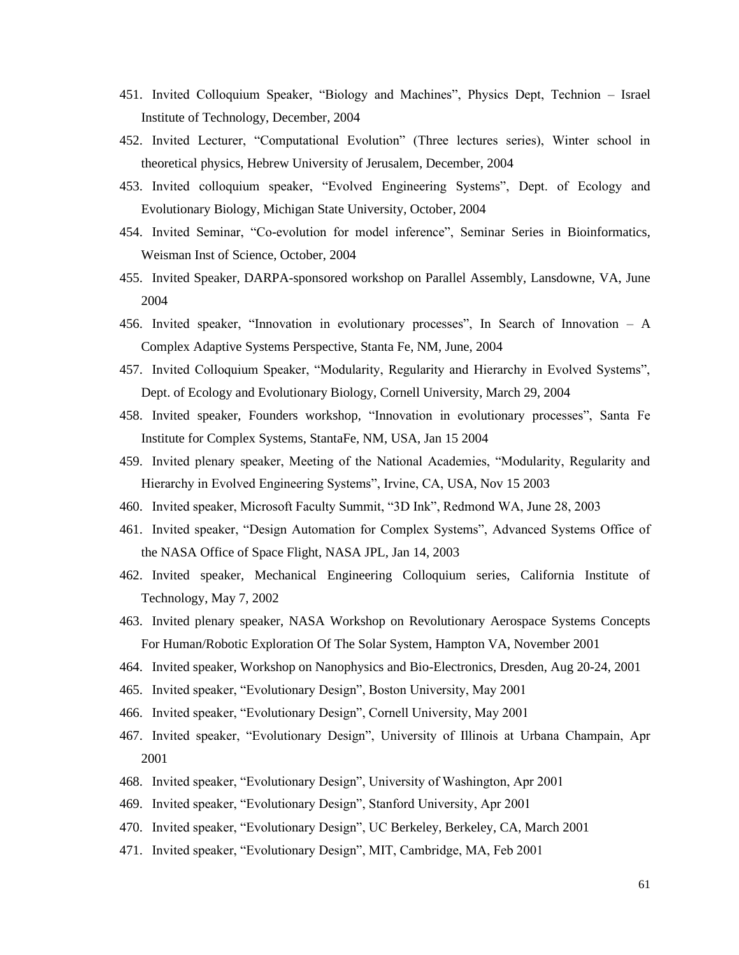- 451. Invited Colloquium Speaker, "Biology and Machines", Physics Dept, Technion Israel Institute of Technology, December, 2004
- 452. Invited Lecturer, "Computational Evolution" (Three lectures series), Winter school in theoretical physics, Hebrew University of Jerusalem, December, 2004
- 453. Invited colloquium speaker, "Evolved Engineering Systems", Dept. of Ecology and Evolutionary Biology, Michigan State University, October, 2004
- 454. Invited Seminar, "Co-evolution for model inference", Seminar Series in Bioinformatics, Weisman Inst of Science, October, 2004
- 455. Invited Speaker, DARPA-sponsored workshop on Parallel Assembly, Lansdowne, VA, June 2004
- 456. Invited speaker, "Innovation in evolutionary processes", In Search of Innovation A Complex Adaptive Systems Perspective, Stanta Fe, NM, June, 2004
- 457. Invited Colloquium Speaker, "Modularity, Regularity and Hierarchy in Evolved Systems", Dept. of Ecology and Evolutionary Biology, Cornell University, March 29, 2004
- 458. Invited speaker, Founders workshop, "Innovation in evolutionary processes", Santa Fe Institute for Complex Systems, StantaFe, NM, USA, Jan 15 2004
- 459. Invited plenary speaker, Meeting of the National Academies, "Modularity, Regularity and Hierarchy in Evolved Engineering Systems", Irvine, CA, USA, Nov 15 2003
- 460. Invited speaker, Microsoft Faculty Summit, "3D Ink", Redmond WA, June 28, 2003
- 461. Invited speaker, "Design Automation for Complex Systems", Advanced Systems Office of the NASA Office of Space Flight, NASA JPL, Jan 14, 2003
- 462. Invited speaker, Mechanical Engineering Colloquium series, California Institute of Technology, May 7, 2002
- 463. Invited plenary speaker, NASA Workshop on Revolutionary Aerospace Systems Concepts For Human/Robotic Exploration Of The Solar System, Hampton VA, November 2001
- 464. Invited speaker, Workshop on Nanophysics and Bio-Electronics, Dresden, Aug 20-24, 2001
- 465. Invited speaker, "Evolutionary Design", Boston University, May 2001
- 466. Invited speaker, "Evolutionary Design", Cornell University, May 2001
- 467. Invited speaker, "Evolutionary Design", University of Illinois at Urbana Champain, Apr 2001
- 468. Invited speaker, "Evolutionary Design", University of Washington, Apr 2001
- 469. Invited speaker, "Evolutionary Design", Stanford University, Apr 2001
- 470. Invited speaker, "Evolutionary Design", UC Berkeley, Berkeley, CA, March 2001
- 471. Invited speaker, "Evolutionary Design", MIT, Cambridge, MA, Feb 2001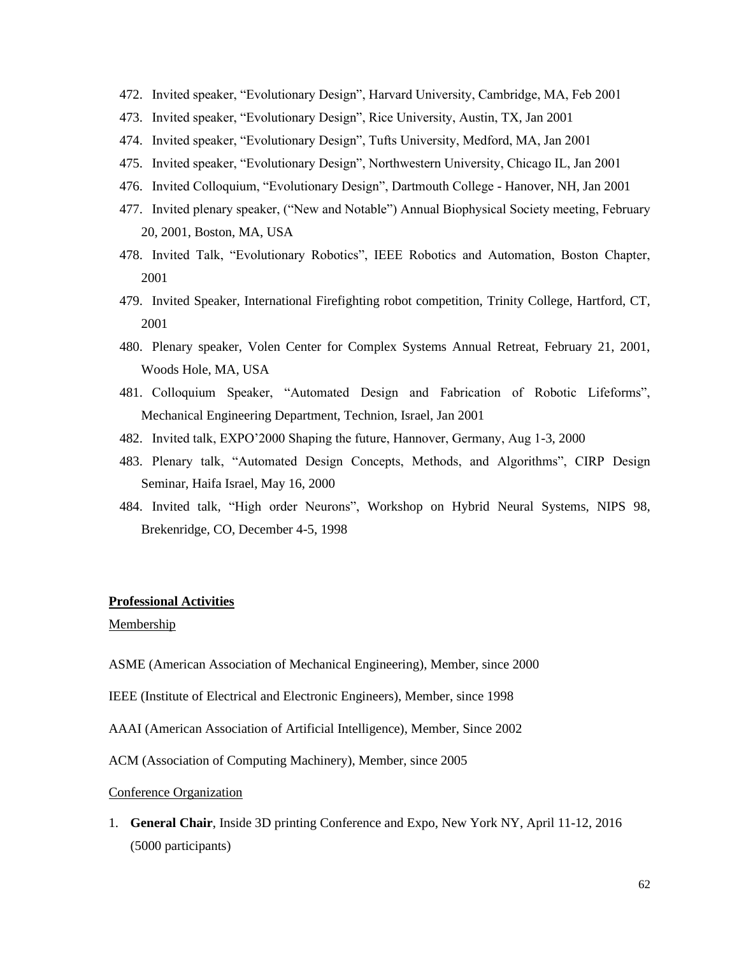- 472. Invited speaker, "Evolutionary Design", Harvard University, Cambridge, MA, Feb 2001
- 473. Invited speaker, "Evolutionary Design", Rice University, Austin, TX, Jan 2001
- 474. Invited speaker, "Evolutionary Design", Tufts University, Medford, MA, Jan 2001
- 475. Invited speaker, "Evolutionary Design", Northwestern University, Chicago IL, Jan 2001
- 476. Invited Colloquium, "Evolutionary Design", Dartmouth College Hanover, NH, Jan 2001
- 477. Invited plenary speaker, ("New and Notable") Annual Biophysical Society meeting, February 20, 2001, Boston, MA, USA
- 478. Invited Talk, "Evolutionary Robotics", IEEE Robotics and Automation, Boston Chapter, 2001
- 479. Invited Speaker, International Firefighting robot competition, Trinity College, Hartford, CT, 2001
- 480. Plenary speaker, Volen Center for Complex Systems Annual Retreat, February 21, 2001, Woods Hole, MA, USA
- 481. Colloquium Speaker, "Automated Design and Fabrication of Robotic Lifeforms", Mechanical Engineering Department, Technion, Israel, Jan 2001
- 482. Invited talk, EXPO'2000 Shaping the future, Hannover, Germany, Aug 1-3, 2000
- 483. Plenary talk, "Automated Design Concepts, Methods, and Algorithms", CIRP Design Seminar, Haifa Israel, May 16, 2000
- 484. Invited talk, "High order Neurons", Workshop on Hybrid Neural Systems, NIPS 98, Brekenridge, CO, December 4-5, 1998

### **Professional Activities**

# Membership

- ASME (American Association of Mechanical Engineering), Member, since 2000
- IEEE (Institute of Electrical and Electronic Engineers), Member, since 1998
- AAAI (American Association of Artificial Intelligence), Member, Since 2002
- ACM (Association of Computing Machinery), Member, since 2005
- Conference Organization
- 1. **General Chair**, Inside 3D printing Conference and Expo, New York NY, April 11-12, 2016 (5000 participants)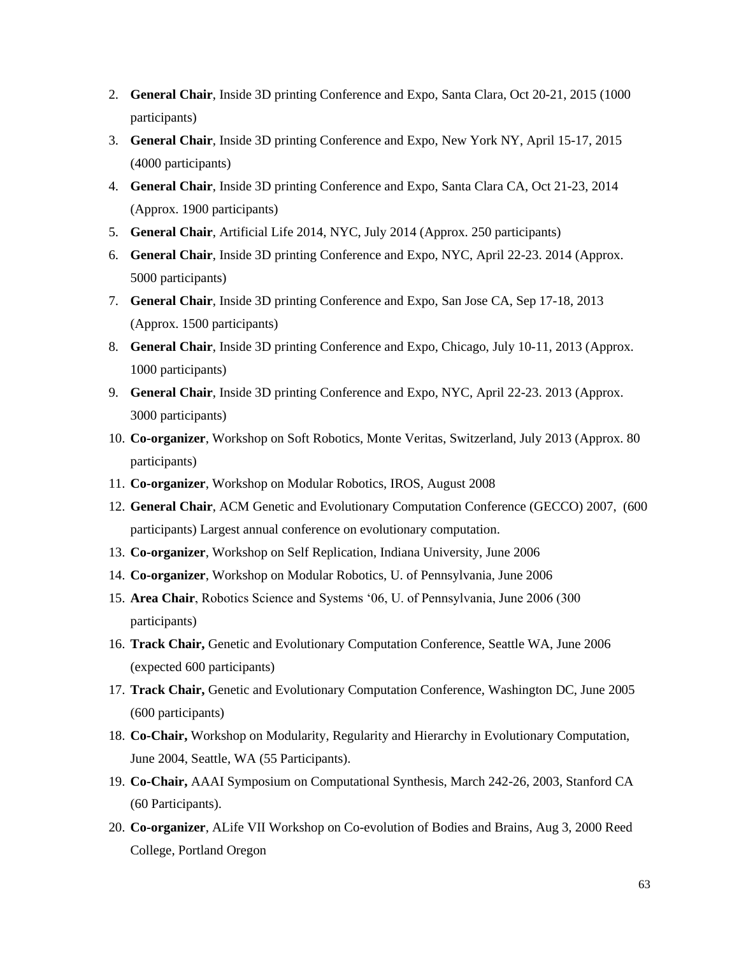- 2. **General Chair**, Inside 3D printing Conference and Expo, Santa Clara, Oct 20-21, 2015 (1000 participants)
- 3. **General Chair**, Inside 3D printing Conference and Expo, New York NY, April 15-17, 2015 (4000 participants)
- 4. **General Chair**, Inside 3D printing Conference and Expo, Santa Clara CA, Oct 21-23, 2014 (Approx. 1900 participants)
- 5. **General Chair**, Artificial Life 2014, NYC, July 2014 (Approx. 250 participants)
- 6. **General Chair**, Inside 3D printing Conference and Expo, NYC, April 22-23. 2014 (Approx. 5000 participants)
- 7. **General Chair**, Inside 3D printing Conference and Expo, San Jose CA, Sep 17-18, 2013 (Approx. 1500 participants)
- 8. **General Chair**, Inside 3D printing Conference and Expo, Chicago, July 10-11, 2013 (Approx. 1000 participants)
- 9. **General Chair**, Inside 3D printing Conference and Expo, NYC, April 22-23. 2013 (Approx. 3000 participants)
- 10. **Co-organizer**, Workshop on Soft Robotics, Monte Veritas, Switzerland, July 2013 (Approx. 80 participants)
- 11. **Co-organizer**, Workshop on Modular Robotics, IROS, August 2008
- 12. **General Chair**, ACM Genetic and Evolutionary Computation Conference (GECCO) 2007, (600 participants) Largest annual conference on evolutionary computation.
- 13. **Co-organizer**, Workshop on Self Replication, Indiana University, June 2006
- 14. **Co-organizer**, Workshop on Modular Robotics, U. of Pennsylvania, June 2006
- 15. **Area Chair**, Robotics Science and Systems '06, U. of Pennsylvania, June 2006 (300 participants)
- 16. **Track Chair,** Genetic and Evolutionary Computation Conference, Seattle WA, June 2006 (expected 600 participants)
- 17. **Track Chair,** Genetic and Evolutionary Computation Conference, Washington DC, June 2005 (600 participants)
- 18. **Co-Chair,** Workshop on Modularity, Regularity and Hierarchy in Evolutionary Computation, June 2004, Seattle, WA (55 Participants).
- 19. **Co-Chair,** AAAI Symposium on Computational Synthesis, March 242-26, 2003, Stanford CA (60 Participants).
- 20. **Co-organizer**, ALife VII Workshop on Co-evolution of Bodies and Brains, Aug 3, 2000 Reed College, Portland Oregon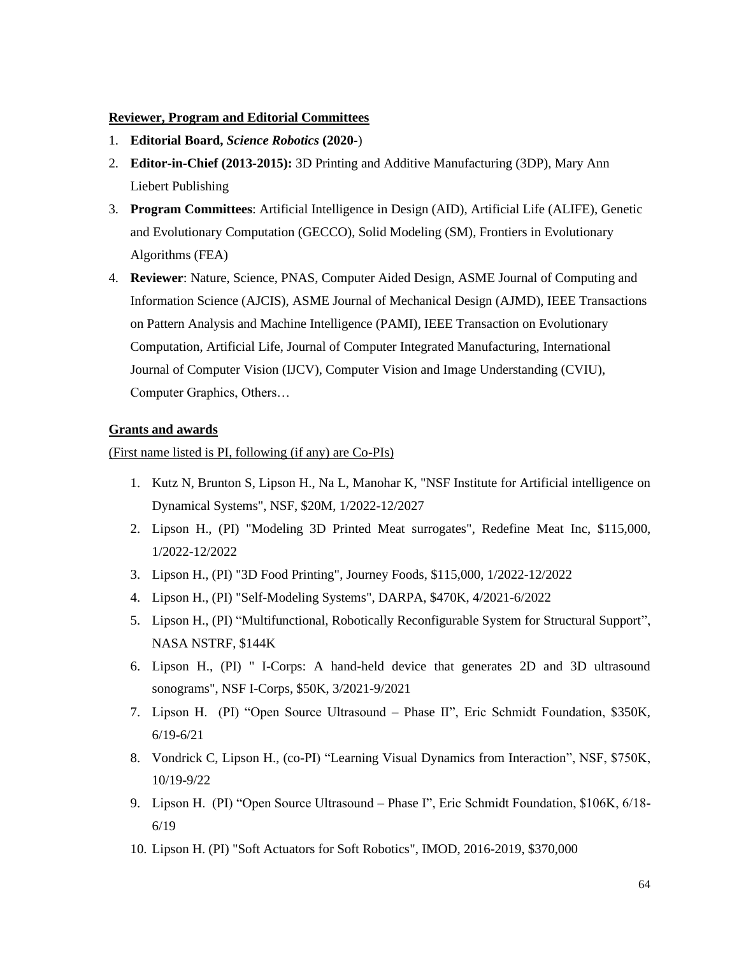## **Reviewer, Program and Editorial Committees**

- 1. **Editorial Board,** *Science Robotics* **(2020-**)
- 2. **Editor-in-Chief (2013-2015):** 3D Printing and Additive Manufacturing (3DP), Mary Ann Liebert Publishing
- 3. **Program Committees**: Artificial Intelligence in Design (AID), Artificial Life (ALIFE), Genetic and Evolutionary Computation (GECCO), Solid Modeling (SM), Frontiers in Evolutionary Algorithms (FEA)
- 4. **Reviewer**: Nature, Science, PNAS, Computer Aided Design, ASME Journal of Computing and Information Science (AJCIS), ASME Journal of Mechanical Design (AJMD), IEEE Transactions on Pattern Analysis and Machine Intelligence (PAMI), IEEE Transaction on Evolutionary Computation, Artificial Life, Journal of Computer Integrated Manufacturing, International Journal of Computer Vision (IJCV), Computer Vision and Image Understanding (CVIU), Computer Graphics, Others…

## **Grants and awards**

## (First name listed is PI, following (if any) are Co-PIs)

- 1. Kutz N, Brunton S, Lipson H., Na L, Manohar K, "NSF Institute for Artificial intelligence on Dynamical Systems", NSF, \$20M, 1/2022-12/2027
- 2. Lipson H., (PI) "Modeling 3D Printed Meat surrogates", Redefine Meat Inc, \$115,000, 1/2022-12/2022
- 3. Lipson H., (PI) "3D Food Printing", Journey Foods, \$115,000, 1/2022-12/2022
- 4. Lipson H., (PI) "Self-Modeling Systems", DARPA, \$470K, 4/2021-6/2022
- 5. Lipson H., (PI) "Multifunctional, Robotically Reconfigurable System for Structural Support", NASA NSTRF, \$144K
- 6. Lipson H., (PI) " I-Corps: A hand-held device that generates 2D and 3D ultrasound sonograms", NSF I-Corps, \$50K, 3/2021-9/2021
- 7. Lipson H. (PI) "Open Source Ultrasound Phase II", Eric Schmidt Foundation, \$350K, 6/19-6/21
- 8. Vondrick C, Lipson H., (co-PI) "Learning Visual Dynamics from Interaction", NSF, \$750K, 10/19-9/22
- 9. Lipson H. (PI) "Open Source Ultrasound Phase I", Eric Schmidt Foundation, \$106K, 6/18- 6/19
- 10. Lipson H. (PI) "Soft Actuators for Soft Robotics", IMOD, 2016-2019, \$370,000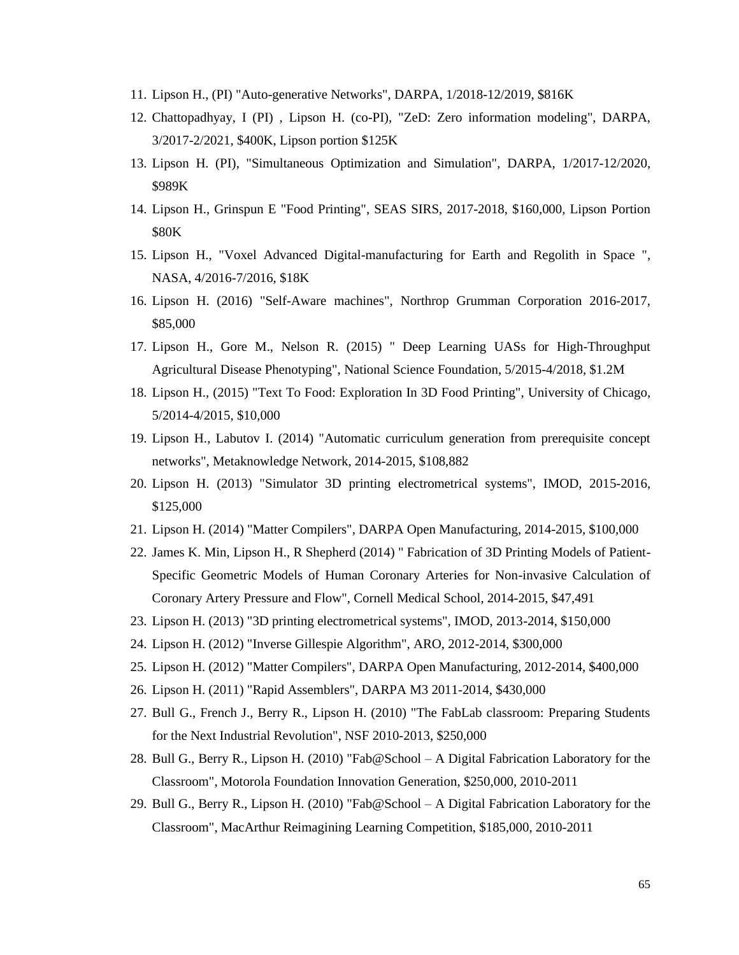- 11. Lipson H., (PI) "Auto-generative Networks", DARPA, 1/2018-12/2019, \$816K
- 12. Chattopadhyay, I (PI) , Lipson H. (co-PI), "ZeD: Zero information modeling", DARPA, 3/2017-2/2021, \$400K, Lipson portion \$125K
- 13. Lipson H. (PI), "Simultaneous Optimization and Simulation", DARPA, 1/2017-12/2020, \$989K
- 14. Lipson H., Grinspun E "Food Printing", SEAS SIRS, 2017-2018, \$160,000, Lipson Portion \$80K
- 15. Lipson H., "Voxel Advanced Digital-manufacturing for Earth and Regolith in Space ", NASA, 4/2016-7/2016, \$18K
- 16. Lipson H. (2016) "Self-Aware machines", Northrop Grumman Corporation 2016-2017, \$85,000
- 17. Lipson H., Gore M., Nelson R. (2015) " Deep Learning UASs for High-Throughput Agricultural Disease Phenotyping", National Science Foundation, 5/2015-4/2018, \$1.2M
- 18. Lipson H., (2015) "Text To Food: Exploration In 3D Food Printing", University of Chicago, 5/2014-4/2015, \$10,000
- 19. Lipson H., Labutov I. (2014) "Automatic curriculum generation from prerequisite concept networks", Metaknowledge Network, 2014-2015, \$108,882
- 20. Lipson H. (2013) "Simulator 3D printing electrometrical systems", IMOD, 2015-2016, \$125,000
- 21. Lipson H. (2014) "Matter Compilers", DARPA Open Manufacturing, 2014-2015, \$100,000
- 22. James K. Min, Lipson H., R Shepherd (2014) " Fabrication of 3D Printing Models of Patient-Specific Geometric Models of Human Coronary Arteries for Non-invasive Calculation of Coronary Artery Pressure and Flow", Cornell Medical School, 2014-2015, \$47,491
- 23. Lipson H. (2013) "3D printing electrometrical systems", IMOD, 2013-2014, \$150,000
- 24. Lipson H. (2012) "Inverse Gillespie Algorithm", ARO, 2012-2014, \$300,000
- 25. Lipson H. (2012) "Matter Compilers", DARPA Open Manufacturing, 2012-2014, \$400,000
- 26. Lipson H. (2011) "Rapid Assemblers", DARPA M3 2011-2014, \$430,000
- 27. Bull G., French J., Berry R., Lipson H. (2010) "The FabLab classroom: Preparing Students for the Next Industrial Revolution", NSF 2010-2013, \$250,000
- 28. Bull G., Berry R., Lipson H. (2010) "Fab@School A Digital Fabrication Laboratory for the Classroom", Motorola Foundation Innovation Generation, \$250,000, 2010-2011
- 29. Bull G., Berry R., Lipson H. (2010) "Fab@School A Digital Fabrication Laboratory for the Classroom", MacArthur Reimagining Learning Competition, \$185,000, 2010-2011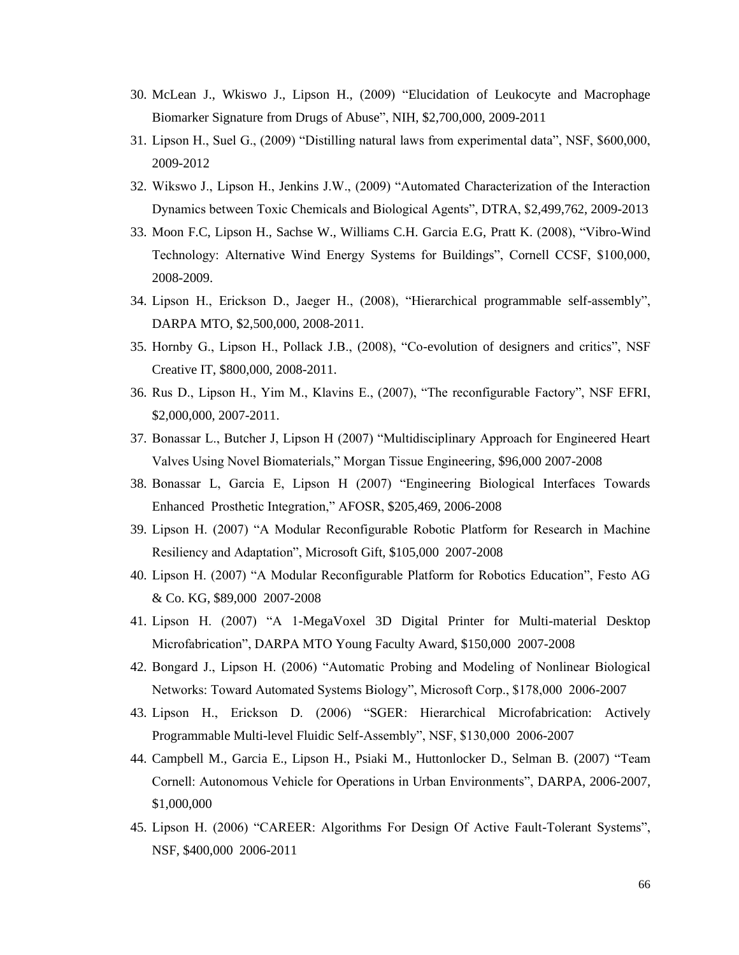- 30. McLean J., Wkiswo J., Lipson H., (2009) "Elucidation of Leukocyte and Macrophage Biomarker Signature from Drugs of Abuse", NIH, \$2,700,000, 2009-2011
- 31. Lipson H., Suel G., (2009) "Distilling natural laws from experimental data", NSF, \$600,000, 2009-2012
- 32. Wikswo J., Lipson H., Jenkins J.W., (2009) "Automated Characterization of the Interaction Dynamics between Toxic Chemicals and Biological Agents", DTRA, \$2,499,762, 2009-2013
- 33. Moon F.C, Lipson H., Sachse W., Williams C.H. Garcia E.G, Pratt K. (2008), "Vibro-Wind Technology: Alternative Wind Energy Systems for Buildings", Cornell CCSF, \$100,000, 2008-2009.
- 34. Lipson H., Erickson D., Jaeger H., (2008), "Hierarchical programmable self-assembly", DARPA MTO, \$2,500,000, 2008-2011.
- 35. Hornby G., Lipson H., Pollack J.B., (2008), "Co-evolution of designers and critics", NSF Creative IT, \$800,000, 2008-2011.
- 36. Rus D., Lipson H., Yim M., Klavins E., (2007), "The reconfigurable Factory", NSF EFRI, \$2,000,000, 2007-2011.
- 37. Bonassar L., Butcher J, Lipson H (2007) "Multidisciplinary Approach for Engineered Heart Valves Using Novel Biomaterials," Morgan Tissue Engineering, \$96,000 2007-2008
- 38. Bonassar L, Garcia E, Lipson H (2007) "Engineering Biological Interfaces Towards Enhanced Prosthetic Integration," AFOSR, \$205,469, 2006-2008
- 39. Lipson H. (2007) "A Modular Reconfigurable Robotic Platform for Research in Machine Resiliency and Adaptation", Microsoft Gift, \$105,000 2007-2008
- 40. Lipson H. (2007) "A Modular Reconfigurable Platform for Robotics Education", Festo AG & Co. KG, \$89,000 2007-2008
- 41. Lipson H. (2007) "A 1-MegaVoxel 3D Digital Printer for Multi-material Desktop Microfabrication", DARPA MTO Young Faculty Award, \$150,000 2007-2008
- 42. Bongard J., Lipson H. (2006) "Automatic Probing and Modeling of Nonlinear Biological Networks: Toward Automated Systems Biology", Microsoft Corp., \$178,000 2006-2007
- 43. Lipson H., Erickson D. (2006) "SGER: Hierarchical Microfabrication: Actively Programmable Multi-level Fluidic Self-Assembly", NSF, \$130,000 2006-2007
- 44. Campbell M., Garcia E., Lipson H., Psiaki M., Huttonlocker D., Selman B. (2007) "Team Cornell: Autonomous Vehicle for Operations in Urban Environments", DARPA, 2006-2007, \$1,000,000
- 45. Lipson H. (2006) "CAREER: Algorithms For Design Of Active Fault-Tolerant Systems", NSF, \$400,000 2006-2011